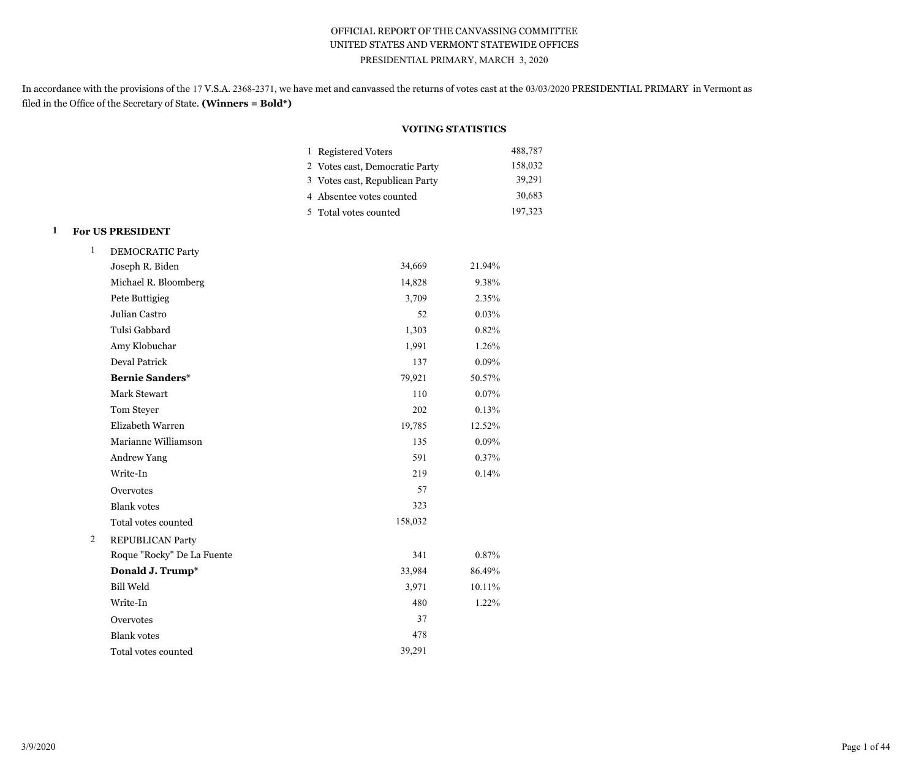## OFFICIAL REPORT OF THE CANVASSING COMMITTEE UNITED STATES AND VERMONT STATEWIDE OFFICES PRESIDENTIAL PRIMARY, MARCH 3, 2020

In accordance with the provisions of the 17 V.S.A. 2368-2371, we have met and canvassed the returns of votes cast at the 03/03/2020 PRESIDENTIAL PRIMARY in Vermont as filed in the Office of the Secretary of State. **(Winners = Bold\*)**

## **VOTING STATISTICS**

| 1 Registered Voters            | 488,787 |
|--------------------------------|---------|
| 2 Votes cast, Democratic Party | 158,032 |
| 3 Votes cast, Republican Party | 39,291  |
| 4 Absentee votes counted       | 30,683  |
| 5 Total votes counted          | 197,323 |

## **1 For US PRESIDENT**

| $\mathbf{1}$ | <b>DEMOCRATIC Party</b>    |         |        |  |  |  |
|--------------|----------------------------|---------|--------|--|--|--|
|              | Joseph R. Biden            | 34,669  | 21.94% |  |  |  |
|              | Michael R. Bloomberg       | 14,828  | 9.38%  |  |  |  |
|              | Pete Buttigieg             | 3,709   | 2.35%  |  |  |  |
|              | Julian Castro              | 52      | 0.03%  |  |  |  |
|              | Tulsi Gabbard              | 1,303   | 0.82%  |  |  |  |
|              | Amy Klobuchar              | 1,991   | 1.26%  |  |  |  |
|              | <b>Deval Patrick</b>       | 137     | 0.09%  |  |  |  |
|              | <b>Bernie Sanders*</b>     | 79,921  | 50.57% |  |  |  |
|              | <b>Mark Stewart</b>        | 110     | 0.07%  |  |  |  |
|              | Tom Steyer                 | 202     | 0.13%  |  |  |  |
|              | Elizabeth Warren           | 19,785  | 12.52% |  |  |  |
|              | Marianne Williamson        | 135     | 0.09%  |  |  |  |
|              | <b>Andrew Yang</b>         | 591     | 0.37%  |  |  |  |
|              | Write-In                   | 219     | 0.14%  |  |  |  |
|              | Overvotes                  | 57      |        |  |  |  |
|              | <b>Blank</b> votes         | 323     |        |  |  |  |
|              | Total votes counted        | 158,032 |        |  |  |  |
| 2            | <b>REPUBLICAN Party</b>    |         |        |  |  |  |
|              | Roque "Rocky" De La Fuente | 341     | 0.87%  |  |  |  |
|              | Donald J. Trump*           | 33,984  | 86.49% |  |  |  |
|              | <b>Bill Weld</b>           | 3,971   | 10.11% |  |  |  |
|              | Write-In                   | 480     | 1.22%  |  |  |  |
|              | Overvotes                  | 37      |        |  |  |  |
|              | <b>Blank</b> votes         | 478     |        |  |  |  |
|              | Total votes counted        | 39,291  |        |  |  |  |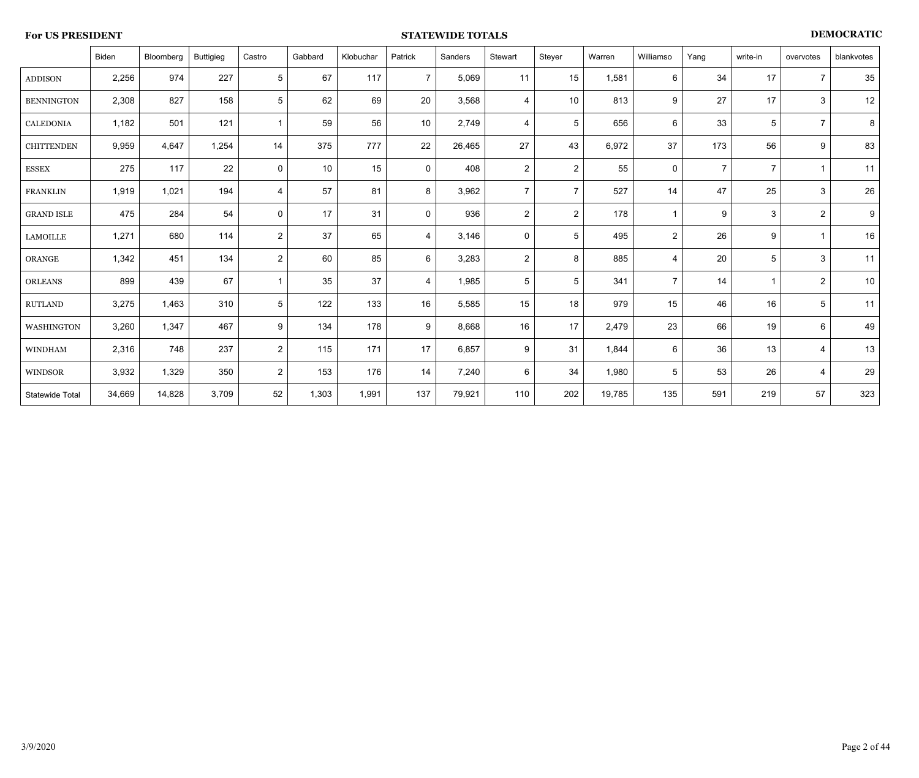## **For US PRESIDENT STATEWIDE TOTALS DEMOCRATIC**

|                   | Biden  | Bloomberg | <b>Buttigieg</b> | Castro              | Gabbard | Klobuchar | Patrick        | Sanders | Stewart        | Steyer          | Warren | Williamso      | Yang           | write-in       | overvotes        | blankvotes |
|-------------------|--------|-----------|------------------|---------------------|---------|-----------|----------------|---------|----------------|-----------------|--------|----------------|----------------|----------------|------------------|------------|
| <b>ADDISON</b>    | 2,256  | 974       | 227              | $\sqrt{5}$          | 67      | 117       | $\overline{7}$ | 5,069   | 11             | 15              | 1,581  | 6              | 34             | 17             | $\overline{7}$   | 35         |
| <b>BENNINGTON</b> | 2,308  | 827       | 158              | $5\phantom{.0}$     | 62      | 69        | 20             | 3,568   | 4              | 10              | 813    | 9              | 27             | 17             | 3                | 12         |
| <b>CALEDONIA</b>  | 1,182  | 501       | 121              | $\mathbf{1}$        | 59      | 56        | 10             | 2,749   | 4              | $5\phantom{.0}$ | 656    | 6              | 33             | 5              | $\overline{7}$   | $\bf 8$    |
| <b>CHITTENDEN</b> | 9,959  | 4,647     | 1,254            | 14                  | 375     | 777       | 22             | 26,465  | 27             | 43              | 6,972  | 37             | 173            | 56             | $\boldsymbol{9}$ | 83         |
| <b>ESSEX</b>      | 275    | 117       | 22               | $\mathsf{O}\xspace$ | 10      | 15        | $\mathbf 0$    | 408     | $\overline{2}$ | $\overline{2}$  | 55     | $\mathbf 0$    | $\overline{7}$ | $\overline{7}$ | $\overline{1}$   | 11         |
| <b>FRANKLIN</b>   | 1,919  | 1,021     | 194              | $\overline{4}$      | 57      | 81        | 8              | 3,962   | $\overline{7}$ | $\overline{7}$  | 527    | 14             | 47             | 25             | 3                | 26         |
| <b>GRAND ISLE</b> | 475    | 284       | 54               | $\mathbf 0$         | 17      | 31        | $\mathbf 0$    | 936     | $\overline{2}$ | $\overline{2}$  | 178    |                | 9              | $\mathbf{3}$   | $\overline{2}$   | 9          |
| <b>LAMOILLE</b>   | 1,271  | 680       | 114              | $\overline{2}$      | 37      | 65        | $\overline{4}$ | 3,146   | 0              | 5               | 495    | $\overline{2}$ | 26             | 9              | $\overline{1}$   | 16         |
| ORANGE            | 1,342  | 451       | 134              | $\overline{2}$      | 60      | 85        | 6              | 3,283   | $\overline{2}$ | 8               | 885    | $\overline{4}$ | 20             | $\sqrt{5}$     | 3                | 11         |
| <b>ORLEANS</b>    | 899    | 439       | 67               | $\mathbf{1}$        | 35      | 37        | $\overline{4}$ | 1,985   | 5              | 5               | 341    | $\overline{7}$ | 14             | f              | $\overline{2}$   | 10         |
| <b>RUTLAND</b>    | 3,275  | 1,463     | 310              | $\sqrt{5}$          | 122     | 133       | 16             | 5,585   | 15             | 18              | 979    | 15             | 46             | 16             | 5                | 11         |
| WASHINGTON        | 3,260  | 1,347     | 467              | 9                   | 134     | 178       | 9              | 8,668   | 16             | 17              | 2,479  | 23             | 66             | 19             | 6                | 49         |
| <b>WINDHAM</b>    | 2,316  | 748       | 237              | $\overline{2}$      | 115     | 171       | 17             | 6,857   | 9              | 31              | 1,844  | 6              | 36             | 13             | 4                | 13         |
| <b>WINDSOR</b>    | 3,932  | 1,329     | 350              | $\overline{2}$      | 153     | 176       | 14             | 7,240   | 6              | 34              | 1,980  | 5              | 53             | 26             | $\overline{4}$   | 29         |
| Statewide Total   | 34,669 | 14,828    | 3,709            | 52                  | 1,303   | 1,991     | 137            | 79,921  | 110            | 202             | 19,785 | 135            | 591            | 219            | 57               | 323        |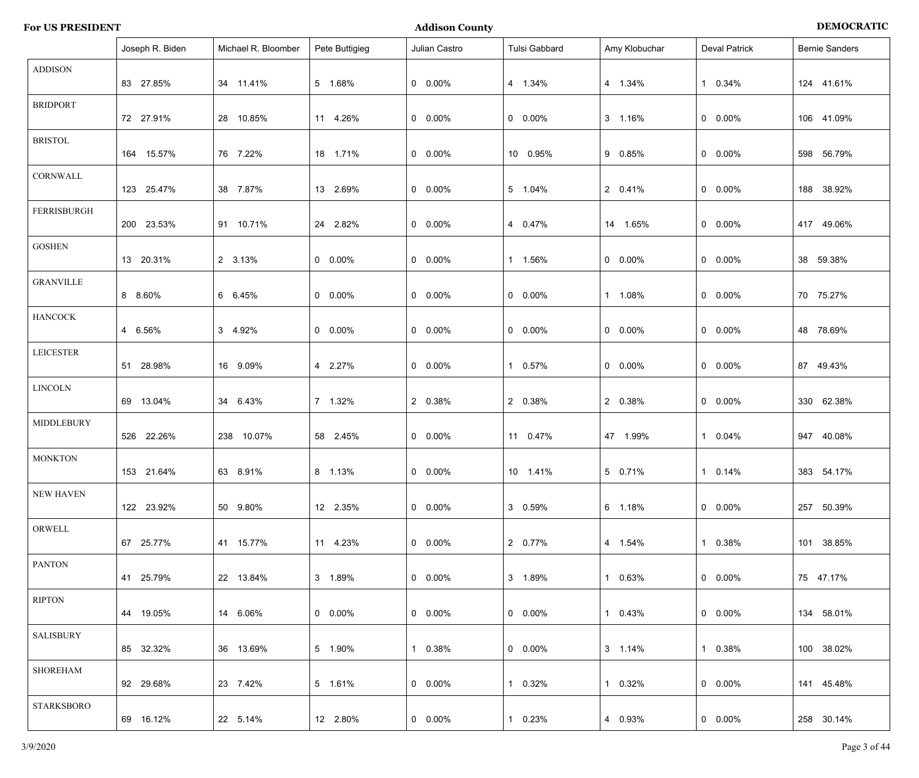| <b>Addison County</b>   | <b>DEMOCRATIC</b> |
|-------------------------|-------------------|
| <b>For US PRESIDENT</b> |                   |

|                    | Joseph R. Biden | Michael R. Bloomber | Pete Buttigieg  | Julian Castro   | Tulsi Gabbard   | Amy Klobuchar | <b>Deval Patrick</b> | <b>Bernie Sanders</b> |
|--------------------|-----------------|---------------------|-----------------|-----------------|-----------------|---------------|----------------------|-----------------------|
| <b>ADDISON</b>     | 83 27.85%       | 34 11.41%           | 5 1.68%         | $0 0.00\%$      | 4 1.34%         | 4 1.34%       | 1 0.34%              | 124 41.61%            |
| <b>BRIDPORT</b>    | 72 27.91%       | 28 10.85%           | 11 4.26%        | $0\quad 0.00\%$ | $0 0.00\%$      | 3 1.16%       | $0$ 0.00%            | 106 41.09%            |
| <b>BRISTOL</b>     | 164 15.57%      | 76 7.22%            | 18 1.71%        | $0\quad 0.00\%$ | 10 0.95%        | 9 0.85%       | $0$ 0.00%            | 598 56.79%            |
| CORNWALL           | 123 25.47%      | 38 7.87%            | 13 2.69%        | $0\quad 0.00\%$ | 5 1.04%         | 2 0.41%       | $0$ 0.00%            | 188 38.92%            |
| <b>FERRISBURGH</b> | 200 23.53%      | 91 10.71%           | 24 2.82%        | $0 0.00\%$      | 4 0.47%         | 14 1.65%      | $0$ 0.00%            | 417 49.06%            |
| <b>GOSHEN</b>      | 13 20.31%       | 2 3.13%             | $0 0.00\%$      | $0 0.00\%$      | 1 1.56%         | $0 0.00\%$    | $0$ 0.00%            | 38 59.38%             |
| <b>GRANVILLE</b>   | 8 8.60%         | 6 6.45%             | $0 0.00\%$      | $0\quad 0.00\%$ | $0\quad 0.00\%$ | 1 1.08%       | $0$ 0.00%            | 70 75.27%             |
| <b>HANCOCK</b>     | 4 6.56%         | 3 4.92%             | $0 0.00\%$      | $0 0.00\%$      | $0 0.00\%$      | $0 0.00\%$    | $0$ 0.00%            | 48 78.69%             |
| <b>LEICESTER</b>   | 51 28.98%       | 16 9.09%            | 4 2.27%         | $0 0.00\%$      | 1 0.57%         | $0 0.00\%$    | $0$ 0.00%            | 87 49.43%             |
| <b>LINCOLN</b>     | 69 13.04%       | 34 6.43%            | 7 1.32%         | 2 0.38%         | 2 0.38%         | 2 0.38%       | $0$ 0.00%            | 330 62.38%            |
| MIDDLEBURY         | 526 22.26%      | 238 10.07%          | 58 2.45%        | $0\quad 0.00\%$ | 11 0.47%        | 47 1.99%      | 1 0.04%              | 947 40.08%            |
| <b>MONKTON</b>     | 153 21.64%      | 63 8.91%            | 8 1.13%         | $0\quad 0.00\%$ | 10 1.41%        | 5 0.71%       | 1 0.14%              | 383 54.17%            |
| NEW HAVEN          | 122 23.92%      | 50 9.80%            | 12 2.35%        | $0\quad 0.00\%$ | 3 0.59%         | 6 1.18%       | $0\quad 0.00\%$      | 257 50.39%            |
| ORWELL             | 67 25.77%       | 41 15.77%           | 11 4.23%        | $0\quad 0.00\%$ | 2 0.77%         | 4 1.54%       | 1 0.38%              | 101 38.85%            |
| <b>PANTON</b>      | 41 25.79%       | 22 13.84%           | 3 1.89%         | $0\quad 0.00\%$ | 3 1.89%         | 1 0.63%       | $0\quad 0.00\%$      | 75 47.17%             |
| <b>RIPTON</b>      | 44 19.05%       | 14 6.06%            | $0\quad 0.00\%$ | $0\quad 0.00\%$ | $0\quad 0.00\%$ | 1 0.43%       | $0\quad 0.00\%$      | 134 58.01%            |
| <b>SALISBURY</b>   | 85 32.32%       | 36 13.69%           | 5 1.90%         | 1 0.38%         | $0\quad 0.00\%$ | 3 1.14%       | 1 0.38%              | 100 38.02%            |
| <b>SHOREHAM</b>    | 92 29.68%       | 23 7.42%            | 5 1.61%         | $0\quad 0.00\%$ | 1 0.32%         | 1 0.32%       | $0\quad 0.00\%$      | 141 45.48%            |
| <b>STARKSBORO</b>  | 69 16.12%       | 22 5.14%            | 12 2.80%        | $0\quad 0.00\%$ | 1 0.23%         | 4 0.93%       | $0\quad 0.00\%$      | 258 30.14%            |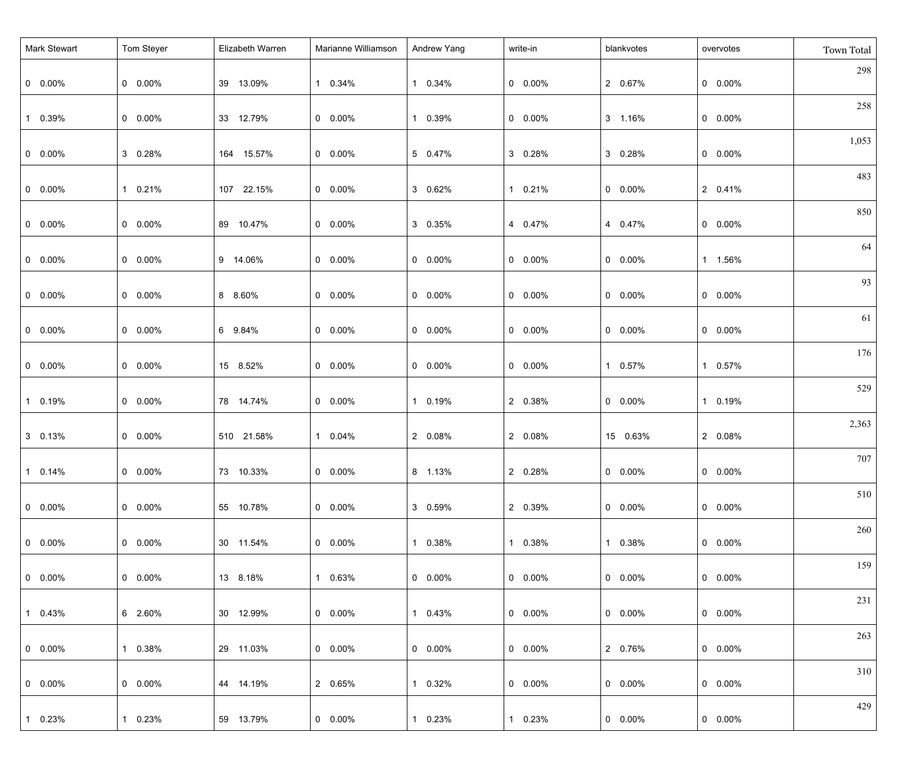| <b>Mark Stewart</b> | Tom Steyer      | Elizabeth Warren | Marianne Williamson | Andrew Yang     | write-in        | blankvotes      | overvotes       | Town Total |
|---------------------|-----------------|------------------|---------------------|-----------------|-----------------|-----------------|-----------------|------------|
| $0\quad 0.00\%$     | $0 0.00\%$      | 39 13.09%        | 1 0.34%             | 1 0.34%         | $0\quad 0.00\%$ | 2 0.67%         | $0\quad 0.00\%$ | 298        |
| 1 0.39%             | $0\quad 0.00\%$ | 33 12.79%        | $0\quad 0.00\%$     | 1 0.39%         | $0\quad 0.00\%$ | 3 1.16%         | $0\quad 0.00\%$ | 258        |
| $0\quad 0.00\%$     | 3 0.28%         | 164 15.57%       | $0\quad 0.00\%$     | 5 0.47%         | 3 0.28%         | 3 0.28%         | $0\quad 0.00\%$ | 1,053      |
| $0\quad 0.00\%$     | 1 0.21%         | 107 22.15%       | $0\quad 0.00\%$     | 3 0.62%         | 1 0.21%         | $0\quad 0.00\%$ | 2 0.41%         | 483        |
| $0\quad 0.00\%$     | $0 0.00\%$      | 89 10.47%        | $0\quad 0.00\%$     | 3 0.35%         | 4 0.47%         | 4 0.47%         | $0\quad 0.00\%$ | 850        |
| $0\quad 0.00\%$     | $0 0.00\%$      | 9 14.06%         | $0\quad 0.00\%$     | $0 0.00\%$      | $0\quad 0.00\%$ | $0\quad 0.00\%$ | 1 1.56%         | 64         |
| $0\quad 0.00\%$     | $0\quad 0.00\%$ | 8 8.60%          | $0\quad 0.00\%$     | $0 0.00\%$      | $0\quad 0.00\%$ | $0\quad 0.00\%$ | $0\quad 0.00\%$ | 93         |
| $0\quad 0.00\%$     | $0 0.00\%$      | 6 9.84%          | $0\quad 0.00\%$     | $0 0.00\%$      | $0\quad 0.00\%$ | $0\quad 0.00\%$ | $0\quad 0.00\%$ | 61         |
| $0\quad 0.00\%$     | $0 0.00\%$      | 15 8.52%         | $0\quad 0.00\%$     | $0 0.00\%$      | $0\quad 0.00\%$ | 1 0.57%         | 1 0.57%         | 176        |
| 1 0.19%             | $0\quad 0.00\%$ | 78 14.74%        | $0\quad 0.00\%$     | 1 0.19%         | 2 0.38%         | $0\quad 0.00\%$ | 1 0.19%         | 529        |
| 3 0.13%             | $0 0.00\%$      | 510 21.58%       | 1 0.04%             | 2 0.08%         | 2 0.08%         | 15 0.63%        | 2 0.08%         | 2,363      |
| $10.14\%$           | $0 0.00\%$      | 73 10.33%        | $0\quad 0.00\%$     | 8 1.13%         | 2 0.28%         | $0$ 0.00%       | $0$ 0.00%       | 707        |
| $  0 0.00\%$        | $0 0.00\%$      | 55 10.78%        | $0\quad 0.00\%$     | 3 0.59%         | 2 0.39%         | $0\quad 0.00\%$ | $0$ 0.00%       | 510        |
| $  0 0.00\%$        | $0\quad 0.00\%$ | 30 11.54%        | $0\quad 0.00\%$     | 1 0.38%         | 1 0.38%         | 1 0.38%         | $0\quad 0.00\%$ | 260        |
| $  0 0.00\%$        | $0\quad 0.00\%$ | 13 8.18%         | 1 0.63%             | $0\quad 0.00\%$ | $0\quad 0.00\%$ | $0\quad 0.00\%$ | $0\quad 0.00\%$ | 159        |
| $10.43\%$           | 6 2.60%         | 30 12.99%        | $0\quad 0.00\%$     | 1 0.43%         | $0\quad 0.00\%$ | $0\quad 0.00\%$ | $0\quad 0.00\%$ | 231        |
| $  0 0.00\%$        | 1 0.38%         | 29 11.03%        | $0\quad 0.00\%$     | $0\quad 0.00\%$ | $0\quad 0.00\%$ | 2 0.76%         | $0\quad 0.00\%$ | 263        |
| $  0 0.00\%$        | $0\quad 0.00\%$ | 44 14.19%        | 2 0.65%             | 1 0.32%         | $0\quad 0.00\%$ | $0\quad 0.00\%$ | $0\quad 0.00\%$ | 310        |
| 1 0.23%             | 1 0.23%         | 59 13.79%        | $0\quad 0.00\%$     | 1 0.23%         | 1 0.23%         | $0\quad 0.00\%$ | $0\quad 0.00\%$ | 429        |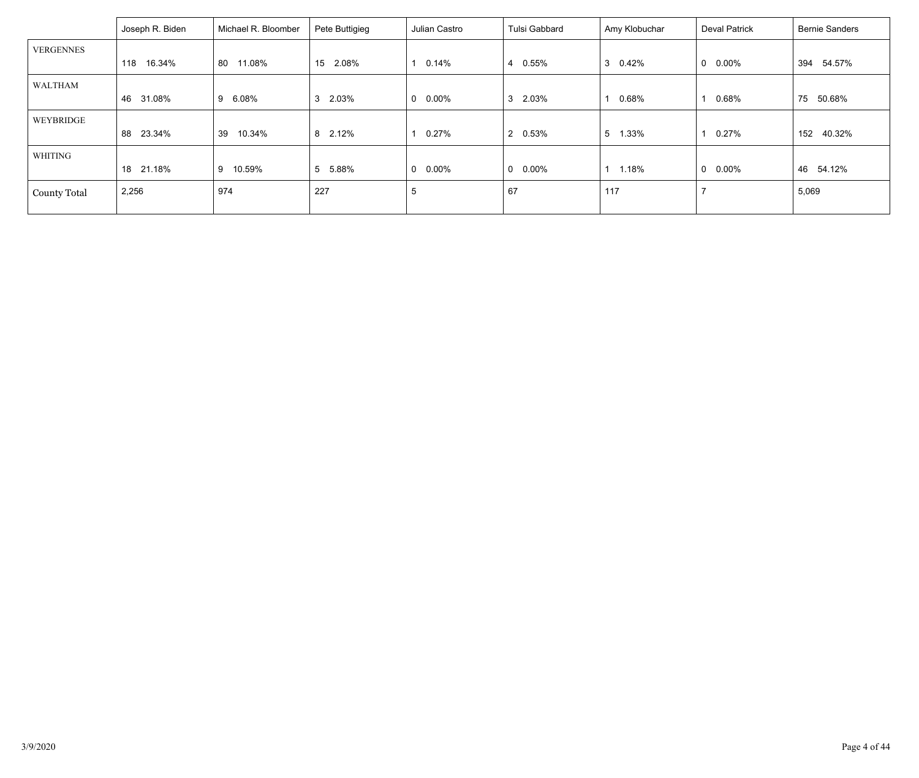|                     | Joseph R. Biden | Michael R. Bloomber | Pete Buttigieg          | Julian Castro            | Tulsi Gabbard   | Amy Klobuchar | <b>Deval Patrick</b>    | <b>Bernie Sanders</b> |
|---------------------|-----------------|---------------------|-------------------------|--------------------------|-----------------|---------------|-------------------------|-----------------------|
| <b>VERGENNES</b>    |                 |                     |                         |                          |                 |               |                         |                       |
|                     | 16.34%<br>118   | 11.08%<br>80        | 15<br>2.08%             | 0.14%                    | 0.55%<br>4      | 3<br>0.42%    | $\mathbf 0$<br>$0.00\%$ | 394<br>54.57%         |
| WALTHAM             |                 |                     |                         |                          |                 |               |                         |                       |
|                     | 31.08%<br>46    | 9 6.08%             | 3 2.03%                 | $0.00\%$<br>$\Omega$     | 2.03%<br>3      | $0.68\%$      | 0.68%                   | 75<br>50.68%          |
| WEYBRIDGE           |                 |                     |                         |                          |                 |               |                         |                       |
|                     | 88<br>23.34%    | 10.34%<br>39        | 8 2.12%                 | $0.27\%$                 | 2 0.53%         | 5<br>1.33%    | $0.27\%$                | 152<br>40.32%         |
| WHITING             |                 |                     |                         |                          |                 |               |                         |                       |
|                     | 21.18%<br>18    | 9 10.59%            | 5 <sup>5</sup><br>5.88% | $0.00\%$<br>$\mathbf{0}$ | $0\quad 0.00\%$ | 1.18%         | $0.00\%$<br>$\mathbf 0$ | 54.12%<br>46          |
| <b>County Total</b> | 2,256           | 974                 | 227                     | 5                        | 67              | 117           |                         | 5,069                 |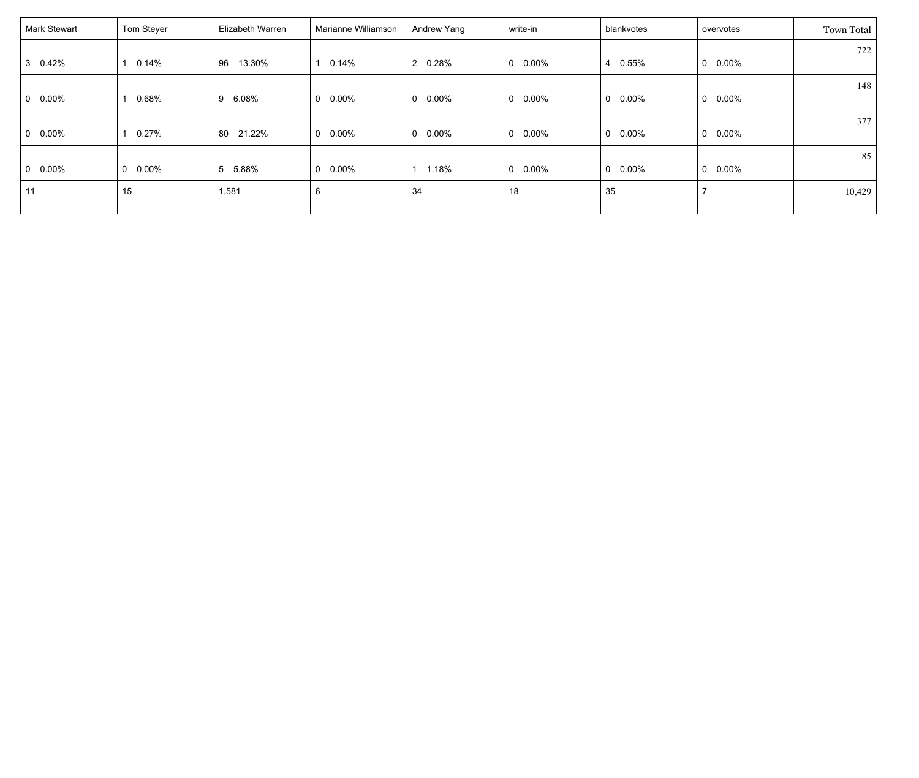| Mark Stewart    | Tom Steyer      | Elizabeth Warren | Marianne Williamson  | Andrew Yang           | write-in        | blankvotes               | overvotes       | Town Total |
|-----------------|-----------------|------------------|----------------------|-----------------------|-----------------|--------------------------|-----------------|------------|
|                 |                 |                  |                      |                       |                 |                          |                 | 722        |
| 3 0.42%         | 0.14%           | 13.30%<br>96     | 0.14%                | 2 0.28%               | $0\quad 0.00\%$ | 0.55%<br>4               | $0\quad 0.00\%$ |            |
|                 |                 |                  |                      |                       |                 |                          |                 | 148        |
| $0\quad 0.00\%$ | 0.68%           | 6.08%<br>9       | 0.00%<br>$\mathbf 0$ | 0.00%<br>$\mathbf{0}$ | $0\quad 0.00\%$ | $\mathbf{0}$<br>0.00%    | $0\quad 0.00\%$ |            |
|                 |                 |                  |                      |                       |                 |                          |                 | 377        |
| $0\quad 0.00\%$ | 0.27%           | 21.22%<br>80     | $0.00\%$<br>0        | $0\quad 0.00\%$       | $0\quad 0.00\%$ | $0.00\%$<br>$\Omega$     | $0$ 0.00%       |            |
|                 |                 |                  |                      |                       |                 |                          |                 | 85         |
| $0\quad 0.00\%$ | $0\quad 0.00\%$ | 5<br>5.88%       | 0.00%<br>0           | 1.18%                 | $0\quad 0.00\%$ | $\mathbf{0}$<br>$0.00\%$ | $0\quad 0.00\%$ |            |
| 11              | 15              | 1,581            | 6                    | 34                    | 18              | 35                       | 7               | 10,429     |
|                 |                 |                  |                      |                       |                 |                          |                 |            |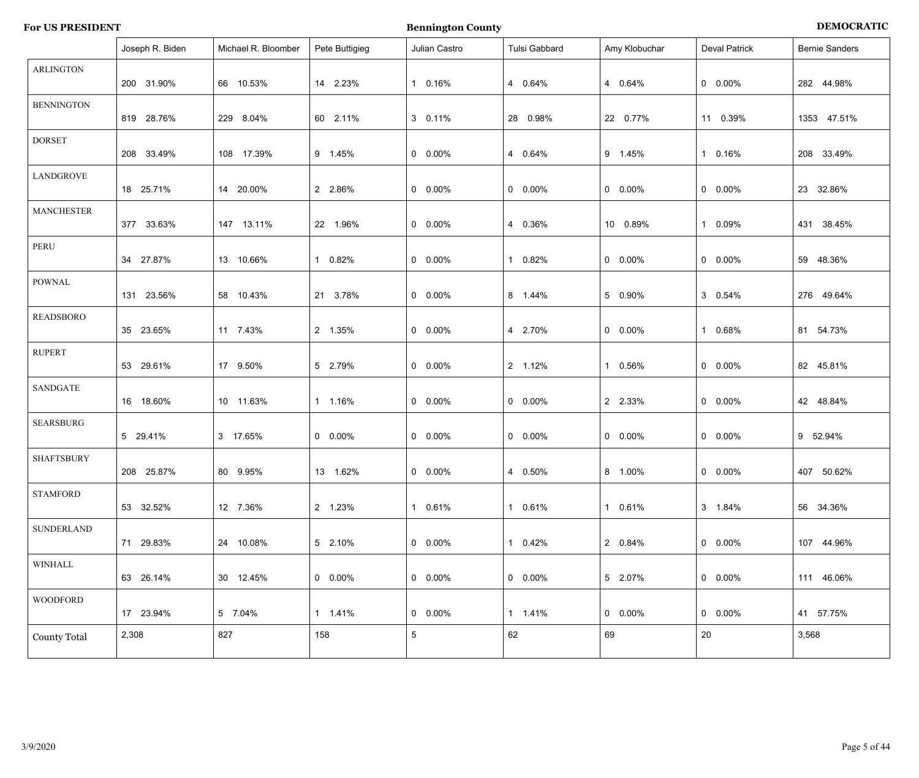| <b>For US PRESIDENT</b> |  |  |  |
|-------------------------|--|--|--|
|-------------------------|--|--|--|

**For Bennington County Bennington County BEMOCRATIC** 

|                     | Joseph R. Biden | Michael R. Bloomber | Pete Buttigieg  | Julian Castro   | Tulsi Gabbard   | Amy Klobuchar   | <b>Deval Patrick</b> | <b>Bernie Sanders</b> |
|---------------------|-----------------|---------------------|-----------------|-----------------|-----------------|-----------------|----------------------|-----------------------|
| <b>ARLINGTON</b>    | 200 31.90%      | 66 10.53%           | 14 2.23%        | 1 0.16%         | 4 0.64%         | 4 0.64%         | $0$ 0.00%            | 282 44.98%            |
| <b>BENNINGTON</b>   | 819 28.76%      | 229 8.04%           | 60 2.11%        | 3 0.11%         | 28 0.98%        | 22 0.77%        | 11 0.39%             | 1353 47.51%           |
| <b>DORSET</b>       | 208 33.49%      | 108 17.39%          | 9 1.45%         | $0\quad 0.00\%$ | 4 0.64%         | 9 1.45%         | 1 0.16%              | 208 33.49%            |
| <b>LANDGROVE</b>    | 18 25.71%       | 14 20.00%           | 2 2.86%         | $0\quad 0.00\%$ | $0 0.00\%$      | $0 0.00\%$      | $0$ 0.00%            | 23 32.86%             |
| <b>MANCHESTER</b>   | 377 33.63%      | 147 13.11%          | 22 1.96%        | $0\quad 0.00\%$ | 4 0.36%         | 10 0.89%        | $0.09\%$             | 431 38.45%            |
| PERU                | 34 27.87%       | 13 10.66%           | 0.82%           | $0\quad 0.00\%$ | 1 0.82%         | $0 0.00\%$      | $0$ 0.00%            | 59 48.36%             |
| <b>POWNAL</b>       | 131 23.56%      | 58 10.43%           | 21 3.78%        | $0\quad 0.00\%$ | 8 1.44%         | 5 0.90%         | 3 0.54%              | 276 49.64%            |
| <b>READSBORO</b>    | 35 23.65%       | 11 7.43%            | 2 1.35%         | $0\quad 0.00\%$ | 4 2.70%         | $0 0.00\%$      | $0.68\%$             | 81 54.73%             |
| <b>RUPERT</b>       | 53 29.61%       | 17 9.50%            | 5 2.79%         | $0\quad 0.00\%$ | 2 1.12%         | $0.56\%$        | $0$ 0.00%            | 82 45.81%             |
| <b>SANDGATE</b>     | 16 18.60%       | 10 11.63%           | 1 1.16%         | $0$ 0.00%       | $0 0.00\%$      | 2 2.33%         | $0$ 0.00%            | 42 48.84%             |
| <b>SEARSBURG</b>    | 5 29.41%        | 3 17.65%            | $0$ 0.00%       | $0 0.00\%$      | $0 0.00\%$      | $0 0.00\%$      | $0$ 0.00%            | 9 52.94%              |
| <b>SHAFTSBURY</b>   | 208 25.87%      | 80 9.95%            | 13 1.62%        | $0\quad 0.00\%$ | 4 0.50%         | 8 1.00%         | $0\quad 0.00\%$      | 407 50.62%            |
| <b>STAMFORD</b>     | 53 32.52%       | 12 7.36%            | 2 1.23%         | 1 0.61%         | 1 0.61%         | 1 0.61%         | 3 1.84%              | 56 34.36%             |
| SUNDERLAND          | 71 29.83%       | 24 10.08%           | 5 2.10%         | $0\quad 0.00\%$ | 1 0.42%         | 2 0.84%         | $0\quad 0.00\%$      | 107 44.96%            |
| WINHALL             | 63 26.14%       | 30 12.45%           | $0\quad 0.00\%$ | $0\quad 0.00\%$ | $0\quad 0.00\%$ | 5 2.07%         | $0\quad 0.00\%$      | 111 46.06%            |
| <b>WOODFORD</b>     | 17 23.94%       | 5 7.04%             | 1 1.41%         | $0\quad 0.00\%$ | 1 1.41%         | $0\quad 0.00\%$ | $0\quad 0.00\%$      | 41 57.75%             |
| <b>County Total</b> | 2,308           | 827                 | 158             | $5^{\circ}$     | 62              | 69              | 20                   | 3,568                 |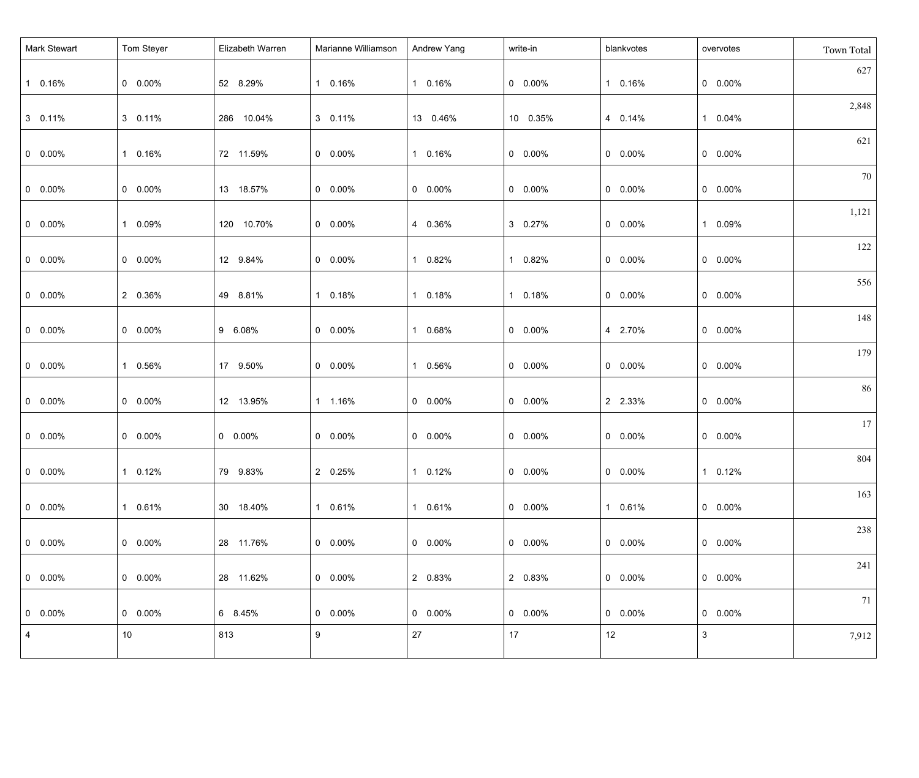| <b>Mark Stewart</b> | Tom Steyer            | Elizabeth Warren | Marianne Williamson | Andrew Yang     | write-in        | blankvotes      | overvotes       | Town Total |
|---------------------|-----------------------|------------------|---------------------|-----------------|-----------------|-----------------|-----------------|------------|
| 1 0.16%             | $0\quad 0.00\%$       | 52 8.29%         | 1 0.16%             | 1 0.16%         | $0\quad 0.00\%$ | 1 0.16%         | $0\quad 0.00\%$ | 627        |
| 3 0.11%             | 3 0.11%               | 286 10.04%       | 3 0.11%             | 13 0.46%        | 10 0.35%        | 4 0.14%         | 1 0.04%         | 2,848      |
| $0\quad 0.00\%$     | 1 0.16%               | 72 11.59%        | $0\quad 0.00\%$     | 1 0.16%         | $0\quad 0.00\%$ | $0\quad 0.00\%$ | $0\quad 0.00\%$ | 621        |
| $0\quad 0.00\%$     | $0\quad 0.00\%$       | 13 18.57%        | $0\quad 0.00\%$     | $0\quad 0.00\%$ | $0\quad 0.00\%$ | $0\quad 0.00\%$ | $0\quad 0.00\%$ | 70         |
| $0\quad 0.00\%$     | 1 0.09%               | 120 10.70%       | $0\quad 0.00\%$     | 4 0.36%         | 3 0.27%         | $0\quad 0.00\%$ | 1 0.09%         | 1,121      |
| $0\quad 0.00\%$     | $0\quad 0.00\%$       | 12 9.84%         | $0\quad 0.00\%$     | 1 0.82%         | 1 0.82%         | $0\quad 0.00\%$ | $0\quad 0.00\%$ | 122        |
| $0\quad 0.00\%$     | 2 0.36%               | 49 8.81%         | 1 0.18%             | 1 0.18%         | 1 0.18%         | $0\quad 0.00\%$ | $0\quad 0.00\%$ | 556        |
| $0\quad 0.00\%$     | $0\quad 0.00\%$       | 9 6.08%          | $0\quad 0.00\%$     | 1 0.68%         | $0\quad 0.00\%$ | 4 2.70%         | $0\quad 0.00\%$ | 148        |
| $0\quad 0.00\%$     | 1 0.56%               | 17 9.50%         | $0\quad 0.00\%$     | 1 0.56%         | $0\quad 0.00\%$ | $0\quad 0.00\%$ | $0\quad 0.00\%$ | 179        |
| $0\quad 0.00\%$     | $0\quad 0.00\%$       | 12 13.95%        | 1 1.16%             | $0\quad 0.00\%$ | $0\quad 0.00\%$ | 2 2.33%         | $0\quad 0.00\%$ | 86         |
| $0\quad 0.00\%$     | $0\quad 0.00\%$       | $0\quad 0.00\%$  | $0\quad 0.00\%$     | $0\quad 0.00\%$ | $0\quad 0.00\%$ | $0\quad 0.00\%$ | $0\quad 0.00\%$ | 17         |
| $0\quad 0.00\%$     | 0.12%<br>$\mathbf{1}$ | 79 9.83%         | 2 0.25%             | 1 0.12%         | $0\quad 0.00\%$ | $0$ 0.00%       | 1 0.12%         | 804        |
| $0$ 0.00%           | 1 0.61%               | 30 18.40%        | 1 0.61%             | 1 0.61%         | $0$ 0.00%       | 1 0.61%         | $0$ 0.00%       | 163        |
| $0$ 0.00%           | $0\quad 0.00\%$       | 28 11.76%        | $0\quad 0.00\%$     | $0\quad 0.00\%$ | $0\quad 0.00\%$ | $0\quad 0.00\%$ | $0\quad 0.00\%$ | 238        |
| $0$ 0.00%           | $0\quad 0.00\%$       | 28 11.62%        | $0\quad 0.00\%$     | 2 0.83%         | 2 0.83%         | $0\quad 0.00\%$ | $0\quad 0.00\%$ | 241        |
| $0$ 0.00%           | $0\quad 0.00\%$       | 6 8.45%          | $0\quad 0.00\%$     | $0\quad 0.00\%$ | $0\quad 0.00\%$ | $0\quad 0.00\%$ | $0\quad 0.00\%$ | 71         |
| $\overline{4}$      | 10                    | 813              | 9                   | 27              | 17              | 12              | $\mathbf{3}$    | 7,912      |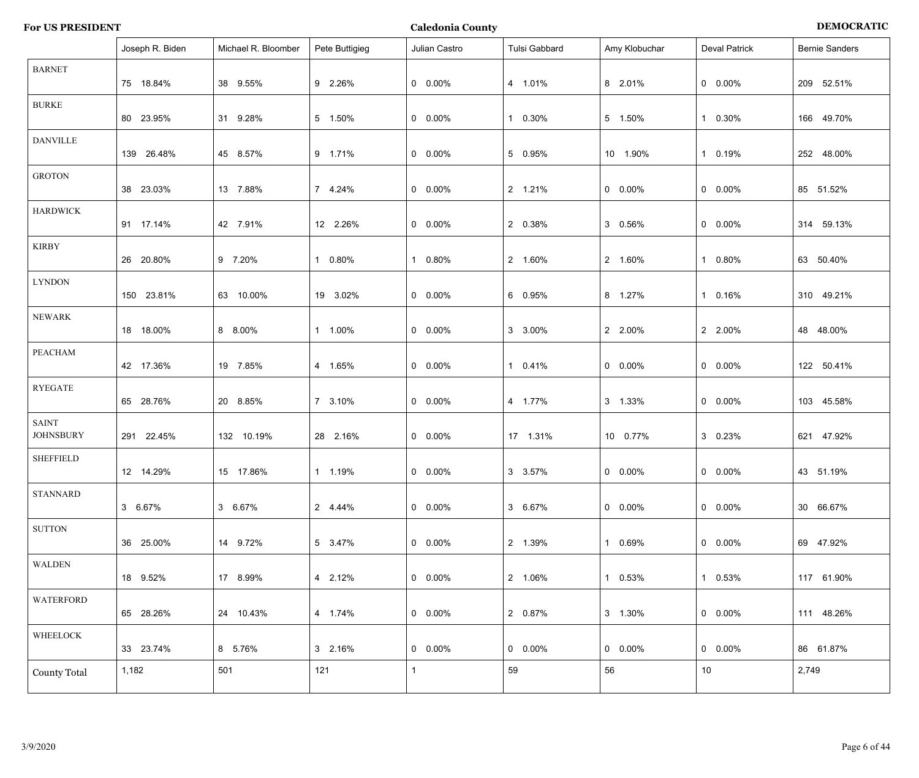| <b>For US PRESIDENT</b> |  |  |  |
|-------------------------|--|--|--|
|-------------------------|--|--|--|

**For US ASSESSED PERIODER ATTENTIC PERIODER ATTENTIC PERIODER ATTENTIC PERIODER ATTENTIC PERIODER ATTENTIC PERIODER ATTENTIC PERIODER ATTENTIC PERIODER ATTENTIC PERIODER ATTENTIC PERIODER ATTENTIC PERIODER ATTENTIC PERIODE** 

|                                  | Joseph R. Biden | Michael R. Bloomber | Pete Buttigieg | Julian Castro   | Tulsi Gabbard            | Amy Klobuchar   | <b>Deval Patrick</b> | <b>Bernie Sanders</b> |
|----------------------------------|-----------------|---------------------|----------------|-----------------|--------------------------|-----------------|----------------------|-----------------------|
| <b>BARNET</b>                    | 75 18.84%       | 38 9.55%            | 9 2.26%        | $0\quad 0.00\%$ | 4 1.01%                  | 8 2.01%         | $0\quad 0.00\%$      | 209 52.51%            |
| <b>BURKE</b>                     | 80 23.95%       | 31 9.28%            | 5 1.50%        | $0\quad 0.00\%$ | $0.30\%$<br>$\mathbf{1}$ | 5 1.50%         | 1 0.30%              | 166 49.70%            |
| <b>DANVILLE</b>                  | 139 26.48%      | 45 8.57%            | 9 1.71%        | $0\quad 0.00\%$ | 5 0.95%                  | 10 1.90%        | 1 0.19%              | 252 48.00%            |
| <b>GROTON</b>                    | 38 23.03%       | 13 7.88%            | 7 4.24%        | $0\quad 0.00\%$ | 2 1.21%                  | $0 0.00\%$      | $0$ 0.00%            | 85 51.52%             |
| <b>HARDWICK</b>                  | 91 17.14%       | 42 7.91%            | 12 2.26%       | $0\quad 0.00\%$ | 2 0.38%                  | 3 0.56%         | $0\quad 0.00\%$      | 314 59.13%            |
| <b>KIRBY</b>                     | 26 20.80%       | 9 7.20%             | 1 0.80%        | 1 0.80%         | 2 1.60%                  | 2 1.60%         | 1 0.80%              | 63 50.40%             |
| <b>LYNDON</b>                    | 150 23.81%      | 63 10.00%           | 19 3.02%       | $0\quad 0.00\%$ | 6 0.95%                  | 8 1.27%         | 1 0.16%              | 310 49.21%            |
| NEWARK                           | 18 18.00%       | 8 8.00%             | 1 1.00%        | $0\quad 0.00\%$ | 3 3.00%                  | 2 2.00%         | 2 2.00%              | 48 48.00%             |
| PEACHAM                          | 42 17.36%       | 19 7.85%            | 4 1.65%        | $0\quad 0.00\%$ | 1 0.41%                  | $0 0.00\%$      | $0$ 0.00%            | 122 50.41%            |
| <b>RYEGATE</b>                   | 65 28.76%       | 20 8.85%            | 7 3.10%        | $0\quad 0.00\%$ | 4 1.77%                  | 3 1.33%         | $0\quad 0.00\%$      | 103 45.58%            |
| <b>SAINT</b><br><b>JOHNSBURY</b> | 291 22.45%      | 132 10.19%          | 28 2.16%       | $0\quad 0.00\%$ | 17 1.31%                 | 10 0.77%        | 3 0.23%              | 621 47.92%            |
| <b>SHEFFIELD</b>                 | 12 14.29%       | 15 17.86%           | 1 1.19%        | $0$ 0.00%       | 3 3.57%                  | $0\quad 0.00\%$ | $0\quad 0.00\%$      | 43 51.19%             |
| <b>STANNARD</b>                  | 3 6.67%         | 3 6.67%             | 2 4.44%        | $0$ 0.00%       | 3 6.67%                  | $0\quad 0.00\%$ | $0\quad 0.00\%$      | 30 66.67%             |
| <b>SUTTON</b>                    | 36 25.00%       | 14 9.72%            | 5 3.47%        | $0\quad 0.00\%$ | 2 1.39%                  | 1 0.69%         | $0\quad 0.00\%$      | 69 47.92%             |
| WALDEN                           | 18 9.52%        | 17 8.99%            | 4 2.12%        | $0\quad 0.00\%$ | 2 1.06%                  | 1 0.53%         | 1 0.53%              | 117 61.90%            |
| WATERFORD                        | 65 28.26%       | 24 10.43%           | 4 1.74%        | $0\quad 0.00\%$ | 2 0.87%                  | 3 1.30%         | $0\quad 0.00\%$      | 111 48.26%            |
| WHEELOCK                         | 33 23.74%       | 8 5.76%             | 3 2.16%        | $0\quad 0.00\%$ | $0\quad 0.00\%$          | $0\quad 0.00\%$ | $0\quad 0.00\%$      | 86 61.87%             |
| <b>County Total</b>              | 1,182           | 501                 | 121            | $\mathbf{1}$    | 59                       | 56              | 10                   | 2,749                 |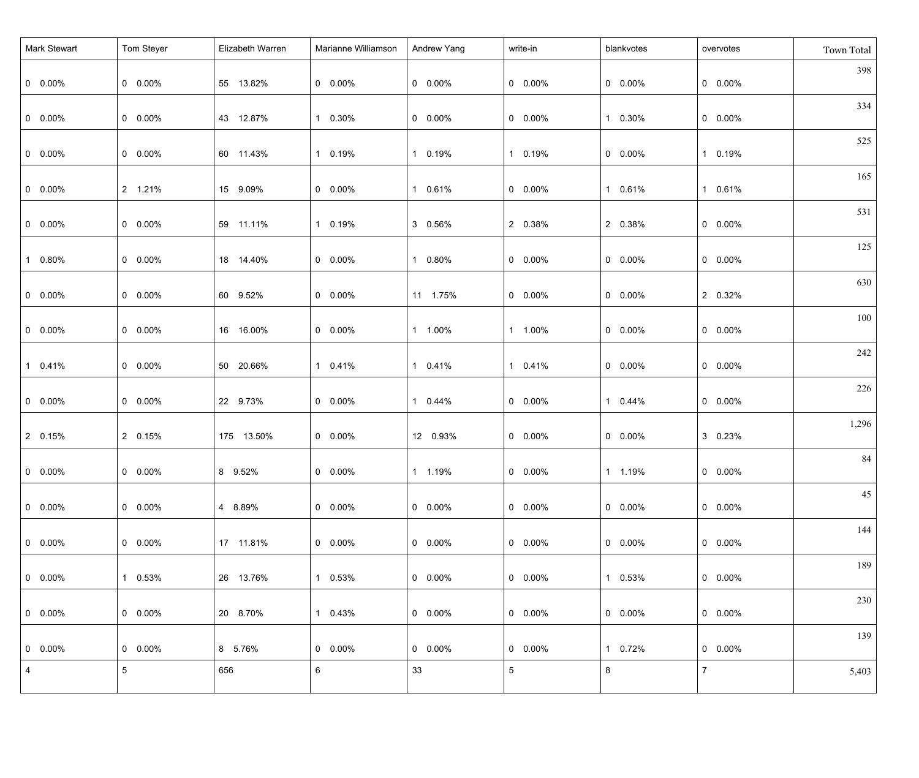| <b>Mark Stewart</b> | Tom Steyer      | Elizabeth Warren | Marianne Williamson | Andrew Yang           | write-in        | blankvotes      | overvotes       | Town Total |
|---------------------|-----------------|------------------|---------------------|-----------------------|-----------------|-----------------|-----------------|------------|
| $0\quad 0.00\%$     | $0 0.00\%$      | 55 13.82%        | $0\quad 0.00\%$     | $0\quad 0.00\%$       | $0$ 0.00%       | $0\quad 0.00\%$ | $0\quad 0.00\%$ | 398        |
| $0\quad 0.00\%$     | $0 0.00\%$      | 43 12.87%        | 1 0.30%             | $0\quad 0.00\%$       | $0$ 0.00%       | 1 0.30%         | $0$ 0.00%       | 334        |
| $0\quad 0.00\%$     | $0 0.00\%$      | 60 11.43%        | 1 0.19%             | 1 0.19%               | 1 0.19%         | $0\quad 0.00\%$ | 1 0.19%         | 525        |
| $0\quad 0.00\%$     | 2 1.21%         | 15 9.09%         | $0\quad 0.00\%$     | 1 0.61%               | $0$ 0.00%       | 1 0.61%         | 1 0.61%         | 165        |
| $0\quad 0.00\%$     | $0 0.00\%$      | 59 11.11%        | 1 0.19%             | 3 0.56%               | 2 0.38%         | 2 0.38%         | $0$ 0.00%       | 531        |
| 1 0.80%             | $0 0.00\%$      | 18 14.40%        | $0\quad 0.00\%$     | $0.80\%$<br>1         | $0$ 0.00%       | $0\quad 0.00\%$ | $0$ 0.00%       | 125        |
| $0\quad 0.00\%$     | $0 0.00\%$      | 60 9.52%         | $0\quad 0.00\%$     | 11 1.75%              | $0$ 0.00%       | $0\quad 0.00\%$ | 2 0.32%         | 630        |
| $0\quad 0.00\%$     | $0 0.00\%$      | 16 16.00%        | $0\quad 0.00\%$     | 1 1.00%               | 1 1.00%         | $0\quad 0.00\%$ | $0 0.00\%$      | 100        |
| 1 0.41%             | $0 0.00\%$      | 50 20.66%        | 1 0.41%             | 1 0.41%               | 1 0.41%         | $0\quad 0.00\%$ | $0 0.00\%$      | 242        |
| $0 0.00\%$          | $0 0.00\%$      | 22 9.73%         | $0\quad 0.00\%$     | 0.44%<br>$\mathbf{1}$ | $0$ 0.00%       | 1 0.44%         | $0 0.00\%$      | 226        |
| 2 0.15%             | 2 0.15%         | 175 13.50%       | $0\quad 0.00\%$     | 12 0.93%              | $0$ 0.00%       | $0\quad 0.00\%$ | 3 0.23%         | 1,296      |
| $0 0.00\%$          | $0 0.00\%$      | 8 9.52%          | $0$ 0.00%           | 1 1.19%               | $0$ 0.00%       | 1 1.19%         | $0 0.00\%$      | 84         |
| $  0 0.00\%$        | $0 0.00\%$      | 4 8.89%          | $0\quad 0.00\%$     | $0\quad 0.00\%$       | $0\quad 0.00\%$ | $0\quad 0.00\%$ | $0 0.00\%$      | 45         |
| $0\quad 0.00\%$     | $0.00\%$        | 17 11.81%        | $0\quad 0.00\%$     | $0\quad 0.00\%$       | $0\quad 0.00\%$ | $0\quad 0.00\%$ | $0 0.00\%$      | 144        |
| $0\quad 0.00\%$     | 1 0.53%         | 26 13.76%        | 1 0.53%             | $0\quad 0.00\%$       | $0$ 0.00%       | 1 0.53%         | $0$ 0.00%       | 189        |
| $  0 0.00\%$        | $0\quad 0.00\%$ | 20 8.70%         | 1 0.43%             | $0\quad 0.00\%$       | $0\quad 0.00\%$ | $0\quad 0.00\%$ | $0 0.00\%$      | 230        |
| $0\quad 0.00\%$     | $0 0.00\%$      | 8 5.76%          | $0\quad 0.00\%$     | $0\quad 0.00\%$       | $0\quad 0.00\%$ | 1 0.72%         | $0\quad 0.00\%$ | 139        |
| $\overline{4}$      | $5\overline{)}$ | 656              | 6                   | 33                    | 5 <sub>5</sub>  | 8               | $\overline{7}$  | 5,403      |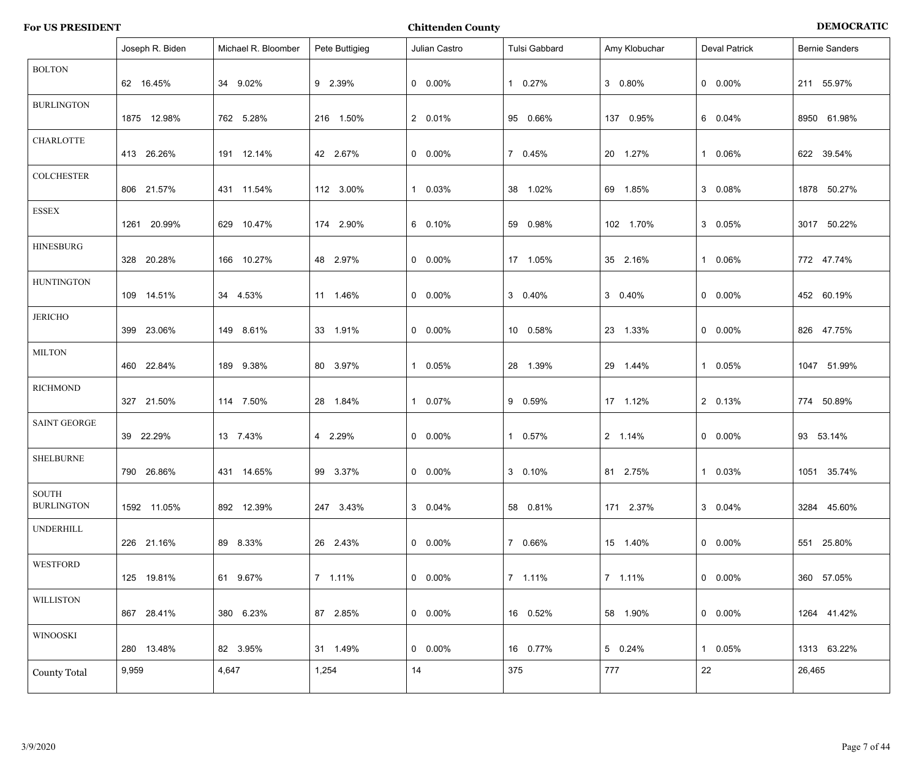|                                   | Joseph R. Biden | Michael R. Bloomber | Pete Buttigieg | Julian Castro   | Tulsi Gabbard | Amy Klobuchar | <b>Deval Patrick</b> | <b>Bernie Sanders</b> |
|-----------------------------------|-----------------|---------------------|----------------|-----------------|---------------|---------------|----------------------|-----------------------|
| <b>BOLTON</b>                     | 62 16.45%       | 34 9.02%            | 9 2.39%        | $0\quad 0.00\%$ | 1 0.27%       | 3 0.80%       | $0\quad 0.00\%$      | 211 55.97%            |
| <b>BURLINGTON</b>                 | 1875 12.98%     | 762 5.28%           | 216 1.50%      | 2 0.01%         | 95 0.66%      | 137 0.95%     | 6 0.04%              | 8950 61.98%           |
| <b>CHARLOTTE</b>                  | 413 26.26%      | 191 12.14%          | 42 2.67%       | $0\quad 0.00\%$ | 7 0.45%       | 20 1.27%      | 1 0.06%              | 622 39.54%            |
| <b>COLCHESTER</b>                 | 806 21.57%      | 431 11.54%          | 112 3.00%      | 1 0.03%         | 38 1.02%      | 69 1.85%      | 3 0.08%              | 1878 50.27%           |
| <b>ESSEX</b>                      | 1261 20.99%     | 629 10.47%          | 174 2.90%      | 6 0.10%         | 59 0.98%      | 102 1.70%     | 3 0.05%              | 3017 50.22%           |
| <b>HINESBURG</b>                  | 328 20.28%      | 166 10.27%          | 48 2.97%       | $0\quad 0.00\%$ | 17 1.05%      | 35 2.16%      | 1 0.06%              | 772 47.74%            |
| <b>HUNTINGTON</b>                 | 109 14.51%      | 34 4.53%            | 11 1.46%       | $0\quad 0.00\%$ | 3 0.40%       | 3 0.40%       | $0\quad 0.00\%$      | 452 60.19%            |
| <b>JERICHO</b>                    | 399 23.06%      | 149 8.61%           | 33 1.91%       | $0\quad 0.00\%$ | 10 0.58%      | 23 1.33%      | $0\quad 0.00\%$      | 826 47.75%            |
| <b>MILTON</b>                     | 460 22.84%      | 189 9.38%           | 80 3.97%       | 1 0.05%         | 28 1.39%      | 29 1.44%      | 1 0.05%              | 1047 51.99%           |
| <b>RICHMOND</b>                   | 327 21.50%      | 114 7.50%           | 28 1.84%       | 1 0.07%         | 9 0.59%       | 17 1.12%      | 2 0.13%              | 774 50.89%            |
| <b>SAINT GEORGE</b>               | 39 22.29%       | 13 7.43%            | 4 2.29%        | $0\quad 0.00\%$ | 1 0.57%       | 2 1.14%       | $0\quad 0.00\%$      | 93 53.14%             |
| <b>SHELBURNE</b>                  | 790 26.86%      | 431 14.65%          | 99 3.37%       | $0$ 0.00%       | 3 0.10%       | 81 2.75%      | 1 0.03%              | 1051 35.74%           |
| <b>SOUTH</b><br><b>BURLINGTON</b> | 1592 11.05%     | 892 12.39%          | 247 3.43%      | 3 0.04%         | 58 0.81%      | 171 2.37%     | 3 0.04%              | 3284 45.60%           |
| <b>UNDERHILL</b>                  | 226 21.16%      | 89 8.33%            | 26 2.43%       | $0\quad 0.00\%$ | 7 0.66%       | 15 1.40%      | $0\quad 0.00\%$      | 25.80%<br>551         |
| <b>WESTFORD</b>                   | 125 19.81%      | 61 9.67%            | 7 1.11%        | $0\quad 0.00\%$ | 7 1.11%       | 7 1.11%       | $0\quad 0.00\%$      | 360 57.05%            |
| <b>WILLISTON</b>                  | 867 28.41%      | 380 6.23%           | 87 2.85%       | $0\quad 0.00\%$ | 16 0.52%      | 58 1.90%      | $0\quad 0.00\%$      | 1264 41.42%           |
| <b>WINOOSKI</b>                   | 280 13.48%      | 82 3.95%            | 31 1.49%       | $0\quad 0.00\%$ | 16 0.77%      | 5 0.24%       | 1 0.05%              | 1313 63.22%           |
| <b>County Total</b>               | 9,959           | 4,647               | 1,254          | 14              | 375           | 777           | 22                   | 26,465                |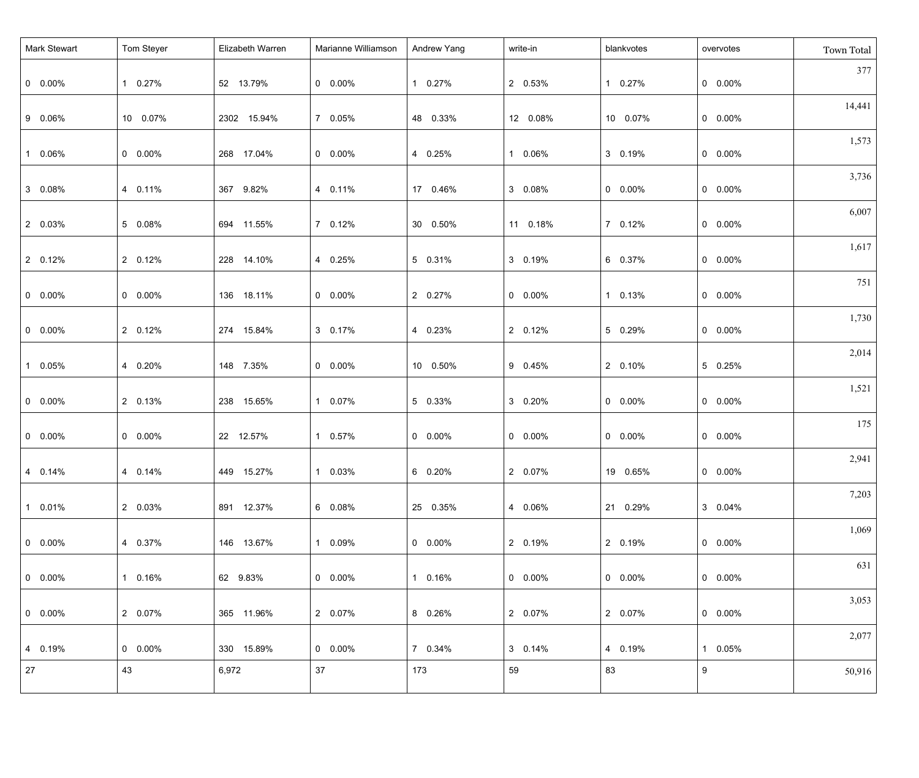| <b>Mark Stewart</b> | Tom Steyer      | Elizabeth Warren | Marianne Williamson | Andrew Yang     | write-in        | blankvotes      | overvotes       | Town Total |
|---------------------|-----------------|------------------|---------------------|-----------------|-----------------|-----------------|-----------------|------------|
| $0\quad 0.00\%$     | 1 0.27%         | 52 13.79%        | $0\quad 0.00\%$     | 1 0.27%         | 2 0.53%         | 1 0.27%         | $0\quad 0.00\%$ | 377        |
| 9 0.06%             | 10 0.07%        | 2302 15.94%      | 7 0.05%             | 48 0.33%        | 12 0.08%        | 10 0.07%        | $0\quad 0.00\%$ | 14,441     |
| 1 0.06%             | $0 0.00\%$      | 268 17.04%       | $0\quad 0.00\%$     | 4 0.25%         | 1 0.06%         | 3 0.19%         | $0\quad 0.00\%$ | 1,573      |
| 3 0.08%             | 4 0.11%         | 367 9.82%        | 4 0.11%             | 17 0.46%        | 3 0.08%         | $0\quad 0.00\%$ | $0\quad 0.00\%$ | 3,736      |
| 2 0.03%             | 5 0.08%         | 694 11.55%       | 7 0.12%             | 30 0.50%        | 11 0.18%        | 7 0.12%         | $0\quad 0.00\%$ | 6,007      |
| 2 0.12%             | 2 0.12%         | 228 14.10%       | 4 0.25%             | 5 0.31%         | 3 0.19%         | 6 0.37%         | $0\quad 0.00\%$ | 1,617      |
| $0\quad 0.00\%$     | $0\quad 0.00\%$ | 136 18.11%       | $0\quad 0.00\%$     | 2 0.27%         | $0\quad 0.00\%$ | 1 0.13%         | $0\quad 0.00\%$ | 751        |
| $0\quad 0.00\%$     | 2 0.12%         | 274 15.84%       | 3 0.17%             | 4 0.23%         | 2 0.12%         | 5 0.29%         | $0\quad 0.00\%$ | 1,730      |
| 1 0.05%             | 4 0.20%         | 148 7.35%        | $0\quad 0.00\%$     | 10 0.50%        | 9 0.45%         | 2 0.10%         | 5 0.25%         | 2,014      |
| $0\quad 0.00\%$     | 2 0.13%         | 238 15.65%       | 1 0.07%             | 5 0.33%         | 3 0.20%         | $0\quad 0.00\%$ | $0\quad 0.00\%$ | 1,521      |
| $0\quad 0.00\%$     | $0 0.00\%$      | 22 12.57%        | 1 0.57%             | $0\quad 0.00\%$ | $0\quad 0.00\%$ | $0\quad 0.00\%$ | $0\quad 0.00\%$ | 175        |
| 4 0.14%             | 4 0.14%         | 449 15.27%       | 1 0.03%             | 6 0.20%         | 2 0.07%         | 19 0.65%        | $0$ 0.00%       | 2,941      |
| $10.01\%$           | 2 0.03%         | 891 12.37%       | 6  0.08%            | 25 0.35%        | 4 0.06%         | 21 0.29%        | 3 0.04%         | 7,203      |
| $  0 0.00\%$        | 4 0.37%         | 146 13.67%       | 1 0.09%             | $0\quad 0.00\%$ | 2 0.19%         | 2 0.19%         | $0\quad 0.00\%$ | 1,069      |
| $  0 0.00\%$        | 1 0.16%         | 62 9.83%         | $0\quad 0.00\%$     | 1 0.16%         | $0\quad 0.00\%$ | $0\quad 0.00\%$ | $0\quad 0.00\%$ | 631        |
| $  0 0.00\%$        | 2 0.07%         | 365 11.96%       | 2 0.07%             | 8 0.26%         | 2 0.07%         | 2 0.07%         | $0\quad 0.00\%$ | 3,053      |
| $ 4 0.19\%$         | $0\quad 0.00\%$ | 330 15.89%       | $0\quad 0.00\%$     | 7 0.34%         | 3 0.14%         | 4 0.19%         | 1 0.05%         | 2,077      |
| 27                  | 43              | 6,972            | 37                  | 173             | 59              | 83              | 9               | 50,916     |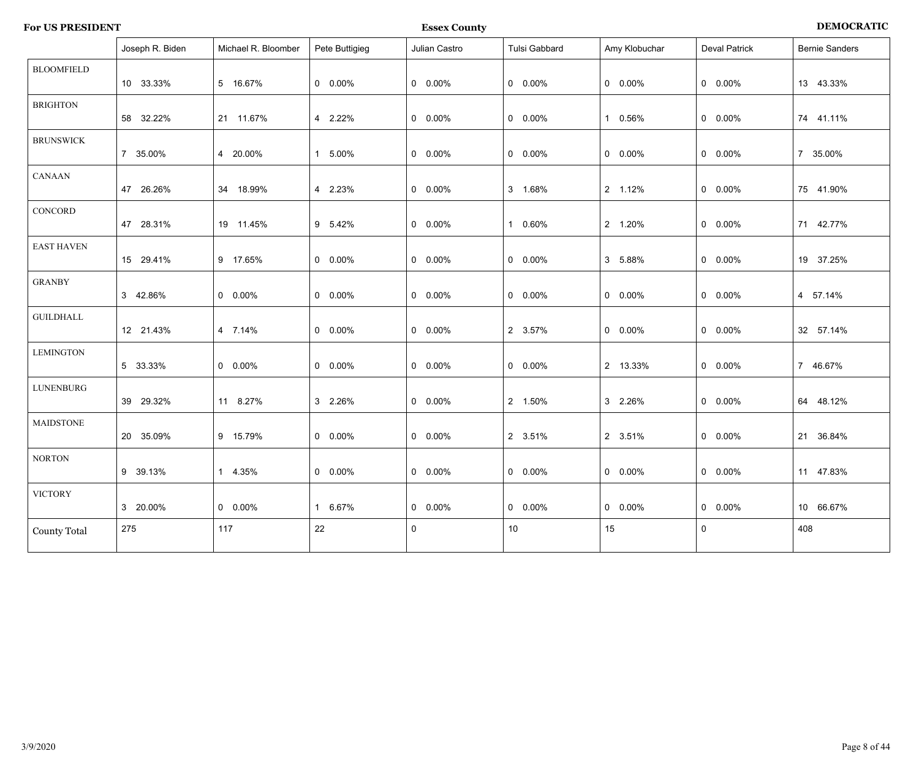| <b>For US PRESIDENT</b> | <b>Essex County</b> | <b>DEMOCRATIC</b> |
|-------------------------|---------------------|-------------------|
|                         |                     |                   |

|                     | Joseph R. Biden | Michael R. Bloomber | Pete Buttigieg  | Julian Castro   | Tulsi Gabbard   | Amy Klobuchar   | <b>Deval Patrick</b> | <b>Bernie Sanders</b> |
|---------------------|-----------------|---------------------|-----------------|-----------------|-----------------|-----------------|----------------------|-----------------------|
| <b>BLOOMFIELD</b>   | 10 33.33%       | 5 16.67%            | $0\quad 0.00\%$ | $0$ 0.00%       | $0\quad 0.00\%$ | $0\quad 0.00\%$ | $0\quad 0.00\%$      | 13 43.33%             |
|                     |                 |                     |                 |                 |                 |                 |                      |                       |
| <b>BRIGHTON</b>     | 58 32.22%       | 21 11.67%           | 4 2.22%         | $0$ 0.00%       | $0\quad 0.00\%$ | 1 0.56%         | $0$ 0.00%            | 74 41.11%             |
| <b>BRUNSWICK</b>    |                 |                     |                 |                 |                 |                 |                      |                       |
|                     | 7 35.00%        | 4 20.00%            | 1 5.00%         | $0$ 0.00%       | $0.00\%$        | $0.00\%$        | $0\quad 0.00\%$      | 7 35.00%              |
| <b>CANAAN</b>       |                 |                     |                 |                 |                 |                 |                      |                       |
|                     | 47 26.26%       | 34 18.99%           | 4 2.23%         | $0$ 0.00%       | 3 1.68%         | 2 1.12%         | $0$ 0.00%            | 75 41.90%             |
| CONCORD             |                 |                     |                 |                 |                 |                 |                      |                       |
|                     | 47 28.31%       | 19 11.45%           | 9 5.42%         | $0$ 0.00%       | 1 0.60%         | 2 1.20%         | $0$ 0.00%            | 71 42.77%             |
| <b>EAST HAVEN</b>   |                 |                     |                 |                 |                 |                 |                      |                       |
|                     | 15 29.41%       | 9 17.65%            | $0\quad 0.00\%$ | $0.00\%$        | $0.00\%$        | 3 5.88%         | $0$ 0.00%            | 19 37.25%             |
| <b>GRANBY</b>       |                 |                     |                 |                 |                 |                 |                      |                       |
|                     | 3 42.86%        | $0$ 0.00%           | $0\quad 0.00\%$ | $0$ 0.00%       | $0\quad 0.00\%$ | $0$ 0.00%       | $0$ 0.00%            | 4 57.14%              |
| <b>GUILDHALL</b>    |                 |                     |                 |                 |                 |                 |                      |                       |
|                     | 12 21.43%       | 4 7.14%             | $0\quad 0.00\%$ | $0\quad 0.00\%$ | 2 3.57%         | $0\quad 0.00\%$ | $0$ 0.00%            | 32 57.14%             |
| <b>LEMINGTON</b>    |                 |                     |                 |                 |                 |                 |                      |                       |
|                     | 5 33.33%        | $0$ 0.00%           | $0\quad 0.00\%$ | $0$ 0.00%       | $0 0.00\%$      | 2 13.33%        | $0 0.00\%$           | 7 46.67%              |
| <b>LUNENBURG</b>    |                 |                     |                 |                 |                 |                 |                      |                       |
|                     | 39 29.32%       | 11 8.27%            | 3 2.26%         | $0$ 0.00%       | 2 1.50%         | 3 2.26%         | $0$ 0.00%            | 64 48.12%             |
| <b>MAIDSTONE</b>    |                 |                     |                 |                 |                 |                 |                      |                       |
|                     | 20 35.09%       | 9 15.79%            | $0\quad 0.00\%$ | $0\quad 0.00\%$ | 2 3.51%         | 2 3.51%         | $0\quad 0.00\%$      | 21 36.84%             |
| <b>NORTON</b>       |                 |                     |                 |                 |                 |                 |                      |                       |
|                     | 9 39.13%        | 1 4.35%             | $0\quad 0.00\%$ | $0$ 0.00%       | $0.00\%$        | $0$ 0.00%       | $0$ 0.00%            | 11 47.83%             |
| <b>VICTORY</b>      |                 |                     |                 |                 |                 |                 |                      |                       |
|                     | 3 20.00%        | $0$ 0.00%           | 1 6.67%         | $0$ 0.00%       | $0$ 0.00%       | $0$ 0.00%       | $0$ 0.00%            | 10 66.67%             |
| <b>County Total</b> | 275             | 117                 | 22              | $\mathbf 0$     | $10$            | 15              | $\mathbf 0$          | 408                   |
|                     |                 |                     |                 |                 |                 |                 |                      |                       |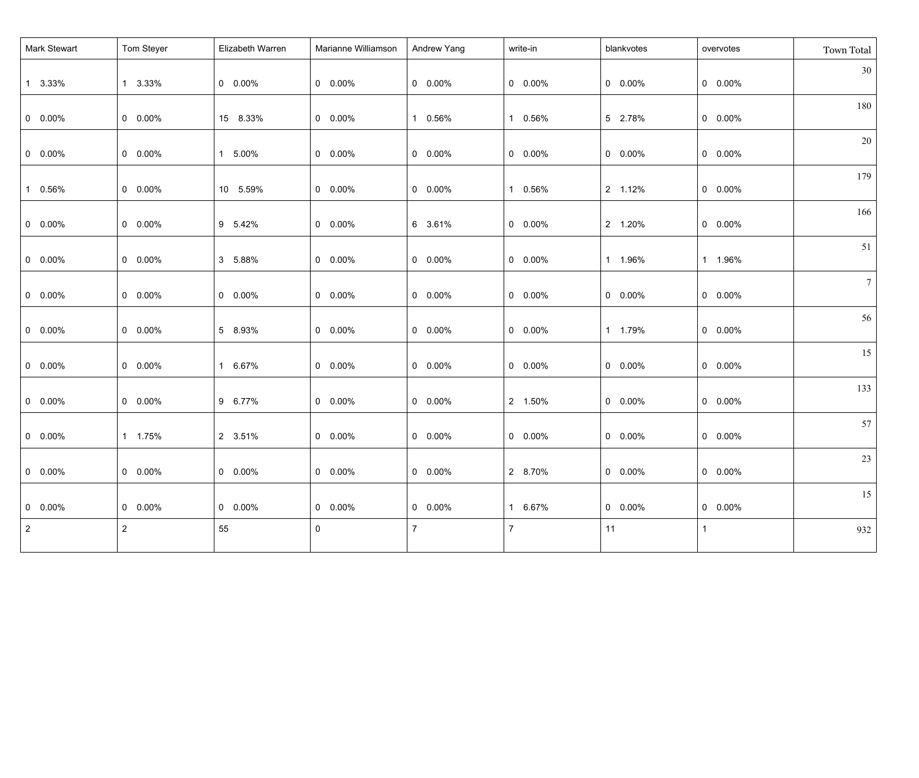| Mark Stewart    | Tom Steyer     | Elizabeth Warren | Marianne Williamson | Andrew Yang     | write-in       | blankvotes      | overvotes       | Town Total      |
|-----------------|----------------|------------------|---------------------|-----------------|----------------|-----------------|-----------------|-----------------|
| 1 3.33%         | 1 3.33%        | $0\quad 0.00\%$  | $0\quad 0.00\%$     | $0\quad 0.00\%$ | $0$ 0.00%      | $0\quad 0.00\%$ | $0$ 0.00%       | 30              |
| $0\quad 0.00\%$ | $0 0.00\%$     | 15 8.33%         | $0\quad 0.00\%$     | 1 0.56%         | 1 0.56%        | 5 2.78%         | $0$ 0.00%       | 180             |
| $0$ 0.00%       | $0 0.00\%$     | 1 5.00%          | $0\quad 0.00\%$     | $0\quad 0.00\%$ | $0$ 0.00%      | $0\quad 0.00\%$ | $0$ 0.00%       | 20              |
| 1 0.56%         | $0 0.00\%$     | 10 5.59%         | $0\quad 0.00\%$     | $0\quad 0.00\%$ | 1 0.56%        | 2 1.12%         | $0$ 0.00%       | 179             |
| $0\quad 0.00\%$ | $0 0.00\%$     | 9 5.42%          | $0\quad 0.00\%$     | 6 3.61%         | $0$ 0.00%      | 2 1.20%         | $0$ 0.00%       | 166             |
| $0$ 0.00%       | $0 0.00\%$     | 3 5.88%          | $0\quad 0.00\%$     | $0\quad 0.00\%$ | $0$ 0.00%      | 1 1.96%         | 1 1.96%         | 51              |
| $0\quad 0.00\%$ | $0 0.00\%$     | $0\quad 0.00\%$  | $0\quad 0.00\%$     | $0\quad 0.00\%$ | $0$ 0.00%      | $0\quad 0.00\%$ | $0$ 0.00%       | $7\overline{ }$ |
| $0$ 0.00%       | $0 0.00\%$     | 5 8.93%          | $0\quad 0.00\%$     | $0\quad 0.00\%$ | $0$ 0.00%      | 1 1.79%         | $0$ 0.00%       | 56              |
| $0 0.00\%$      | $0 0.00\%$     | 1 6.67%          | $0\quad 0.00\%$     | $0\quad 0.00\%$ | $0$ 0.00%      | $0\quad 0.00\%$ | $0$ 0.00%       | 15              |
| $0\quad 0.00\%$ | $0 0.00\%$     | 9 6.77%          | $0\quad 0.00\%$     | $0\quad 0.00\%$ | 2 1.50%        | $0\quad 0.00\%$ | $0\quad 0.00\%$ | 133             |
| $0 0.00\%$      | 1 1.75%        | 2 3.51%          | $0\quad 0.00\%$     | $0\quad 0.00\%$ | $0$ 0.00%      | $0\quad 0.00\%$ | $0\quad 0.00\%$ | 57              |
| $0$ 0.00%       | $0$ 0.00%      | $0$ 0.00%        | $0$ 0.00%           | $0$ 0.00%       | 2 8.70%        | $0$ 0.00%       | $0 0.00\%$      | 23              |
| $0\quad 0.00\%$ | $0$ 0.00%      | $0\quad 0.00\%$  | $0\quad 0.00\%$     | $0\quad 0.00\%$ | 1 6.67%        | $0\quad 0.00\%$ | $0$ 0.00%       | 15              |
| $\overline{2}$  | $\overline{2}$ | 55               | 0                   | $\overline{7}$  | $\overline{7}$ | 11              |                 | 932             |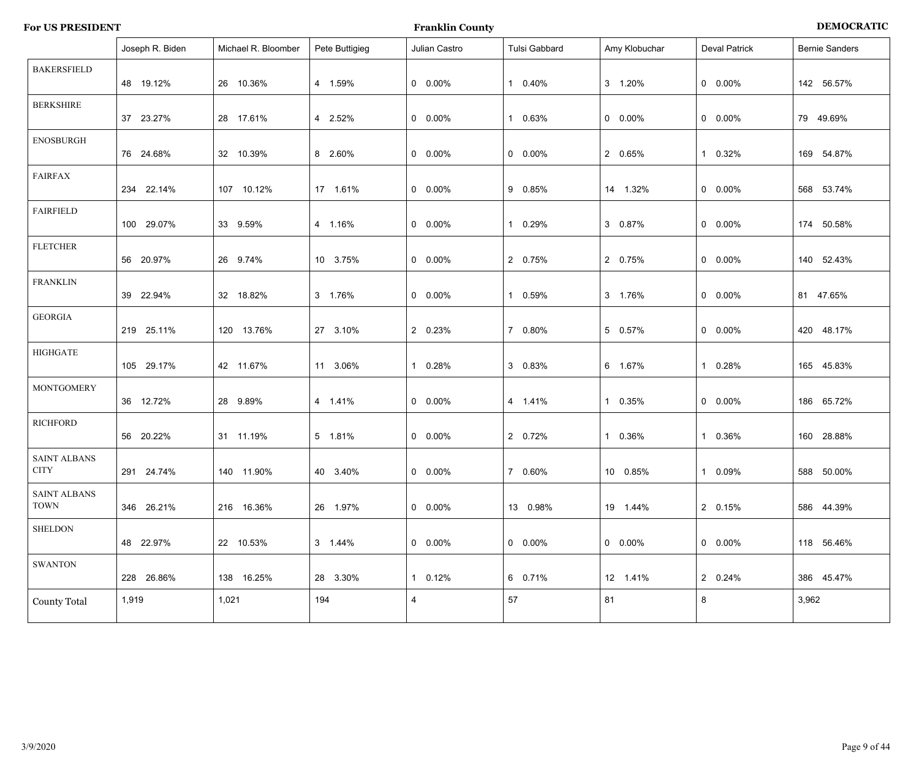| <b>DEMOCRATIC</b> |
|-------------------|
|                   |

|                                    | Joseph R. Biden | Michael R. Bloomber | Pete Buttigieg | Julian Castro           | Tulsi Gabbard   | Amy Klobuchar   | <b>Deval Patrick</b> | <b>Bernie Sanders</b> |
|------------------------------------|-----------------|---------------------|----------------|-------------------------|-----------------|-----------------|----------------------|-----------------------|
| <b>BAKERSFIELD</b>                 | 48 19.12%       | 26 10.36%           | 4 1.59%        | $0\quad 0.00\%$         | 1 0.40%         | 3 1.20%         | $0\quad 0.00\%$      | 142 56.57%            |
| <b>BERKSHIRE</b>                   | 37 23.27%       | 28 17.61%           | 4 2.52%        | $0\quad 0.00\%$         | 1 0.63%         | $0 0.00\%$      | $0\quad 0.00\%$      | 79 49.69%             |
| <b>ENOSBURGH</b>                   | 76 24.68%       | 32 10.39%           | 8 2.60%        | $0\quad 0.00\%$         | $0\quad 0.00\%$ | 2 0.65%         | 1 0.32%              | 169 54.87%            |
| <b>FAIRFAX</b>                     | 234 22.14%      | 107 10.12%          | 17  1.61%      | $0\quad 0.00\%$         | 9 0.85%         | 14 1.32%        | $0\quad 0.00\%$      | 568 53.74%            |
| <b>FAIRFIELD</b>                   | 100 29.07%      | 33 9.59%            | 4 1.16%        | $0\quad 0.00\%$         | 1 0.29%         | 3 0.87%         | $0\quad 0.00\%$      | 174 50.58%            |
| <b>FLETCHER</b>                    | 56 20.97%       | 26 9.74%            | 10 3.75%       | $0\quad 0.00\%$         | 2 0.75%         | 2 0.75%         | $0\quad 0.00\%$      | 140 52.43%            |
| <b>FRANKLIN</b>                    | 39 22.94%       | 32 18.82%           | 3 1.76%        | $0\quad 0.00\%$         | 1 0.59%         | 3 1.76%         | $0\quad 0.00\%$      | 81 47.65%             |
| <b>GEORGIA</b>                     | 219 25.11%      | 120 13.76%          | 27 3.10%       | 2 0.23%                 | 7 0.80%         | 5 0.57%         | $0\quad 0.00\%$      | 420 48.17%            |
| <b>HIGHGATE</b>                    | 105 29.17%      | 42 11.67%           | 11 3.06%       | 1 0.28%                 | 3 0.83%         | 6 1.67%         | 1 0.28%              | 165 45.83%            |
| <b>MONTGOMERY</b>                  | 36 12.72%       | 28 9.89%            | 4 1.41%        | $0\quad 0.00\%$         | 4 1.41%         | 1 0.35%         | $0\quad 0.00\%$      | 186 65.72%            |
| <b>RICHFORD</b>                    | 56 20.22%       | 31 11.19%           | 5 1.81%        | $0\quad 0.00\%$         | 2 0.72%         | 1 0.36%         | 1 0.36%              | 160 28.88%            |
| <b>SAINT ALBANS</b><br><b>CITY</b> | 291 24.74%      | 140 11.90%          | 40 3.40%       | $0$ 0.00%               | 7 0.60%         | 10  0.85%       | 1 0.09%              | 588 50.00%            |
| <b>SAINT ALBANS</b><br><b>TOWN</b> | 346 26.21%      | 216 16.36%          | 26 1.97%       | $0\quad 0.00\%$         | 13 0.98%        | 19 1.44%        | 2 0.15%              | 586 44.39%            |
| <b>SHELDON</b>                     | 48 22.97%       | 22 10.53%           | 3 1.44%        | $0$ 0.00%               | $0.00\%$        | $0\quad 0.00\%$ | $0\quad 0.00\%$      | 118 56.46%            |
| <b>SWANTON</b>                     | 228 26.86%      | 138 16.25%          | 28 3.30%       | 1 0.12%                 | 6 0.71%         | 12 1.41%        | 2 0.24%              | 386 45.47%            |
| <b>County Total</b>                | 1,919           | 1,021               | 194            | $\overline{\mathbf{4}}$ | 57              | 81              | 8                    | 3,962                 |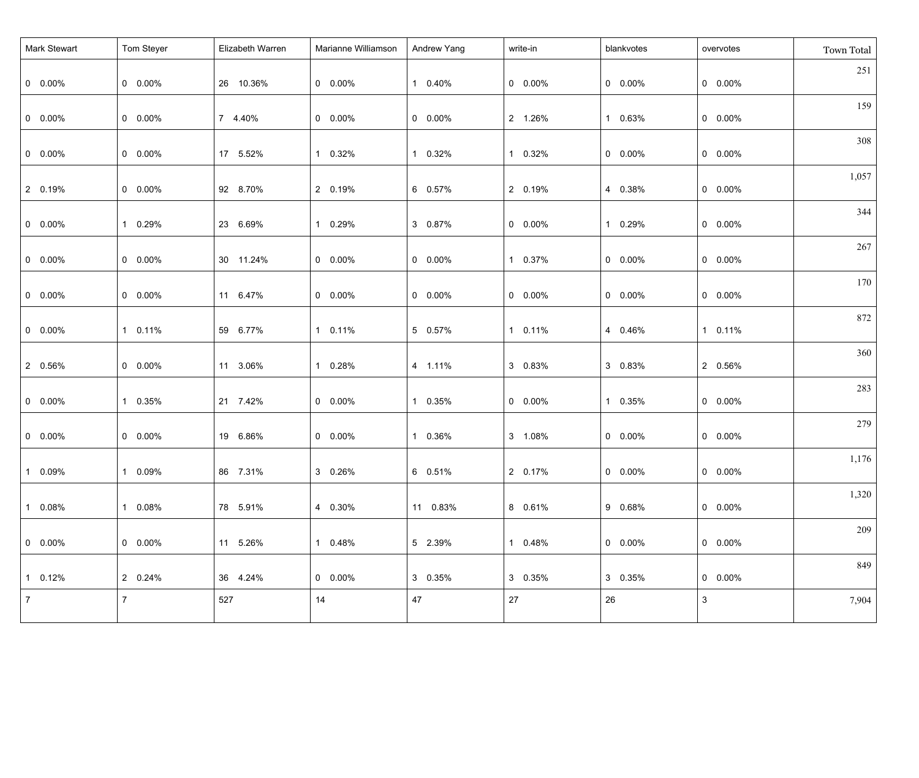| Mark Stewart    | Tom Steyer     | Elizabeth Warren | Marianne Williamson | Andrew Yang     | write-in        | blankvotes      | overvotes       | Town Total |
|-----------------|----------------|------------------|---------------------|-----------------|-----------------|-----------------|-----------------|------------|
| $  0 0.00\%$    | $0 0.00\%$     | 26 10.36%        | $0\quad 0.00\%$     | 1 0.40%         | $0 0.00\%$      | $0\quad 0.00\%$ | $0\quad 0.00\%$ | 251        |
| $  0 0.00\%$    | $0 0.00\%$     | 7 4.40%          | $0\quad 0.00\%$     | $0 0.00\%$      | 2 1.26%         | 1 0.63%         | $0\quad 0.00\%$ | 159        |
| $0\quad 0.00\%$ | $0 0.00\%$     | 17 5.52%         | 1 0.32%             | 1 0.32%         | 1 0.32%         | $0\quad 0.00\%$ | $0\quad 0.00\%$ | 308        |
| 2 0.19%         | $0 0.00\%$     | 92 8.70%         | 2 0.19%             | 6 0.57%         | 2 0.19%         | 4 0.38%         | $0\quad 0.00\%$ | 1,057      |
| $0\quad 0.00\%$ | 1 0.29%        | 23 6.69%         | 1 0.29%             | 3 0.87%         | $0\quad 0.00\%$ | 1 0.29%         | $0\quad 0.00\%$ | 344        |
| $0\quad 0.00\%$ | $0 0.00\%$     | 30 11.24%        | $0\quad 0.00\%$     | $0 0.00\%$      | 1 0.37%         | $0\quad 0.00\%$ | $0\quad 0.00\%$ | 267        |
| $0\quad 0.00\%$ | $0 0.00\%$     | 11 6.47%         | $0\quad 0.00\%$     | $0\quad 0.00\%$ | $0\quad 0.00\%$ | $0\quad 0.00\%$ | $0\quad 0.00\%$ | 170        |
| $0\quad 0.00\%$ | 1 0.11%        | 59 6.77%         | 1 0.11%             | 5 0.57%         | 1 0.11%         | 4 0.46%         | 1 0.11%         | 872        |
| 2 0.56%         | $0 0.00\%$     | 11 3.06%         | 1 0.28%             | 4 1.11%         | 3 0.83%         | 3 0.83%         | 2 0.56%         | 360        |
| $0\quad 0.00\%$ | 1 0.35%        | 21 7.42%         | $0\quad 0.00\%$     | 1 0.35%         | $0\quad 0.00\%$ | 1 0.35%         | $0\quad 0.00\%$ | 283        |
| $0\quad 0.00\%$ | $0 0.00\%$     | 19 6.86%         | $0\quad 0.00\%$     | 1 0.36%         | 3 1.08%         | $0\quad 0.00\%$ | $0\quad 0.00\%$ | 279        |
| $10.09\%$       | 1 0.09%        | 86 7.31%         | 3 0.26%             | 6 0.51%         | 2 0.17%         | $0$ 0.00%       | $0$ 0.00%       | 1,176      |
| $10.08\%$       | 1 0.08%        | 78 5.91%         | 4 0.30%             | 11 0.83%        | 8 0.61%         | 9 0.68%         | $0$ 0.00%       | 1,320      |
| $  0 0.00\%$    | $0.00\%$       | 11 5.26%         | 1 0.48%             | 5 2.39%         | 1 0.48%         | $0\quad 0.00\%$ | $0\quad 0.00\%$ | 209        |
| $1 \t0.12\%$    | 2 0.24%        | 36 4.24%         | $0\quad 0.00\%$     | 3 0.35%         | 3 0.35%         | 3 0.35%         | $0\quad 0.00\%$ | 849        |
| $\vert$ 7       | 7 <sup>7</sup> | 527              | 14                  | 47              | 27              | 26              | $\mathbf{3}$    | 7,904      |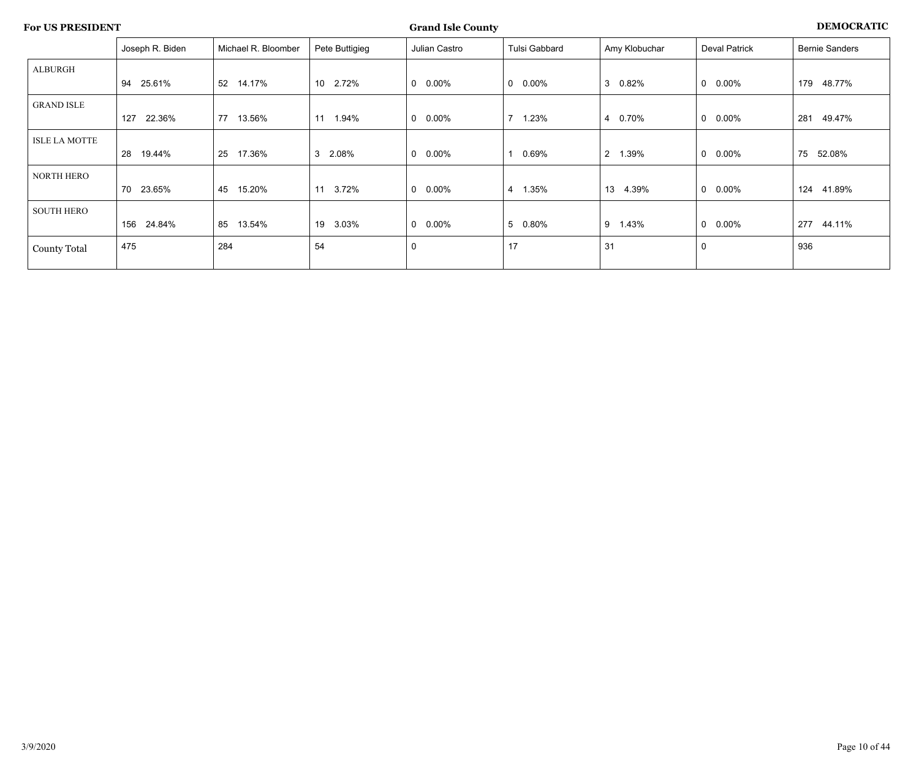|                      | Joseph R. Biden | Michael R. Bloomber | Pete Buttigieg           | Julian Castro            | Tulsi Gabbard           | Amy Klobuchar | Deval Patrick         | <b>Bernie Sanders</b> |
|----------------------|-----------------|---------------------|--------------------------|--------------------------|-------------------------|---------------|-----------------------|-----------------------|
| ALBURGH              |                 |                     |                          |                          |                         |               |                       |                       |
|                      | 25.61%<br>94    | 14.17%<br>52        | 10 <sup>°</sup><br>2.72% | $0.00\%$<br>0            | $0\quad 0.00\%$         | 3<br>0.82%    | $0\quad 0.00\%$       | 179<br>48.77%         |
| <b>GRAND ISLE</b>    |                 |                     |                          |                          |                         |               |                       |                       |
|                      | 22.36%<br>127   | 13.56%<br>77        | 11<br>1.94%              | $0.00\%$<br>0            | $7^{\circ}$<br>1.23%    | 0.70%<br>4    | 0.00%<br>$\mathbf{0}$ | 281<br>49.47%         |
| <b>ISLE LA MOTTE</b> |                 |                     |                          |                          |                         |               |                       |                       |
|                      | 28<br>19.44%    | 17.36%<br>25        | 3 <sup>1</sup><br>2.08%  | $0.00\%$<br>0            | 0.69%                   | 2 1.39%       | $0\quad 0.00\%$       | 75<br>52.08%          |
| NORTH HERO           |                 |                     |                          |                          |                         |               |                       |                       |
|                      | 70<br>23.65%    | 15.20%<br>45        | 11<br>3.72%              | $0.00\%$<br>0            | 1.35%<br>$\overline{4}$ | 13<br>4.39%   | $0\quad 0.00\%$       | 124<br>41.89%         |
| <b>SOUTH HERO</b>    |                 |                     |                          |                          |                         |               |                       |                       |
|                      | 24.84%<br>156   | 13.54%<br>85        | 19<br>3.03%              | $0.00\%$<br>$\mathbf{0}$ | 5 0.80%                 | 9<br>1.43%    | $0\quad 0.00\%$       | 277<br>44.11%         |
| <b>County Total</b>  | 475             | 284                 | 54                       | $\mathbf 0$              | 17                      | 31            | $\mathbf 0$           | 936                   |
|                      |                 |                     |                          |                          |                         |               |                       |                       |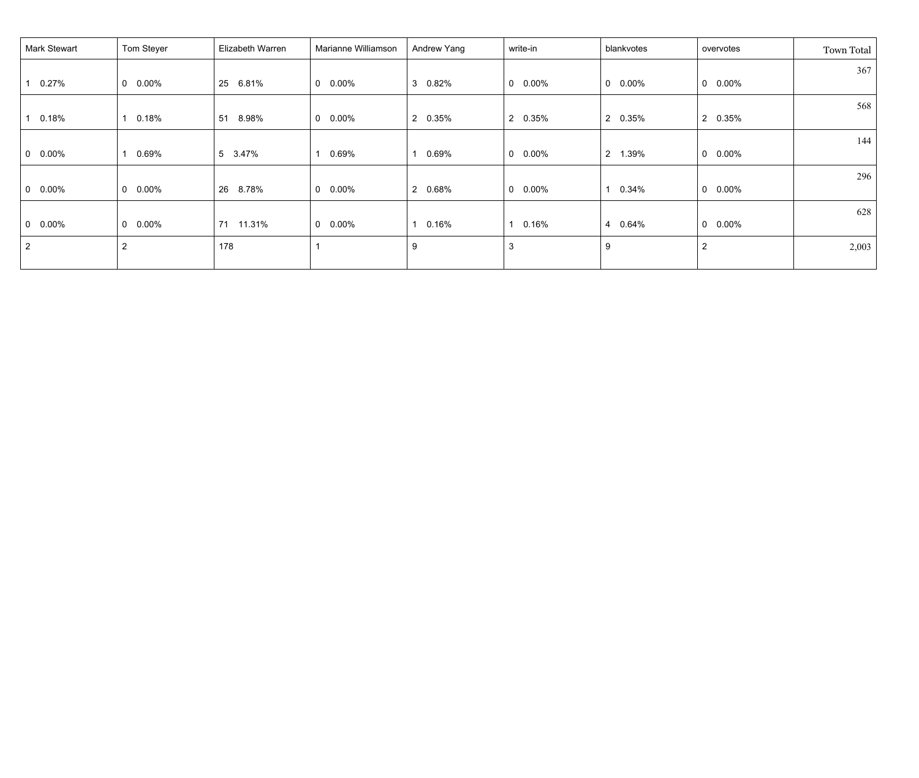| Mark Stewart    | Tom Steyer      | Elizabeth Warren | Marianne Williamson      | Andrew Yang | write-in        | blankvotes              | overvotes                | Town Total |
|-----------------|-----------------|------------------|--------------------------|-------------|-----------------|-------------------------|--------------------------|------------|
|                 |                 |                  |                          |             |                 |                         |                          | 367        |
| 0.27%           | $0$ 0.00%       | 25<br>6.81%      | $0\quad 0.00\%$          | 0.82%<br>3  | $0\quad 0.00\%$ | $\mathbf 0$<br>$0.00\%$ | $0\quad 0.00\%$          |            |
|                 |                 |                  |                          |             |                 |                         |                          | 568        |
| 0.18%           | 0.18%           | 51<br>8.98%      | $0.00\%$<br>$\mathbf{0}$ | 2 0.35%     | 2 0.35%         | $\overline{2}$<br>0.35% | 2 0.35%                  |            |
|                 |                 |                  |                          |             |                 |                         |                          | 144        |
| $0\quad 0.00\%$ | 0.69%           | 5 3.47%          | 0.69%                    | 0.69%       | $0\quad 0.00\%$ | $2^{\circ}$<br>1.39%    | $0.00\%$<br>$\mathbf{0}$ |            |
|                 |                 |                  |                          |             |                 |                         |                          | 296        |
| $0\quad 0.00\%$ | $0\quad 0.00\%$ | 26<br>8.78%      | $0.00\%$<br>$\mathbf 0$  | 2 0.68%     | $0\quad 0.00\%$ | 0.34%<br>$\mathbf{1}$   | $0\quad 0.00\%$          |            |
|                 |                 |                  |                          |             |                 |                         |                          | 628        |
| $0\quad 0.00\%$ | $0\quad 0.00\%$ | 71<br>11.31%     | $0.00\%$<br>$\mathbf{0}$ | 0.16%       | 0.16%           | 4 0.64%                 | $0.00\%$<br>$\mathbf{0}$ |            |
| $\overline{2}$  | $\overline{2}$  | 178              |                          | 9           | 3               | 9                       | $\overline{2}$           | 2,003      |
|                 |                 |                  |                          |             |                 |                         |                          |            |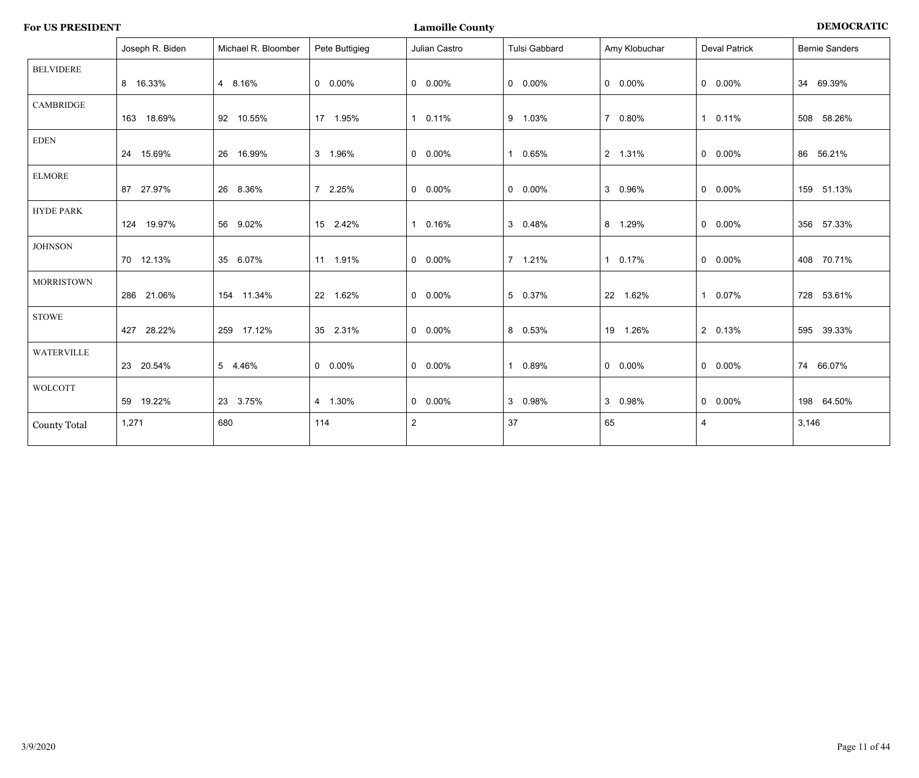| <b>For US PRESIDENT</b> |  |
|-------------------------|--|
|-------------------------|--|

**For US PENOCRATIC PRESIDENT COUNTY EXECUTE:** 

|                     | Joseph R. Biden | Michael R. Bloomber | Pete Buttigieg  | Julian Castro   | Tulsi Gabbard   | Amy Klobuchar   | <b>Deval Patrick</b> | <b>Bernie Sanders</b> |
|---------------------|-----------------|---------------------|-----------------|-----------------|-----------------|-----------------|----------------------|-----------------------|
| <b>BELVIDERE</b>    | 8 16.33%        | 4 8.16%             | $0\quad 0.00\%$ | $0\quad 0.00\%$ | $0\quad 0.00\%$ | $0\quad 0.00\%$ | $0$ 0.00%            | 34 69.39%             |
| <b>CAMBRIDGE</b>    | 163 18.69%      | 92 10.55%           | 17 1.95%        | 1 0.11%         | 9 1.03%         | 7 0.80%         | 1 0.11%              | 508 58.26%            |
| <b>EDEN</b>         | 24 15.69%       | 26 16.99%           | 3 1.96%         | $0\quad 0.00\%$ | 1 0.65%         | 2 1.31%         | $0 0.00\%$           | 86 56.21%             |
| <b>ELMORE</b>       | 87 27.97%       | 26 8.36%            | 7 2.25%         | $0\quad 0.00\%$ | $0\quad 0.00\%$ | 3 0.96%         | $0$ 0.00%            | 159 51.13%            |
| <b>HYDE PARK</b>    | 124 19.97%      | 56 9.02%            | 15 2.42%        | 1 0.16%         | 3 0.48%         | 8 1.29%         | $0$ 0.00%            | 356 57.33%            |
| <b>JOHNSON</b>      | 70 12.13%       | 35 6.07%            | 11 1.91%        | $0.00\%$        | 7 1.21%         | 1 0.17%         | $0$ 0.00%            | 408 70.71%            |
| <b>MORRISTOWN</b>   | 286 21.06%      | 154 11.34%          | 22 1.62%        | $0 0.00\%$      | 5 0.37%         | 22 1.62%        | 1 0.07%              | 728 53.61%            |
| <b>STOWE</b>        | 427 28.22%      | 259 17.12%          | 35 2.31%        | $0\quad 0.00\%$ | 8 0.53%         | 19 1.26%        | 2 0.13%              | 595 39.33%            |
| <b>WATERVILLE</b>   | 23 20.54%       | 5 4.46%             | $0\quad 0.00\%$ | $0$ 0.00%       | 1 0.89%         | $0\quad 0.00\%$ | $0$ 0.00%            | 74 66.07%             |
| <b>WOLCOTT</b>      | 59 19.22%       | 23 3.75%            | 4 1.30%         | $0\quad 0.00\%$ | 3 0.98%         | 3 0.98%         | $0$ 0.00%            | 198 64.50%            |
| <b>County Total</b> | 1,271           | 680                 | 114             | $\overline{2}$  | 37              | 65              | 4                    | 3,146                 |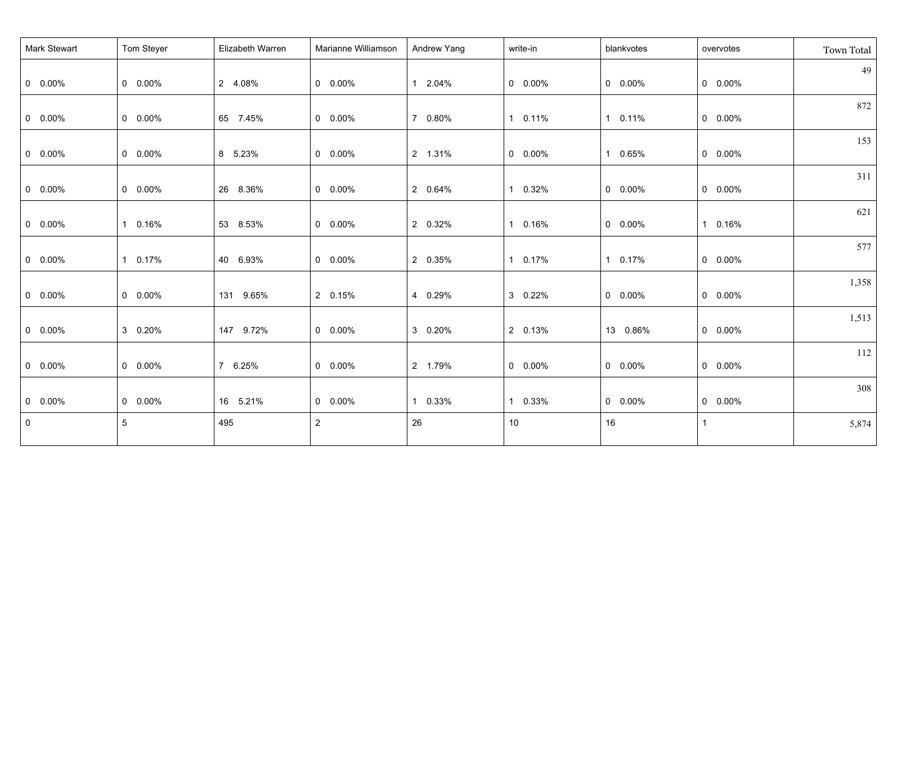| Mark Stewart    | Tom Steyer | Elizabeth Warren | Marianne Williamson | Andrew Yang | write-in        | blankvotes      | overvotes            | Town Total |
|-----------------|------------|------------------|---------------------|-------------|-----------------|-----------------|----------------------|------------|
| $0$ 0.00%       | $0 0.00\%$ | 2 4.08%          | $0\quad 0.00\%$     | 1 2.04%     | $0\quad 0.00\%$ | $0\quad 0.00\%$ | $0$ 0.00%            | 49         |
| $0$ 0.00%       | $0 0.00\%$ | 65 7.45%         | $0\quad 0.00\%$     | 7 0.80%     | 1 0.11%         | 1 0.11%         | $0$ 0.00%            | 872        |
| $0$ 0.00%       | $0 0.00\%$ | 8 5.23%          | $0\quad 0.00\%$     | 2 1.31%     | $0$ 0.00%       | 1 0.65%         | $0$ 0.00%            | 153        |
| $0$ 0.00%       | $0 0.00\%$ | 26 8.36%         | $0\quad 0.00\%$     | 2 0.64%     | 1 0.32%         | $0\quad 0.00\%$ | $0$ 0.00%            | 311        |
| $0\quad 0.00\%$ | 1 0.16%    | 53 8.53%         | $0\quad 0.00\%$     | 2 0.32%     | 1 0.16%         | $0\quad 0.00\%$ | 0.16%<br>$\mathbf 1$ | 621        |
| $0$ 0.00%       | 1 0.17%    | 40 6.93%         | $0\quad 0.00\%$     | 2 0.35%     | 1 0.17%         | 1 0.17%         | $0$ 0.00%            | 577        |
| $0$ 0.00%       | $0 0.00\%$ | 131 9.65%        | 2 0.15%             | 4 0.29%     | 3 0.22%         | $0\quad 0.00\%$ | $0$ 0.00%            | 1,358      |
| $0 0.00\%$      | 3 0.20%    | 147 9.72%        | $0 0.00\%$          | 3 0.20%     | 2 0.13%         | 13 0.86%        | $0$ 0.00%            | 1,513      |
| $0$ 0.00%       | $0 0.00\%$ | 7 6.25%          | $0 0.00\%$          | 2 1.79%     | $0 0.00\%$      | $0\quad 0.00\%$ | $0$ 0.00%            | 112        |
| $0$ 0.00%       | $0 0.00\%$ | 16 5.21%         | $0$ 0.00%           | 1 0.33%     | 1 0.33%         | $0$ 0.00%       | $0$ 0.00%            | 308        |
| $\mathbf 0$     | 5          | 495              | $\overline{2}$      | 26          | 10              | 16              |                      | 5,874      |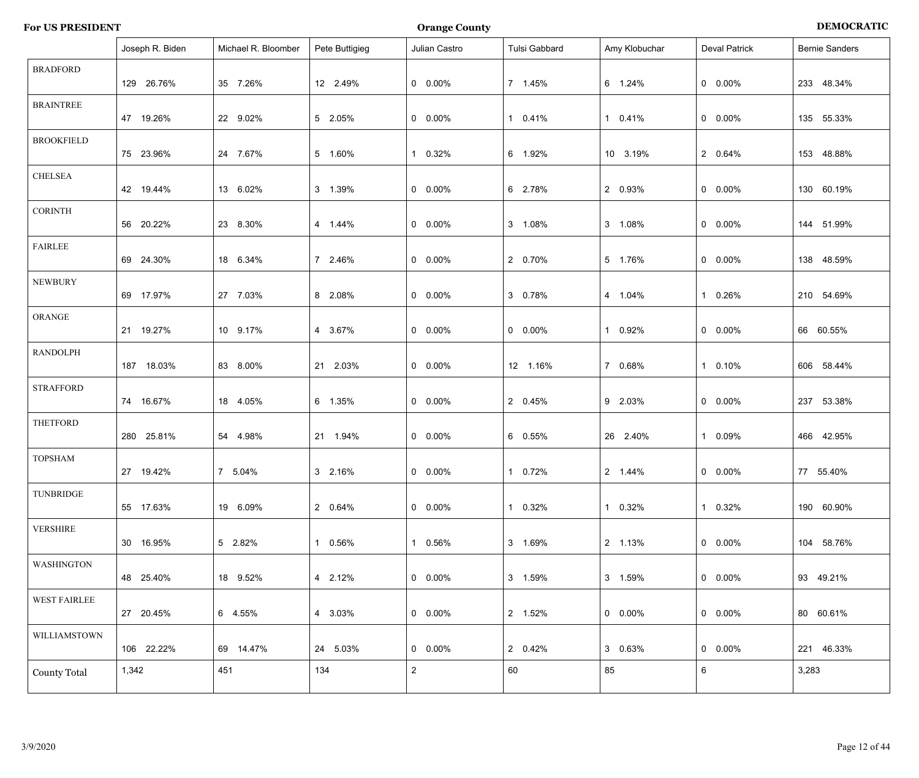| <b>For US PRESIDENT</b> | <b>Orange County</b> | <b>DEMOCRATIC</b> |
|-------------------------|----------------------|-------------------|
|                         |                      |                   |

|                     | Joseph R. Biden | Michael R. Bloomber | Pete Buttigieg | Julian Castro   | Tulsi Gabbard   | Amy Klobuchar   | <b>Deval Patrick</b> | <b>Bernie Sanders</b> |
|---------------------|-----------------|---------------------|----------------|-----------------|-----------------|-----------------|----------------------|-----------------------|
| <b>BRADFORD</b>     | 129 26.76%      | 35 7.26%            | 12 2.49%       | $0\quad 0.00\%$ | 7 1.45%         | 6 1.24%         | $0\quad 0.00\%$      | 233 48.34%            |
| <b>BRAINTREE</b>    | 47 19.26%       | 22 9.02%            | 5 2.05%        | $0\quad 0.00\%$ | 1 0.41%         | 1 0.41%         | $0\quad 0.00\%$      | 135 55.33%            |
| <b>BROOKFIELD</b>   | 75 23.96%       | 24 7.67%            | 5 1.60%        | 1 0.32%         | 6 1.92%         | 10 3.19%        | 2 0.64%              | 153 48.88%            |
| <b>CHELSEA</b>      | 42 19.44%       | 13 6.02%            | 3 1.39%        | $0\quad 0.00\%$ | 6 2.78%         | 2 0.93%         | $0\quad 0.00\%$      | 130 60.19%            |
| <b>CORINTH</b>      | 56 20.22%       | 23 8.30%            | 4 1.44%        | $0\quad 0.00\%$ | 3 1.08%         | 3 1.08%         | $0\quad 0.00\%$      | 144 51.99%            |
| <b>FAIRLEE</b>      | 69 24.30%       | 18 6.34%            | 7 2.46%        | $0\quad 0.00\%$ | 2 0.70%         | 5 1.76%         | $0\quad 0.00\%$      | 138 48.59%            |
| <b>NEWBURY</b>      | 69 17.97%       | 27 7.03%            | 8 2.08%        | $0\quad 0.00\%$ | 3 0.78%         | 4 1.04%         | 1 0.26%              | 210 54.69%            |
| ORANGE              | 21 19.27%       | 10 9.17%            | 4 3.67%        | $0\quad 0.00\%$ | $0\quad 0.00\%$ | 1 0.92%         | $0\quad 0.00\%$      | 66 60.55%             |
| <b>RANDOLPH</b>     | 187 18.03%      | 83 8.00%            | 21 2.03%       | $0\quad 0.00\%$ | 12 1.16%        | 7 0.68%         | 1 0.10%              | 606 58.44%            |
| <b>STRAFFORD</b>    | 74 16.67%       | 18 4.05%            | 6 1.35%        | $0\quad 0.00\%$ | 2 0.45%         | 9 2.03%         | $0\quad 0.00\%$      | 237 53.38%            |
| <b>THETFORD</b>     | 280 25.81%      | 54 4.98%            | 21 1.94%       | $0\quad 0.00\%$ | 6 0.55%         | 26 2.40%        | 1 0.09%              | 466 42.95%            |
| <b>TOPSHAM</b>      | 27 19.42%       | 7 5.04%             | 3 2.16%        | $0\quad 0.00\%$ | 1 0.72%         | 2 1.44%         | $0\quad 0.00\%$      | 77 55.40%             |
| TUNBRIDGE           | 55 17.63%       | 19 6.09%            | 2 0.64%        | $0\quad 0.00\%$ | 1 0.32%         | 1 0.32%         | 1 0.32%              | 190 60.90%            |
| <b>VERSHIRE</b>     | 30 16.95%       | 5 2.82%             | 1 0.56%        | 1 0.56%         | 3 1.69%         | 2 1.13%         | $0\quad 0.00\%$      | 104 58.76%            |
| <b>WASHINGTON</b>   | 48 25.40%       | 18 9.52%            | 4 2.12%        | $0\quad 0.00\%$ | 3 1.59%         | 3 1.59%         | $0\quad 0.00\%$      | 93 49.21%             |
| <b>WEST FAIRLEE</b> | 27 20.45%       | 6 4.55%             | 4 3.03%        | $0\quad 0.00\%$ | 2 1.52%         | $0\quad 0.00\%$ | $0\quad 0.00\%$      | 80 60.61%             |
| WILLIAMSTOWN        | 106 22.22%      | 69 14.47%           | 24 5.03%       | $0\quad 0.00\%$ | 2 0.42%         | 3 0.63%         | $0\quad 0.00\%$      | 221 46.33%            |
| <b>County Total</b> | 1,342           | 451                 | 134            | $\overline{2}$  | 60              | 85              | 6                    | 3,283                 |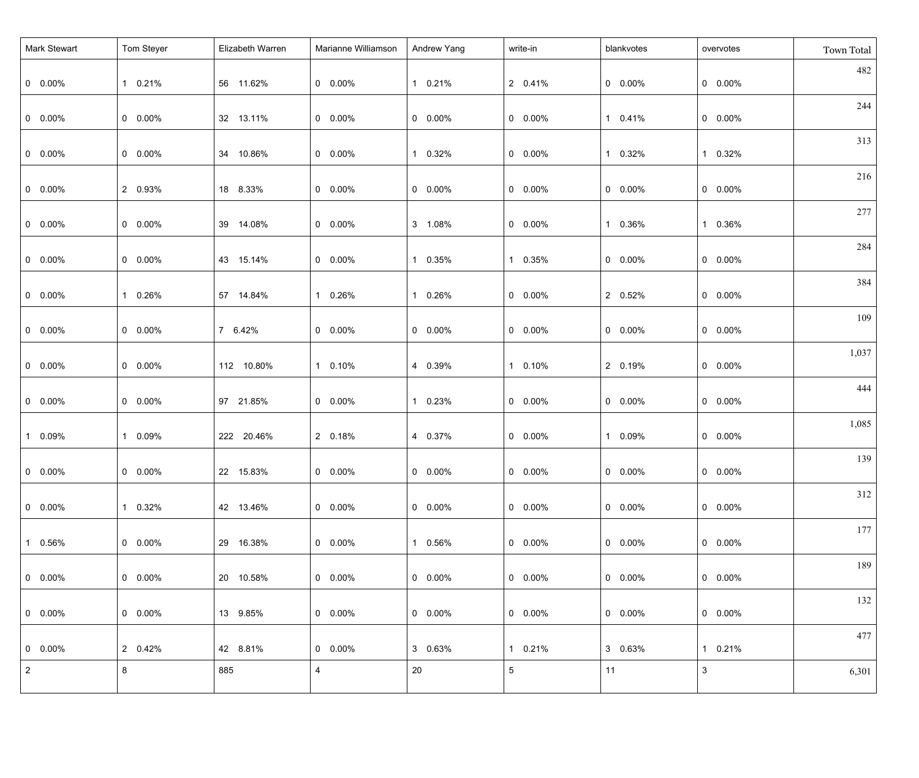| <b>Mark Stewart</b> | Tom Steyer | Elizabeth Warren | Marianne Williamson | Andrew Yang           | write-in        | blankvotes      | overvotes       | Town Total |
|---------------------|------------|------------------|---------------------|-----------------------|-----------------|-----------------|-----------------|------------|
| $0\quad 0.00\%$     | 1 0.21%    | 56 11.62%        | $0\quad 0.00\%$     | 1 0.21%               | 2 0.41%         | $0\quad 0.00\%$ | $0\quad 0.00\%$ | 482        |
| $0\quad 0.00\%$     | $0 0.00\%$ | 32 13.11%        | $0\quad 0.00\%$     | $0\quad 0.00\%$       | $0$ 0.00%       | 1 0.41%         | $0$ 0.00%       | 244        |
| $0\quad 0.00\%$     | $0 0.00\%$ | 34 10.86%        | $0\quad 0.00\%$     | 0.32%<br>1            | $0$ 0.00%       | 1 0.32%         | 1 0.32%         | 313        |
| $0\quad 0.00\%$     | 2 0.93%    | 18 8.33%         | $0\quad 0.00\%$     | $0\quad 0.00\%$       | $0$ 0.00%       | $0\quad 0.00\%$ | $0 0.00\%$      | 216        |
| $0\quad 0.00\%$     | $0 0.00\%$ | 39 14.08%        | $0\quad 0.00\%$     | 3 1.08%               | $0 0.00\%$      | 1 0.36%         | 1 0.36%         | 277        |
| $0\quad 0.00\%$     | $0 0.00\%$ | 43 15.14%        | $0\quad 0.00\%$     | 0.35%<br>1            | 1 0.35%         | $0\quad 0.00\%$ | $0\quad 0.00\%$ | 284        |
| $0\quad 0.00\%$     | 1 0.26%    | 57 14.84%        | 1 0.26%             | 0.26%<br>1            | $0 0.00\%$      | 2 0.52%         | $0$ 0.00%       | 384        |
| $0\quad 0.00\%$     | $0 0.00\%$ | 7 6.42%          | $0\quad 0.00\%$     | $0\quad 0.00\%$       | $0 0.00\%$      | $0\quad 0.00\%$ | $0$ 0.00%       | 109        |
| $0\quad 0.00\%$     | $0 0.00\%$ | 112 10.80%       | 1 0.10%             | 4 0.39%               | 1 0.10%         | 2 0.19%         | $0$ 0.00%       | 1,037      |
| $0 0.00\%$          | $0 0.00\%$ | 97 21.85%        | $0\quad 0.00\%$     | 0.23%<br>$\mathbf{1}$ | $0 0.00\%$      | $0\quad 0.00\%$ | $0$ 0.00%       | 444        |
| 1 0.09%             | 1 0.09%    | 222 20.46%       | 2 0.18%             | 4 0.37%               | $0 0.00\%$      | 1 0.09%         | $0$ 0.00%       | 1,085      |
| $0 0.00\%$          | $0 0.00\%$ | 22 15.83%        | $0$ 0.00%           | $0 0.00\%$            | $0$ 0.00%       | $0$ 0.00%       | $0$ 0.00%       | 139        |
| $  0 0.00\%$        | 1 0.32%    | 42 13.46%        | $0\quad 0.00\%$     | $0\quad 0.00\%$       | $0\quad 0.00\%$ | $0\quad 0.00\%$ | $0$ 0.00%       | 312        |
| $10.56\%$           | $0.00\%$   | 29 16.38%        | $0\quad 0.00\%$     | 1 0.56%               | $0\quad 0.00\%$ | $0\quad 0.00\%$ | $0$ 0.00%       | 177        |
| $0\quad 0.00\%$     | $0.00\%$   | 20 10.58%        | $0\quad 0.00\%$     | $0\quad 0.00\%$       | $0.00\%$        | $0\quad 0.00\%$ | $0$ 0.00%       | 189        |
| $  0 0.00\%$        | $0.00\%$   | 13 9.85%         | $0\quad 0.00\%$     | $0\quad 0.00\%$       | $0\quad 0.00\%$ | $0\quad 0.00\%$ | $0$ 0.00%       | 132        |
| $  0 0.00\%$        | 2 0.42%    | 42 8.81%         | $0\quad 0.00\%$     | 3 0.63%               | 1 0.21%         | 3 0.63%         | 1 0.21%         | 477        |
| $\vert 2 \vert$     | 8          | 885              | $\overline{4}$      | 20                    | $5\phantom{.0}$ | 11              | $\mathbf{3}$    | 6,301      |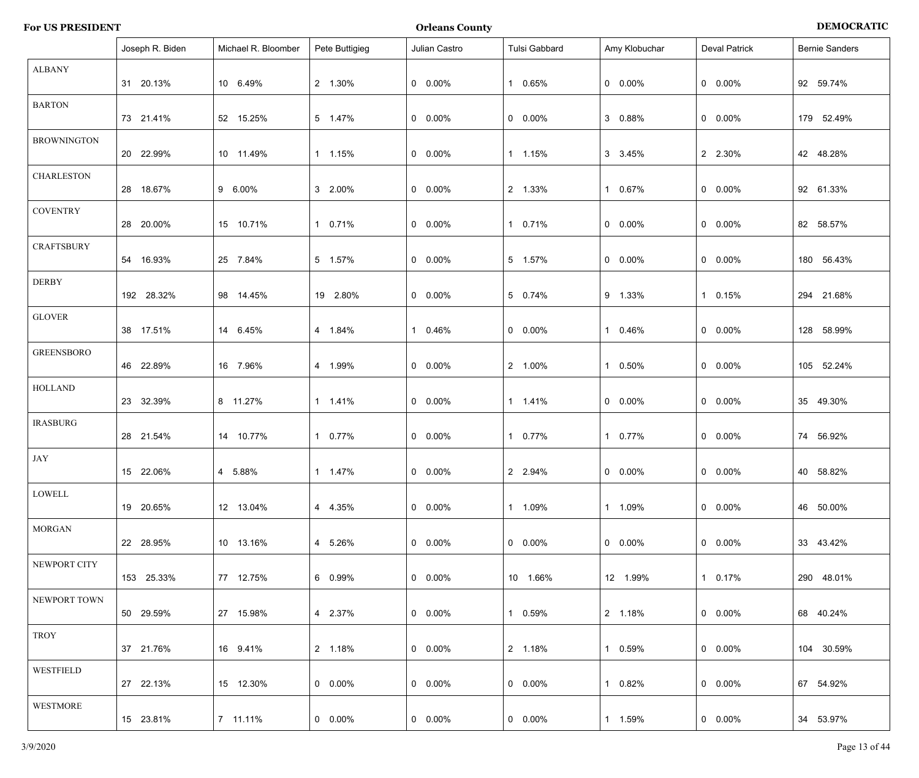| <b>For US PRESIDENT</b> | <b>Orleans County</b> | <b>DEMOCRATIC</b> |
|-------------------------|-----------------------|-------------------|
|-------------------------|-----------------------|-------------------|

|                    | Joseph R. Biden | Michael R. Bloomber | Pete Buttigieg  | Julian Castro   | Tulsi Gabbard   | Amy Klobuchar   | <b>Deval Patrick</b> | <b>Bernie Sanders</b> |
|--------------------|-----------------|---------------------|-----------------|-----------------|-----------------|-----------------|----------------------|-----------------------|
| <b>ALBANY</b>      | 31 20.13%       | 10 6.49%            | 2 1.30%         | $0\quad 0.00\%$ | 1 0.65%         | $0\quad 0.00\%$ | $0$ 0.00%            | 92 59.74%             |
| <b>BARTON</b>      | 73 21.41%       | 52 15.25%           | 5 1.47%         | $0\quad 0.00\%$ | $0\quad 0.00\%$ | 3 0.88%         | $0$ 0.00%            | 179 52.49%            |
| <b>BROWNINGTON</b> | 20 22.99%       | 10 11.49%           | 1 1.15%         | $0\quad 0.00\%$ | 1 1.15%         | 3 3.45%         | 2 2.30%              | 42 48.28%             |
| <b>CHARLESTON</b>  | 28 18.67%       | 9 6.00%             | 3 2.00%         | $0\quad 0.00\%$ | 2 1.33%         | 1 0.67%         | $0\quad 0.00\%$      | 92 61.33%             |
| <b>COVENTRY</b>    | 28 20.00%       | 15 10.71%           | 1 0.71%         | $0\quad 0.00\%$ | 1 0.71%         | $0\quad 0.00\%$ | $0\quad 0.00\%$      | 82 58.57%             |
| <b>CRAFTSBURY</b>  | 54 16.93%       | 25 7.84%            | 5 1.57%         | $0\quad 0.00\%$ | 5 1.57%         | $0\quad 0.00\%$ | $0$ 0.00%            | 180 56.43%            |
| <b>DERBY</b>       | 192 28.32%      | 98 14.45%           | 19 2.80%        | $0\quad 0.00\%$ | 5 0.74%         | 9 1.33%         | 1 0.15%              | 294 21.68%            |
| <b>GLOVER</b>      | 38 17.51%       | 14 6.45%            | 4 1.84%         | 1 0.46%         | $0\quad 0.00\%$ | 1 0.46%         | $0$ 0.00%            | 128 58.99%            |
| <b>GREENSBORO</b>  | 46 22.89%       | 16 7.96%            | 4 1.99%         | $0\quad 0.00\%$ | 2 1.00%         | 1 0.50%         | $0\quad 0.00\%$      | 105 52.24%            |
| <b>HOLLAND</b>     | 23 32.39%       | 8 11.27%            | 1 1.41%         | $0\quad 0.00\%$ | 1  1.41%        | $0\quad 0.00\%$ | $0\quad 0.00\%$      | 35 49.30%             |
| <b>IRASBURG</b>    | 28 21.54%       | 14 10.77%           | 1 0.77%         | $0\quad 0.00\%$ | 1 0.77%         | 1 0.77%         | $0$ 0.00%            | 74 56.92%             |
| JAY                | 15 22.06%       | 4 5.88%             | 1 1.47%         | $0$ 0.00%       | 2 2.94%         | $0\quad 0.00\%$ | $0$ 0.00%            | 40 58.82%             |
| LOWELL             | 19 20.65%       | 12 13.04%           | 4 4.35%         | $0\quad 0.00\%$ | 1 1.09%         | 1 1.09%         | $0\quad 0.00\%$      | 46 50.00%             |
| <b>MORGAN</b>      | 22 28.95%       | 10 13.16%           | 4 5.26%         | $0\quad 0.00\%$ | $0\quad 0.00\%$ | $0\quad 0.00\%$ | $0\quad 0.00\%$      | 33 43.42%             |
| NEWPORT CITY       | 153 25.33%      | 77 12.75%           | 6 0.99%         | $0\quad 0.00\%$ | 10 1.66%        | 12 1.99%        | 1 0.17%              | 290 48.01%            |
| NEWPORT TOWN       | 50 29.59%       | 27 15.98%           | 4 2.37%         | $0\quad 0.00\%$ | 1 0.59%         | 2 1.18%         | $0\quad 0.00\%$      | 68 40.24%             |
| TROY               | 37 21.76%       | 16 9.41%            | 2 1.18%         | $0\quad 0.00\%$ | 2 1.18%         | 1 0.59%         | $0\quad 0.00\%$      | 104 30.59%            |
| <b>WESTFIELD</b>   | 27 22.13%       | 15 12.30%           | $0\quad 0.00\%$ | $0\quad 0.00\%$ | $0\quad 0.00\%$ | 1 0.82%         | $0\quad 0.00\%$      | 67 54.92%             |
| <b>WESTMORE</b>    | 15 23.81%       | 7 11.11%            | $0\quad 0.00\%$ | $0\quad 0.00\%$ | $0\quad 0.00\%$ | 1 1.59%         | $0 0.00\%$           | 34 53.97%             |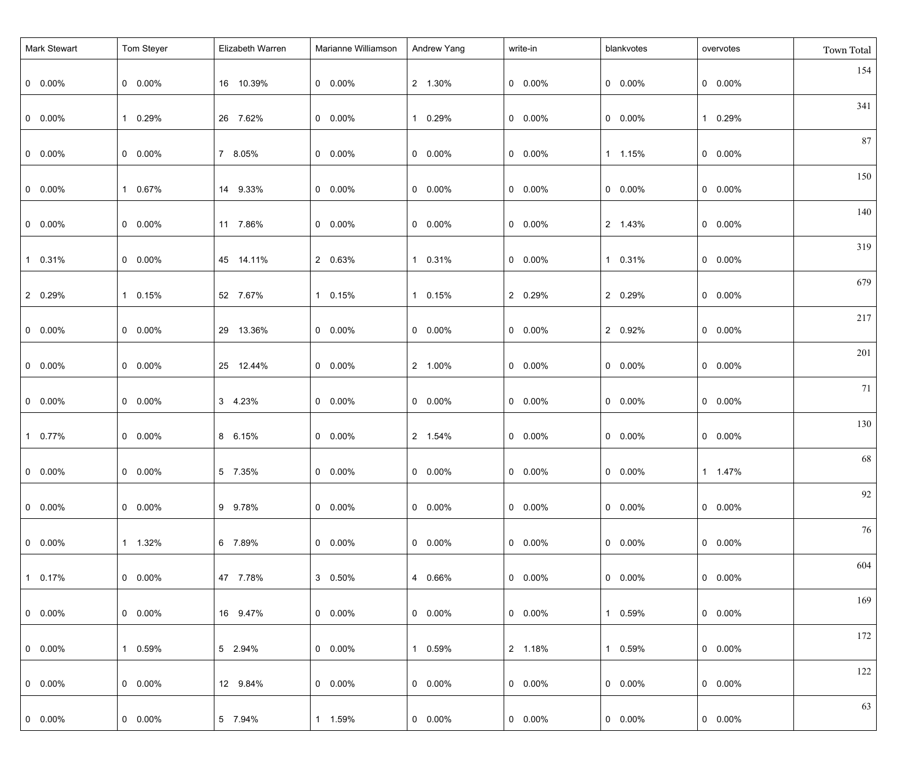| Mark Stewart    | Tom Steyer      | Elizabeth Warren | Marianne Williamson | Andrew Yang     | write-in        | blankvotes      | overvotes       | Town Total |
|-----------------|-----------------|------------------|---------------------|-----------------|-----------------|-----------------|-----------------|------------|
| $0\quad 0.00\%$ | $0\quad 0.00\%$ | 16 10.39%        | $0\quad 0.00\%$     | 2 1.30%         | $0\quad 0.00\%$ | $0\quad 0.00\%$ | $0\quad 0.00\%$ | 154        |
| $0\quad 0.00\%$ | 1 0.29%         | 26 7.62%         | $0\quad 0.00\%$     | 1 0.29%         | $0\quad 0.00\%$ | $0\quad 0.00\%$ | 1 0.29%         | 341        |
| $0\quad 0.00\%$ | $0\quad 0.00\%$ | 7 8.05%          | $0\quad 0.00\%$     | $0\quad 0.00\%$ | $0\quad 0.00\%$ | 1 1.15%         | $0\quad 0.00\%$ | 87         |
| $0\quad 0.00\%$ | 1 0.67%         | 14 9.33%         | $0\quad 0.00\%$     | $0\quad 0.00\%$ | $0\quad 0.00\%$ | $0\quad 0.00\%$ | $0\quad 0.00\%$ | 150        |
| $0\quad 0.00\%$ | $0\quad 0.00\%$ | 11 7.86%         | $0\quad 0.00\%$     | $0\quad 0.00\%$ | $0\quad 0.00\%$ | 2 1.43%         | $0\quad 0.00\%$ | 140        |
| 1 0.31%         | $0\quad 0.00\%$ | 45 14.11%        | 2 0.63%             | 1 0.31%         | $0\quad 0.00\%$ | 1 0.31%         | $0\quad 0.00\%$ | 319        |
| 2 0.29%         | 1 0.15%         | 52 7.67%         | 1 0.15%             | 1 0.15%         | 2 0.29%         | 2 0.29%         | $0\quad 0.00\%$ | 679        |
| $0\quad 0.00\%$ | $0\quad 0.00\%$ | 29 13.36%        | $0\quad 0.00\%$     | $0\quad 0.00\%$ | $0\quad 0.00\%$ | 2 0.92%         | $0\quad 0.00\%$ | 217        |
| $0\quad 0.00\%$ | $0\quad 0.00\%$ | 25 12.44%        | $0\quad 0.00\%$     | 2 1.00%         | $0\quad 0.00\%$ | $0\quad 0.00\%$ | $0\quad 0.00\%$ | 201        |
| $0\quad 0.00\%$ | $0\quad 0.00\%$ | 3 4.23%          | $0\quad 0.00\%$     | $0\quad 0.00\%$ | $0\quad 0.00\%$ | $0\quad 0.00\%$ | $0\quad 0.00\%$ | 71         |
| 1 0.77%         | $0\quad 0.00\%$ | 8 6.15%          | $0\quad 0.00\%$     | 2 1.54%         | $0\quad 0.00\%$ | $0\quad 0.00\%$ | $0\quad 0.00\%$ | 130        |
| $0 0.00\%$      | $0 0.00\%$      | 5 7.35%          | $0\quad 0.00\%$     | $0$ 0.00%       | $0$ 0.00%       | $0$ 0.00%       | 1 1.47%         | 68         |
| $0$ 0.00%       | $0\quad 0.00\%$ | 9 9.78%          | $0\quad 0.00\%$     | $0\quad 0.00\%$ | $0$ 0.00%       | $0\quad 0.00\%$ | $0\quad 0.00\%$ | 92         |
| $0$ 0.00%       | 1 1.32%         | 6 7.89%          | $0\quad 0.00\%$     | $0\quad 0.00\%$ | $0\quad 0.00\%$ | $0\quad 0.00\%$ | $0\quad 0.00\%$ | 76         |
| $10.17\%$       | $0\quad 0.00\%$ | 47 7.78%         | 3 0.50%             | 4 0.66%         | $0\quad 0.00\%$ | $0\quad 0.00\%$ | $0\quad 0.00\%$ | 604        |
| $0\quad 0.00\%$ | $0\quad 0.00\%$ | 16 9.47%         | $0\quad 0.00\%$     | $0\quad 0.00\%$ | $0\quad 0.00\%$ | 1 0.59%         | $0\quad 0.00\%$ | 169        |
| $0$ 0.00%       | 1 0.59%         | 5 2.94%          | $0\quad 0.00\%$     | 1 0.59%         | 2 1.18%         | 1 0.59%         | $0\quad 0.00\%$ | 172        |
| $0\quad 0.00\%$ | $0\quad 0.00\%$ | 12 9.84%         | $0\quad 0.00\%$     | $0\quad 0.00\%$ | $0\quad 0.00\%$ | $0\quad 0.00\%$ | $0\quad 0.00\%$ | 122        |
| $0\quad 0.00\%$ | $0\quad 0.00\%$ | 5 7.94%          | 1 1.59%             | $0\quad 0.00\%$ | $0\quad 0.00\%$ | $0\quad 0.00\%$ | $0\quad 0.00\%$ | 63         |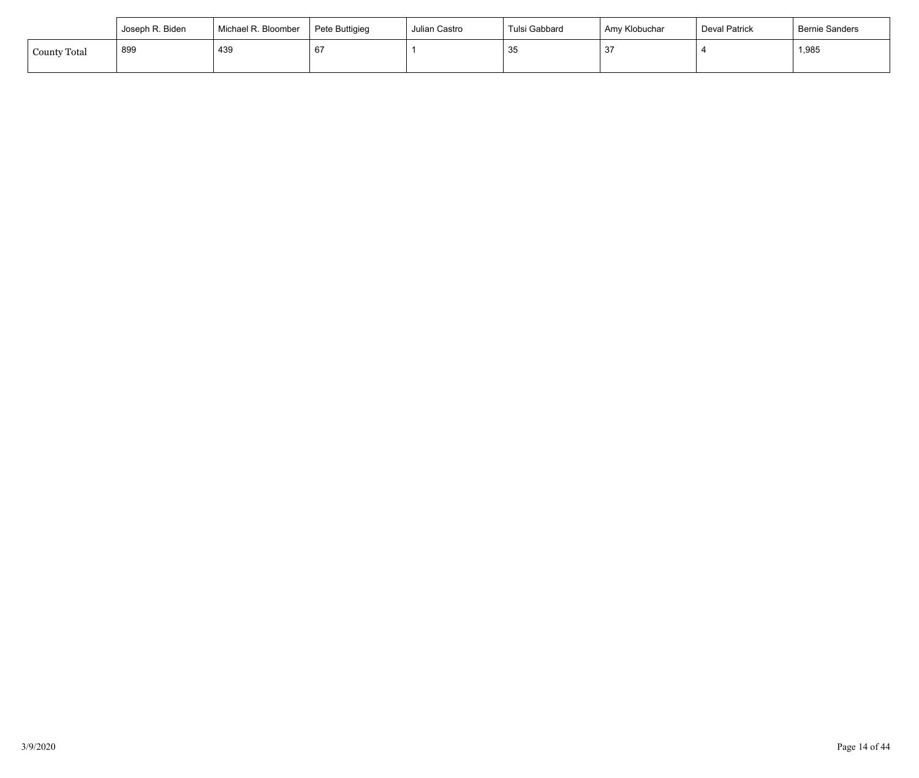|                     | Joseph R. Biden | Michael R. Bloomber | Pete Buttigieg | Julian Castro | Tulsi Gabbard       | Amy Klobuchar | <b>Deval Patrick</b> | Bernie Sanders |
|---------------------|-----------------|---------------------|----------------|---------------|---------------------|---------------|----------------------|----------------|
| <b>County Total</b> | 899             | 439                 | 67             |               | $\mathcal{R}$<br>ູບ | 37            |                      | 1,985          |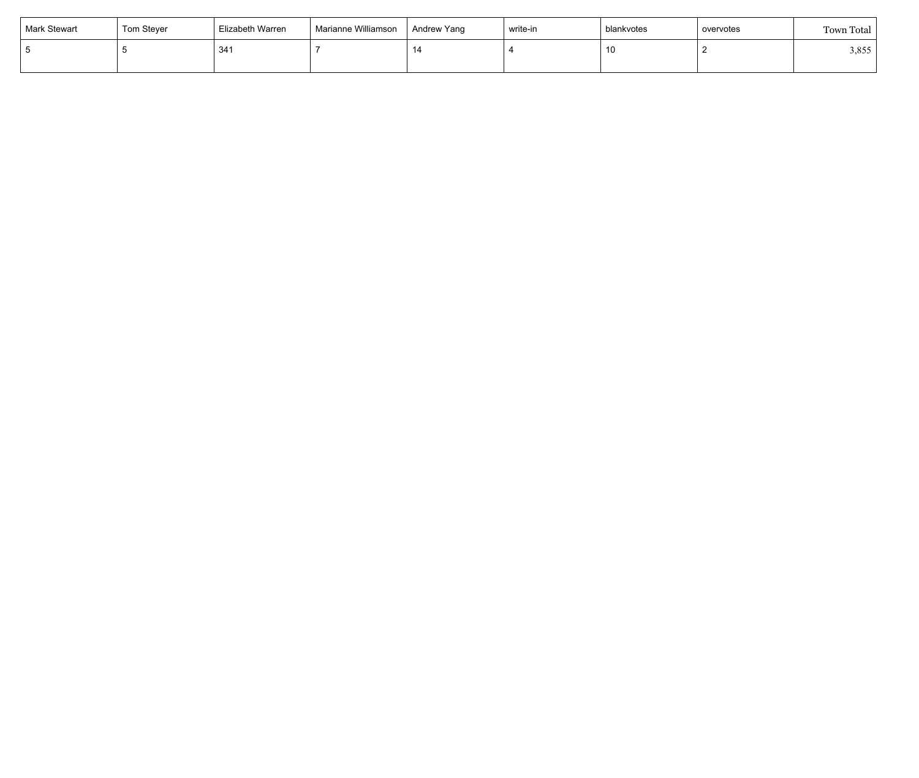| Mark Stewart | Tom Steyer | Elizabeth Warren | Marianne Williamson | Andrew Yang | write-in | blankvotes | overvotes | Town Total |
|--------------|------------|------------------|---------------------|-------------|----------|------------|-----------|------------|
|              |            | 341              |                     |             |          | 10         |           | 3,855      |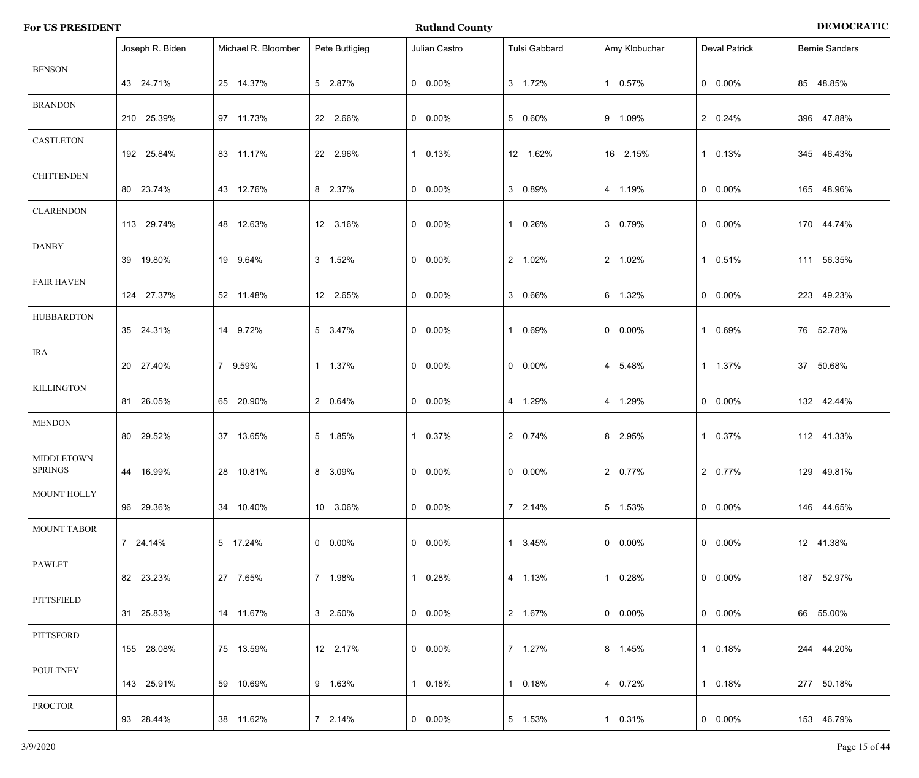|                                     | Joseph R. Biden | Michael R. Bloomber | Pete Buttigieg  | Julian Castro   | Tulsi Gabbard | Amy Klobuchar   | <b>Deval Patrick</b> | <b>Bernie Sanders</b> |
|-------------------------------------|-----------------|---------------------|-----------------|-----------------|---------------|-----------------|----------------------|-----------------------|
| <b>BENSON</b>                       | 43 24.71%       | 25 14.37%           | 5 2.87%         | $0\quad 0.00\%$ | 3 1.72%       | 1 0.57%         | $0\quad 0.00\%$      | 85 48.85%             |
| <b>BRANDON</b>                      | 210 25.39%      | 97 11.73%           | 22 2.66%        | $0\quad 0.00\%$ | 5 0.60%       | 9 1.09%         | 2 0.24%              | 396 47.88%            |
| <b>CASTLETON</b>                    | 192 25.84%      | 83 11.17%           | 22 2.96%        | 1 0.13%         | 12 1.62%      | 16 2.15%        | 1 0.13%              | 345 46.43%            |
| <b>CHITTENDEN</b>                   | 80 23.74%       | 43 12.76%           | 8 2.37%         | $0$ 0.00%       | 3 0.89%       | 4 1.19%         | $0\quad 0.00\%$      | 165 48.96%            |
| <b>CLARENDON</b>                    | 113 29.74%      | 48 12.63%           | 12 3.16%        | $0$ 0.00%       | 1 0.26%       | 3 0.79%         | $0\quad 0.00\%$      | 170 44.74%            |
| <b>DANBY</b>                        | 39 19.80%       | 19 9.64%            | 3 1.52%         | $0$ 0.00%       | 2 1.02%       | 2 1.02%         | 1 0.51%              | 111 56.35%            |
| <b>FAIR HAVEN</b>                   | 124 27.37%      | 52 11.48%           | 12 2.65%        | $0\quad 0.00\%$ | 3 0.66%       | 6 1.32%         | $0\quad 0.00\%$      | 223 49.23%            |
| <b>HUBBARDTON</b>                   | 35 24.31%       | 14 9.72%            | 5 3.47%         | $0$ 0.00%       | 1 0.69%       | $0\quad 0.00\%$ | 1 0.69%              | 76 52.78%             |
| <b>IRA</b>                          | 20 27.40%       | 7 9.59%             | 1 1.37%         | $0$ 0.00%       | $0.00\%$      | 4 5.48%         | 1 1.37%              | 37 50.68%             |
| <b>KILLINGTON</b>                   | 81 26.05%       | 65 20.90%           | 2 0.64%         | $0$ 0.00%       | 4 1.29%       | 4 1.29%         | $0\quad 0.00\%$      | 132 42.44%            |
| <b>MENDON</b>                       | 80 29.52%       | 37 13.65%           | 5 1.85%         | 1 0.37%         | 2 0.74%       | 8 2.95%         | 1 0.37%              | 112 41.33%            |
| <b>MIDDLETOWN</b><br><b>SPRINGS</b> | 44 16.99%       | 28 10.81%           | 8 3.09%         | $0 0.00\%$      | $0$ 0.00%     | 2 0.77%         | 2 0.77%              | 129 49.81%            |
| MOUNT HOLLY                         | 96 29.36%       | 34 10.40%           | 10 3.06%        | $0\quad 0.00\%$ | 7 2.14%       | 5 1.53%         | $0\quad 0.00\%$      | 146 44.65%            |
| <b>MOUNT TABOR</b>                  | 7 24.14%        | 5 17.24%            | $0\quad 0.00\%$ | $0\quad 0.00\%$ | 1 3.45%       | $0\quad 0.00\%$ | $0\quad 0.00\%$      | 12 41.38%             |
| PAWLET                              | 82 23.23%       | 27 7.65%            | 7 1.98%         | 1 0.28%         | 4 1.13%       | 1 0.28%         | $0\quad 0.00\%$      | 187 52.97%            |
| <b>PITTSFIELD</b>                   | 31 25.83%       | 14 11.67%           | 3 2.50%         | $0\quad 0.00\%$ | 2 1.67%       | $0\quad 0.00\%$ | $0\quad 0.00\%$      | 66 55.00%             |
| PITTSFORD                           | 155 28.08%      | 75 13.59%           | 12 2.17%        | $0\quad 0.00\%$ | 7 1.27%       | 8 1.45%         | 1 0.18%              | 244 44.20%            |
| <b>POULTNEY</b>                     | 143 25.91%      | 59 10.69%           | 9 1.63%         | 1 0.18%         | 1 0.18%       | 4 0.72%         | 1 0.18%              | 277 50.18%            |
| <b>PROCTOR</b>                      | 93 28.44%       | 38 11.62%           | 7 2.14%         | $0\quad 0.00\%$ | 5 1.53%       | 1 0.31%         | $0\quad 0.00\%$      | 153 46.79%            |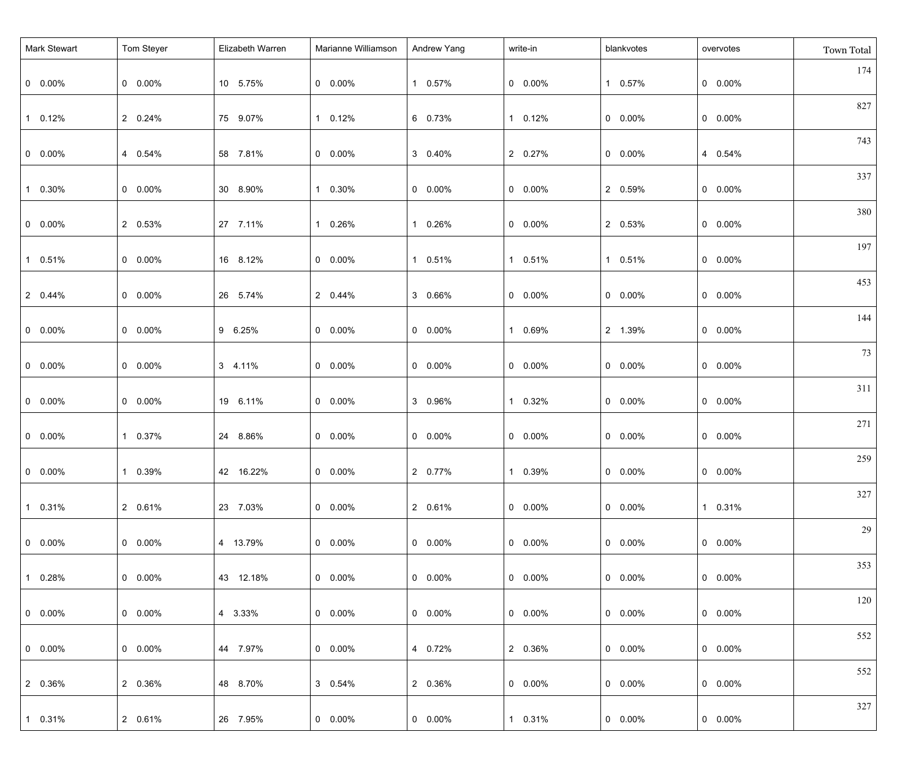| Mark Stewart    | Tom Steyer      | Elizabeth Warren | Marianne Williamson | Andrew Yang     | write-in  | blankvotes      | overvotes       | Town Total |
|-----------------|-----------------|------------------|---------------------|-----------------|-----------|-----------------|-----------------|------------|
| $0\quad 0.00\%$ | $0$ 0.00%       | 10 5.75%         | $0\quad 0.00\%$     | 1 0.57%         | $0$ 0.00% | 1 0.57%         | $0\quad 0.00\%$ | 174        |
| 1 0.12%         | 2 0.24%         | 75 9.07%         | 1 0.12%             | 6 0.73%         | 1 0.12%   | $0\quad 0.00\%$ | $0\quad 0.00\%$ | 827        |
| $0\quad 0.00\%$ | 4 0.54%         | 58 7.81%         | $0\quad 0.00\%$     | 3 0.40%         | 2 0.27%   | $0\quad 0.00\%$ | 4 0.54%         | 743        |
| 1 0.30%         | $0$ 0.00%       | 30 8.90%         | 1 0.30%             | $0\quad 0.00\%$ | $0$ 0.00% | 2 0.59%         | $0\quad 0.00\%$ | 337        |
| $0\quad 0.00\%$ | 2 0.53%         | 27 7.11%         | 1 0.26%             | 1 0.26%         | $0$ 0.00% | 2 0.53%         | $0\quad 0.00\%$ | 380        |
| 1 0.51%         | $0$ 0.00%       | 16 8.12%         | $0\quad 0.00\%$     | 1 0.51%         | 1 0.51%   | 1 0.51%         | $0\quad 0.00\%$ | 197        |
| 2 0.44%         | $0$ 0.00%       | 26 5.74%         | 2 0.44%             | 3 0.66%         | $0$ 0.00% | $0\quad 0.00\%$ | $0\quad 0.00\%$ | 453        |
| $0\quad 0.00\%$ | $0$ 0.00%       | 9 6.25%          | $0\quad 0.00\%$     | $0\quad 0.00\%$ | 1 0.69%   | 2 1.39%         | $0\quad 0.00\%$ | 144        |
| $0\quad 0.00\%$ | $0$ 0.00%       | 3 4.11%          | $0\quad 0.00\%$     | $0\quad 0.00\%$ | $0$ 0.00% | $0\quad 0.00\%$ | $0\quad 0.00\%$ | 73         |
| $0\quad 0.00\%$ | $0$ 0.00%       | 19 6.11%         | $0\quad 0.00\%$     | 3 0.96%         | 1 0.32%   | $0\quad 0.00\%$ | $0\quad 0.00\%$ | 311        |
| $0\quad 0.00\%$ | 1 0.37%         | 24 8.86%         | $0\quad 0.00\%$     | $0\quad 0.00\%$ | $0$ 0.00% | $0\quad 0.00\%$ | $0\quad 0.00\%$ | 271        |
| $0 0.00\%$      | 1 0.39%         | 42 16.22%        | $0\quad 0.00\%$     | 2 0.77%         | 1 0.39%   | $0$ 0.00%       | $0\quad 0.00\%$ | 259        |
| $10.31\%$       | 2 0.61%         | 23 7.03%         | $0.00\%$            | 2 0.61%         | $0$ 0.00% | $0\quad 0.00\%$ | 1 0.31%         | 327        |
| $0\quad 0.00\%$ | $0\quad 0.00\%$ | 4 13.79%         | $0\quad 0.00\%$     | $0\quad 0.00\%$ | $0$ 0.00% | $0\quad 0.00\%$ | $0\quad 0.00\%$ | 29         |
| $10.28\%$       | $0\quad 0.00\%$ | 43 12.18%        | $0\quad 0.00\%$     | $0\quad 0.00\%$ | $0$ 0.00% | $0\quad 0.00\%$ | $0\quad 0.00\%$ | 353        |
| $0\quad 0.00\%$ | $0\quad 0.00\%$ | 4 3.33%          | $0\quad 0.00\%$     | $0\quad 0.00\%$ | $0$ 0.00% | $0\quad 0.00\%$ | $0\quad 0.00\%$ | 120        |
| $0$ 0.00%       | $0\quad 0.00\%$ | 44 7.97%         | $0\quad 0.00\%$     | 4 0.72%         | 2 0.36%   | $0\quad 0.00\%$ | $0\quad 0.00\%$ | 552        |
| 2 0.36%         | 2 0.36%         | 48 8.70%         | 3 0.54%             | 2 0.36%         | $0$ 0.00% | $0\quad 0.00\%$ | $0\quad 0.00\%$ | 552        |
| 1 0.31%         | 2 0.61%         | 26 7.95%         | $0\quad 0.00\%$     | $0\quad 0.00\%$ | 1 0.31%   | $0\quad 0.00\%$ | $0$ 0.00%       | 327        |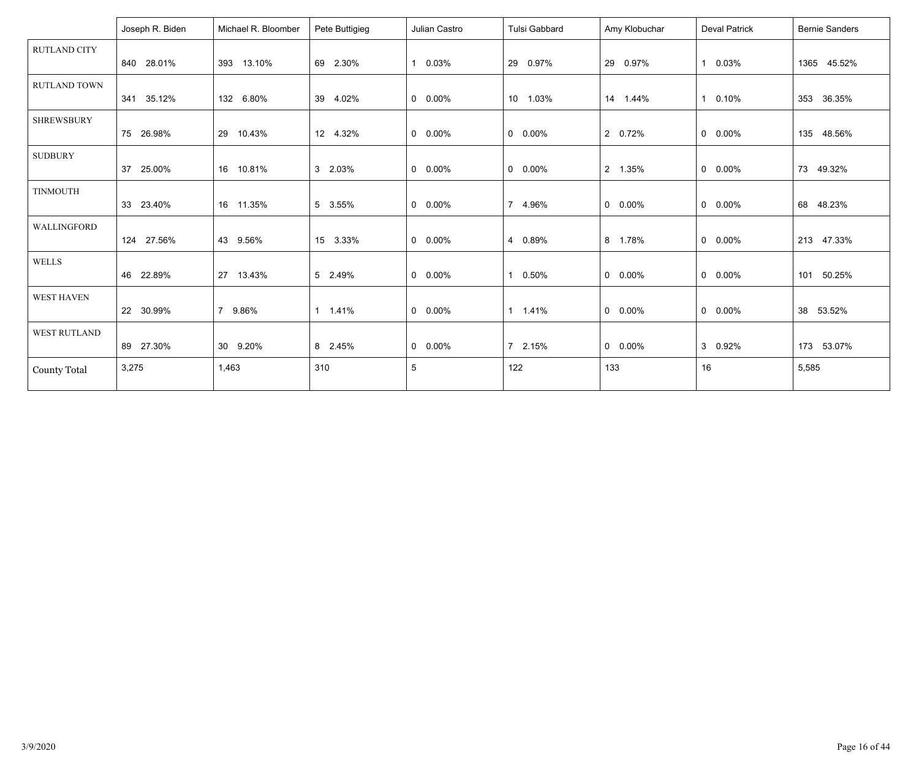|                     | Joseph R. Biden | Michael R. Bloomber | Pete Buttigieg | Julian Castro   | Tulsi Gabbard   | Amy Klobuchar | <b>Deval Patrick</b>  | <b>Bernie Sanders</b> |
|---------------------|-----------------|---------------------|----------------|-----------------|-----------------|---------------|-----------------------|-----------------------|
| <b>RUTLAND CITY</b> |                 |                     |                |                 |                 |               |                       |                       |
|                     | 840 28.01%      | 393 13.10%          | 69 2.30%       | 1 0.03%         | 29 0.97%        | 29 0.97%      | 0.03%<br>$\mathbf{1}$ | 1365 45.52%           |
| RUTLAND TOWN        |                 |                     |                |                 |                 |               |                       |                       |
|                     | 341 35.12%      | 132 6.80%           | 39 4.02%       | $0 0.00\%$      | 10 1.03%        | 14 1.44%      | 0.10%<br>$\mathbf{1}$ | 353 36.35%            |
| <b>SHREWSBURY</b>   |                 |                     |                |                 |                 |               |                       |                       |
|                     | 75 26.98%       | 29 10.43%           | 12 4.32%       | $0\quad 0.00\%$ | $0\quad 0.00\%$ | 2 0.72%       | $0\quad 0.00\%$       | 135 48.56%            |
| <b>SUDBURY</b>      |                 |                     |                |                 |                 |               |                       |                       |
|                     | 37 25.00%       | 16 10.81%           | 3 2.03%        | $0 0.00\%$      | $0\quad 0.00\%$ | 2 1.35%       | $0\quad 0.00\%$       | 73 49.32%             |
| <b>TINMOUTH</b>     |                 |                     |                |                 |                 |               |                       |                       |
|                     | 33 23.40%       | 16 11.35%           | 5 3.55%        | $0$ 0.00%       | 7 4.96%         | $0.00\%$      | $0\quad 0.00\%$       | 68 48.23%             |
| WALLINGFORD         |                 |                     |                |                 |                 |               |                       |                       |
|                     | 124 27.56%      | 43 9.56%            | 15 3.33%       | $0\quad 0.00\%$ | 4 0.89%         | 8 1.78%       | $0\quad 0.00\%$       | 213 47.33%            |
| <b>WELLS</b>        |                 |                     |                |                 |                 |               |                       |                       |
|                     | 46 22.89%       | 27 13.43%           | 5 2.49%        | $0\quad 0.00\%$ | 0.50%           | $0.00\%$      | $0\quad 0.00\%$       | 101 50.25%            |
| <b>WEST HAVEN</b>   |                 |                     |                |                 |                 |               |                       |                       |
|                     | 22 30.99%       | 7 9.86%             | 1 1.41%        | $0$ 0.00%       | 1 1.41%         | $0.00\%$      | $0$ 0.00%             | 38 53.52%             |
| WEST RUTLAND        |                 |                     |                |                 |                 |               |                       |                       |
|                     | 89 27.30%       | 30 9.20%            | 8 2.45%        | $0\quad 0.00\%$ | 7 2.15%         | $0.00\%$      | 3 0.92%               | 173 53.07%            |
| <b>County Total</b> | 3,275           | 1,463               | 310            | $5\phantom{.0}$ | 122             | 133           | 16                    | 5,585                 |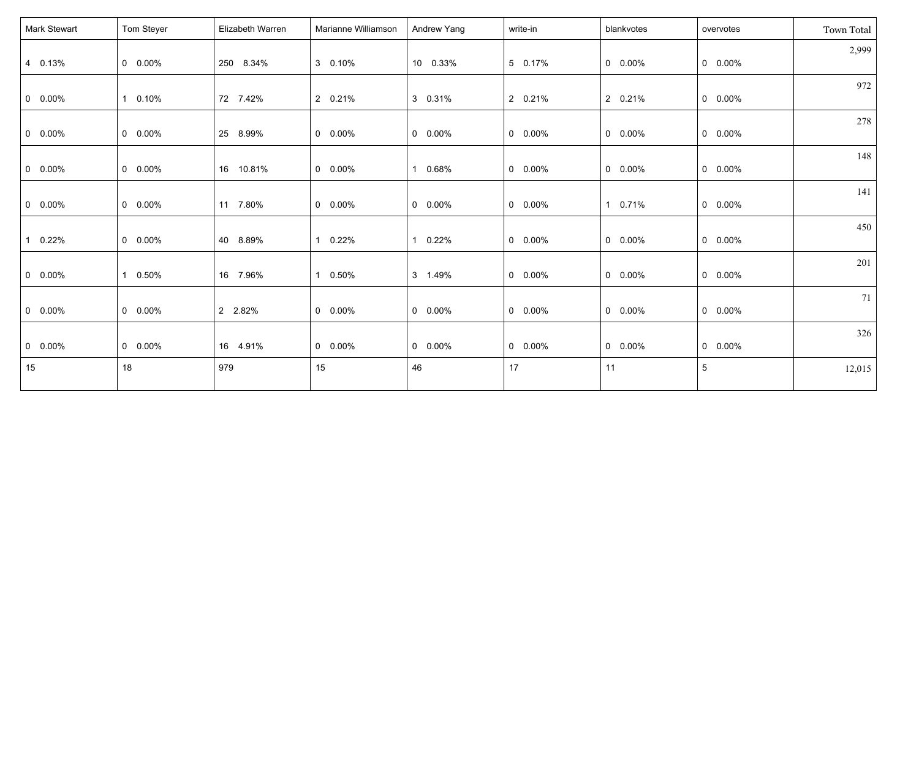| Mark Stewart    | Tom Steyer | Elizabeth Warren | Marianne Williamson | Andrew Yang     | write-in        | blankvotes      | overvotes       | Town Total |
|-----------------|------------|------------------|---------------------|-----------------|-----------------|-----------------|-----------------|------------|
| 4 0.13%         | $0$ 0.00%  | 250 8.34%        | 3 0.10%             | 10 0.33%        | 5 0.17%         | $0$ 0.00%       | $0$ 0.00%       | 2,999      |
| $0$ 0.00%       | 1 0.10%    | 72 7.42%         | 2 0.21%             | 3 0.31%         | 2 0.21%         | 2 0.21%         | $0$ 0.00%       | 972        |
| $0$ 0.00%       | $0$ 0.00%  | 25 8.99%         | $0.00\%$            | $0$ 0.00%       | $0$ 0.00%       | $0$ 0.00%       | $0$ 0.00%       | 278        |
| $0\quad 0.00\%$ | $0$ 0.00%  | 16 10.81%        | $0.00\%$            | 1 0.68%         | $0\quad 0.00\%$ | $0\quad 0.00\%$ | $0\quad 0.00\%$ | 148        |
| $0$ 0.00%       | $0$ 0.00%  | 11 7.80%         | $0.00\%$            | $0$ 0.00%       | $0$ 0.00%       | 1 0.71%         | $0$ 0.00%       | 141        |
| 0.22%           | $0$ 0.00%  | 40 8.89%         | 0.22%               | 1 0.22%         | $0$ 0.00%       | $0$ 0.00%       | $0\quad 0.00\%$ | 450        |
| $0$ 0.00%       | 1 0.50%    | 16 7.96%         | $0.50\%$            | 3 1.49%         | $0$ 0.00%       | $0\quad 0.00\%$ | $0\quad 0.00\%$ | 201        |
| $0$ 0.00%       | $0$ 0.00%  | 2 2.82%          | $0.00\%$            | $0$ 0.00%       | $0$ 0.00%       | $0$ 0.00%       | $0$ 0.00%       | 71         |
| $0$ 0.00%       | $0$ 0.00%  | 16 4.91%         | $0.00\%$            | $0\quad 0.00\%$ | $0$ 0.00%       | $0$ 0.00%       | $0$ 0.00%       | 326        |
| 15              | 18         | 979              | 15                  | 46              | 17              | 11              | $5\phantom{.0}$ | 12,015     |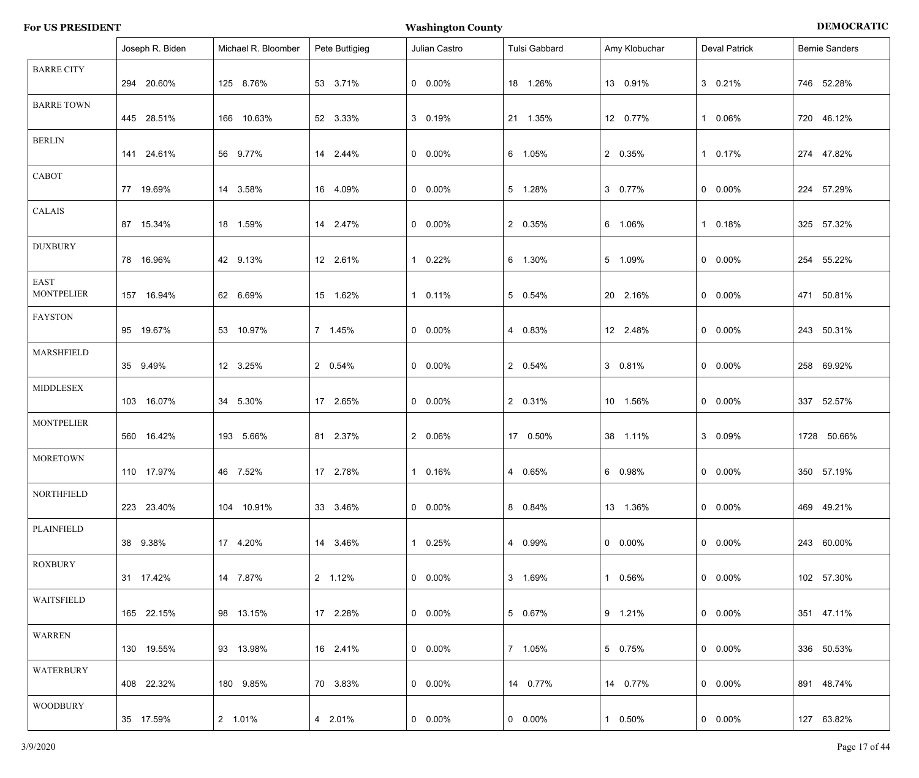|                                  | Joseph R. Biden | Michael R. Bloomber | Pete Buttigieg | Julian Castro   | Tulsi Gabbard   | Amy Klobuchar   | <b>Deval Patrick</b> | <b>Bernie Sanders</b> |
|----------------------------------|-----------------|---------------------|----------------|-----------------|-----------------|-----------------|----------------------|-----------------------|
| <b>BARRE CITY</b>                | 294 20.60%      | 125 8.76%           | 53 3.71%       | $0\quad 0.00\%$ | 18 1.26%        | 13 0.91%        | 3 0.21%              | 746 52.28%            |
| <b>BARRE TOWN</b>                | 445 28.51%      | 166 10.63%          | 52 3.33%       | 3 0.19%         | 21 1.35%        | 12 0.77%        | 1 0.06%              | 720 46.12%            |
| <b>BERLIN</b>                    | 141 24.61%      | 56 9.77%            | 14 2.44%       | $0\quad 0.00\%$ | 6 1.05%         | 2 0.35%         | 1 0.17%              | 274 47.82%            |
| CABOT                            | 77 19.69%       | 14 3.58%            | 16 4.09%       | $0\quad 0.00\%$ | 5 1.28%         | 3 0.77%         | $0\quad 0.00\%$      | 224 57.29%            |
| CALAIS                           | 87 15.34%       | 18 1.59%            | 14 2.47%       | $0\quad 0.00\%$ | 2 0.35%         | 6 1.06%         | 1 0.18%              | 325 57.32%            |
| <b>DUXBURY</b>                   | 78 16.96%       | 42 9.13%            | 12 2.61%       | 1 0.22%         | 6 1.30%         | 5 1.09%         | $0\quad 0.00\%$      | 254 55.22%            |
| <b>EAST</b><br><b>MONTPELIER</b> | 157 16.94%      | 62 6.69%            | 15 1.62%       | 1 0.11%         | 5 0.54%         | 20 2.16%        | $0\quad 0.00\%$      | 471 50.81%            |
| <b>FAYSTON</b>                   | 95 19.67%       | 53 10.97%           | 7 1.45%        | $0\quad 0.00\%$ | 4 0.83%         | 12 2.48%        | $0\quad 0.00\%$      | 243 50.31%            |
| MARSHFIELD                       | 35 9.49%        | 12 3.25%            | 2 0.54%        | $0\quad 0.00\%$ | 2 0.54%         | 3 0.81%         | $0\quad 0.00\%$      | 258 69.92%            |
| <b>MIDDLESEX</b>                 | 103 16.07%      | 34 5.30%            | 17 2.65%       | $0\quad 0.00\%$ | 2 0.31%         | 10 1.56%        | $0\quad 0.00\%$      | 337 52.57%            |
| <b>MONTPELIER</b>                | 560 16.42%      | 193 5.66%           | 81 2.37%       | 2 0.06%         | 17 0.50%        | 38 1.11%        | 3 0.09%              | 1728 50.66%           |
| <b>MORETOWN</b>                  | 110 17.97%      | 46 7.52%            | 17 2.78%       | 1 0.16%         | 4 0.65%         | 6  0.98%        | $0\quad 0.00\%$      | 350 57.19%            |
| NORTHFIELD                       | 223 23.40%      | 104 10.91%          | 33 3.46%       | $0\quad 0.00\%$ | 8 0.84%         | 13 1.36%        | $0\quad 0.00\%$      | 469 49.21%            |
| PLAINFIELD                       | 38 9.38%        | 17 4.20%            | 14 3.46%       | 1 0.25%         | 4 0.99%         | $0\quad 0.00\%$ | $0\quad 0.00\%$      | 243 60.00%            |
| ROXBURY                          | 31 17.42%       | 14 7.87%            | 2 1.12%        | $0\quad 0.00\%$ | 3 1.69%         | 1 0.56%         | $0\quad 0.00\%$      | 102 57.30%            |
| WAITSFIELD                       | 165 22.15%      | 98 13.15%           | 17 2.28%       | $0\quad 0.00\%$ | 5 0.67%         | 9 1.21%         | $0\quad 0.00\%$      | 351 47.11%            |
| WARREN                           | 130 19.55%      | 93 13.98%           | 16 2.41%       | $0\quad 0.00\%$ | 7 1.05%         | 5 0.75%         | $0\quad 0.00\%$      | 336 50.53%            |
| WATERBURY                        | 408 22.32%      | 180 9.85%           | 70 3.83%       | $0\quad 0.00\%$ | 14 0.77%        | 14 0.77%        | $0\quad 0.00\%$      | 891 48.74%            |
| <b>WOODBURY</b>                  | 35 17.59%       | 2 1.01%             | 4 2.01%        | $0\quad 0.00\%$ | $0\quad 0.00\%$ | 1 0.50%         | $0\quad 0.00\%$      | 127 63.82%            |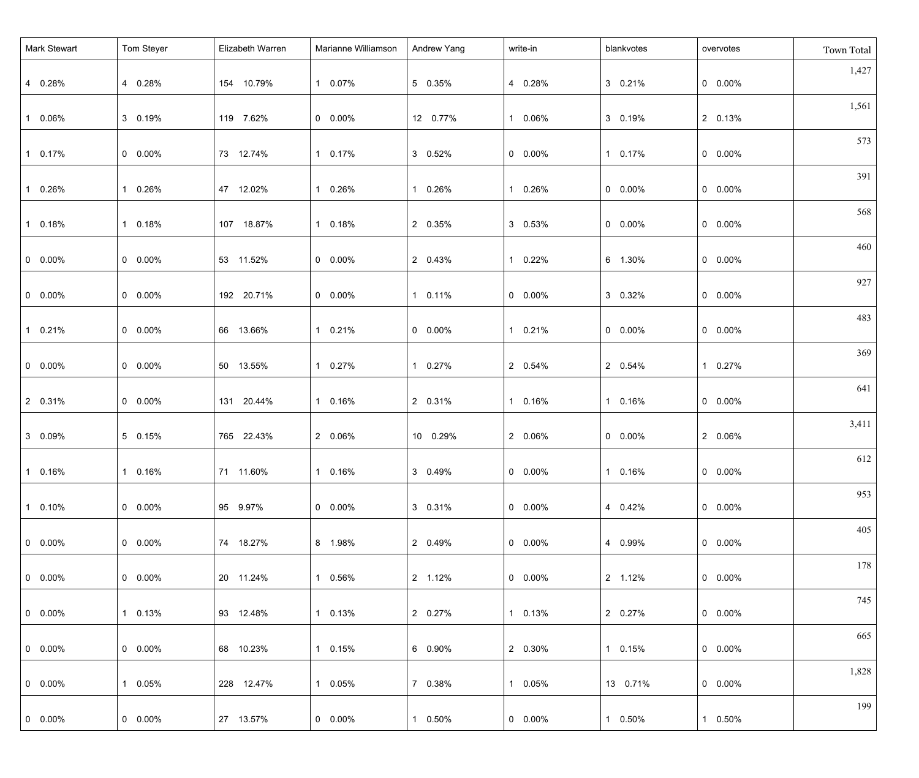| Mark Stewart    | Tom Steyer      | Elizabeth Warren | Marianne Williamson | Andrew Yang     | write-in        | blankvotes      | overvotes       | Town Total |
|-----------------|-----------------|------------------|---------------------|-----------------|-----------------|-----------------|-----------------|------------|
| 4 0.28%         | 4 0.28%         | 154 10.79%       | 1 0.07%             | 5 0.35%         | 4 0.28%         | 3 0.21%         | $0\quad 0.00\%$ | 1,427      |
| 1 0.06%         | 3 0.19%         | 119 7.62%        | $0\quad 0.00\%$     | 12 0.77%        | 1 0.06%         | 3 0.19%         | 2 0.13%         | 1,561      |
| 1 0.17%         | $0 0.00\%$      | 73 12.74%        | 1 0.17%             | 3 0.52%         | $0\quad 0.00\%$ | 1 0.17%         | $0\quad 0.00\%$ | 573        |
| 1 0.26%         | 1 0.26%         | 47 12.02%        | 1 0.26%             | 1 0.26%         | 1 0.26%         | $0\quad 0.00\%$ | $0\quad 0.00\%$ | 391        |
| 1 0.18%         | 1 0.18%         | 107 18.87%       | 1 0.18%             | 2 0.35%         | 3 0.53%         | $0\quad 0.00\%$ | $0\quad 0.00\%$ | 568        |
| $0\quad 0.00\%$ | $0 0.00\%$      | 53 11.52%        | $0\quad 0.00\%$     | 2 0.43%         | 1 0.22%         | 6 1.30%         | $0\quad 0.00\%$ | 460        |
| $0\quad 0.00\%$ | $0\quad 0.00\%$ | 192 20.71%       | $0\quad 0.00\%$     | 1 0.11%         | $0\quad 0.00\%$ | 3 0.32%         | $0\quad 0.00\%$ | 927        |
| 1 0.21%         | $0 0.00\%$      | 66 13.66%        | 1 0.21%             | $0\quad 0.00\%$ | 1 0.21%         | $0\quad 0.00\%$ | $0\quad 0.00\%$ | 483        |
| $0\quad 0.00\%$ | $0 0.00\%$      | 50 13.55%        | 1 0.27%             | 1 0.27%         | 2 0.54%         | 2 0.54%         | 1 0.27%         | 369        |
| 2 0.31%         | $0\quad 0.00\%$ | 131 20.44%       | 1 0.16%             | 2 0.31%         | 1 0.16%         | 1 0.16%         | $0\quad 0.00\%$ | 641        |
| 3 0.09%         | 5 0.15%         | 765 22.43%       | 2 0.06%             | 10 0.29%        | 2 0.06%         | $0\quad 0.00\%$ | 2 0.06%         | 3,411      |
| $10.16\%$       | 1 0.16%         | 71 11.60%        | 1 0.16%             | 3 0.49%         | $0$ 0.00%       | 1 0.16%         | $0$ 0.00%       | 612        |
| $10.10\%$       | $0 0.00\%$      | 95 9.97%         | $0\quad 0.00\%$     | 3 0.31%         | $0\quad 0.00\%$ | 4 0.42%         | $0\quad 0.00\%$ | 953        |
| $  0 0.00\%$    | $0.00\%$        | 74 18.27%        | 8 1.98%             | 2 0.49%         | $0\quad 0.00\%$ | 4 0.99%         | $0\quad 0.00\%$ | 405        |
|                 |                 |                  |                     |                 |                 |                 |                 | 178        |
| $  0 0.00\%$    | $0\quad 0.00\%$ | 20 11.24%        | 1 0.56%             | 2 1.12%         | $0\quad 0.00\%$ | 2 1.12%         | $0\quad 0.00\%$ | 745        |
| $  0 0.00\%$    | 1 0.13%         | 93 12.48%        | 1 0.13%             | 2 0.27%         | 1 0.13%         | 2 0.27%         | $0\quad 0.00\%$ | 665        |
| $  0 0.00\%$    | $0\quad 0.00\%$ | 68 10.23%        | 1 0.15%             | 6 0.90%         | 2 0.30%         | 1 0.15%         | $0\quad 0.00\%$ |            |
| $  0 0.00\%$    | 1 0.05%         | 228 12.47%       | 1 0.05%             | 7 0.38%         | 1 0.05%         | 13 0.71%        | $0\quad 0.00\%$ | 1,828      |
| $0\quad 0.00\%$ | $0 0.00\%$      | 27 13.57%        | $0\quad 0.00\%$     | 1 0.50%         | $0\quad 0.00\%$ | 1 0.50%         | 1 0.50%         | 199        |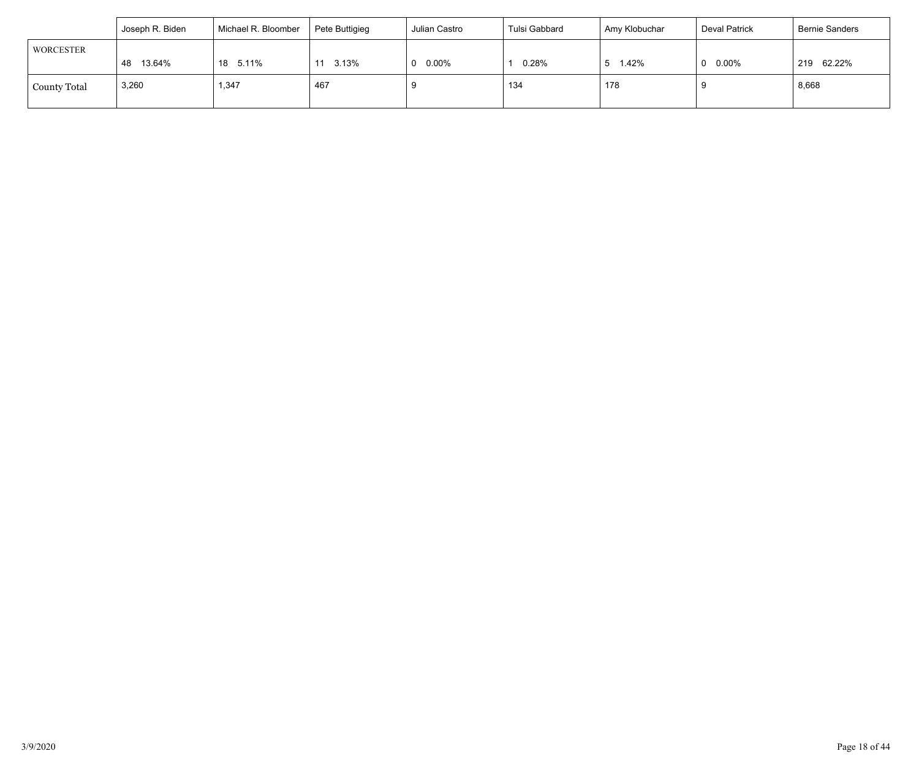|                     | Joseph R. Biden | Michael R. Bloomber | Pete Buttigieg | Julian Castro        | Tulsi Gabbard | Amy Klobuchar | Deval Patrick | <b>Bernie Sanders</b> |
|---------------------|-----------------|---------------------|----------------|----------------------|---------------|---------------|---------------|-----------------------|
| <b>WORCESTER</b>    |                 |                     |                |                      |               |               |               |                       |
|                     | 13.64%<br>48    | 18 5.11%            | 3.13%<br>11    | $0.00\%$<br>$\Omega$ | 0.28%         | 1.42%         | $0.00\%$      | 62.22%<br>219         |
| <b>County Total</b> | 3,260           | 1,347               | 467            |                      | 134           | 178           |               | 8,668                 |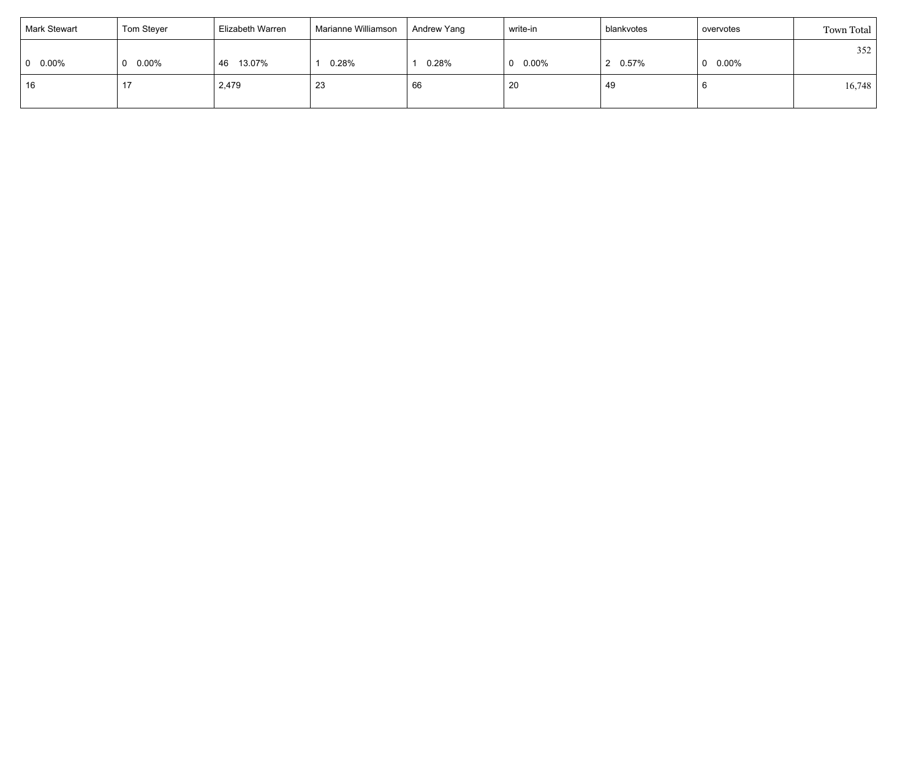| <b>Mark Stewart</b> | Tom Steyer      | Elizabeth Warren | Marianne Williamson | Andrew Yang | write-in        | blankvotes | overvotes | Town Total |
|---------------------|-----------------|------------------|---------------------|-------------|-----------------|------------|-----------|------------|
|                     |                 |                  |                     |             |                 |            |           | 352        |
| $0.00\%$            | $0\quad 0.00\%$ | 13.07%<br>46     | 0.28%               | 0.28%       | $0\quad 0.00\%$ | $0.57\%$   | 0.00%     |            |
| 16                  | .               | 2,479            | 23                  | 66          | 20              | 49         |           | 16,748     |
|                     |                 |                  |                     |             |                 |            |           |            |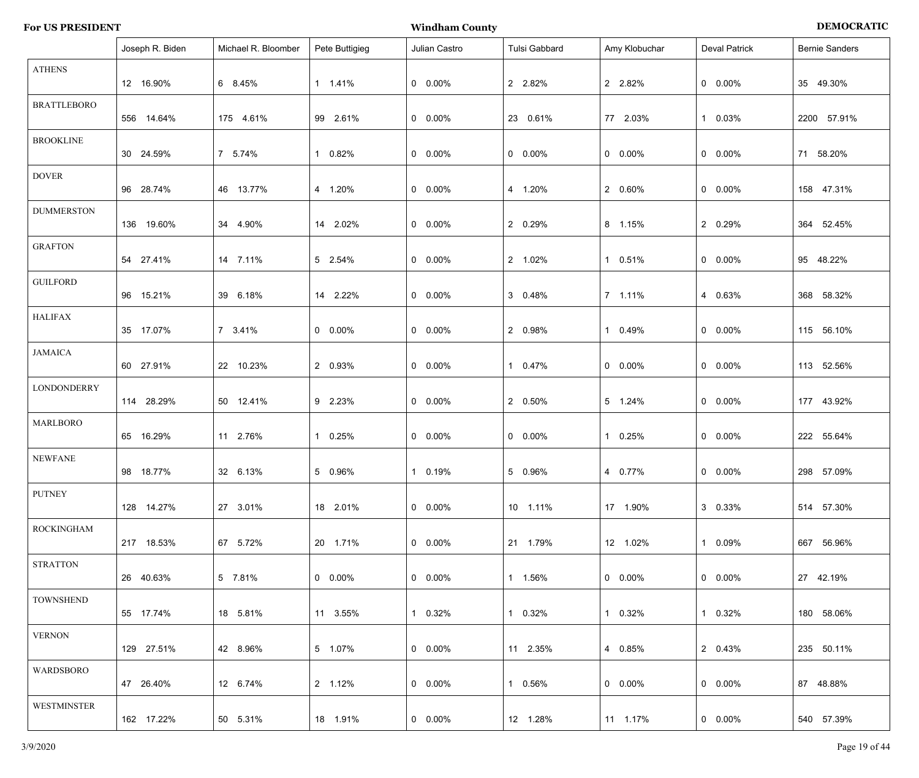|  | <b>For US PRESIDENT</b> |  |
|--|-------------------------|--|
|--|-------------------------|--|

**For US PENOCRATIC PRESIDENT IS A PROPERTIE OF A PROPERTIES OF A PROPERTIES OF A PROPERTIES OF A PROPERTIES OF A PROPERTIES OF A PROPERTIES OF A PROPERTIES OF A PROPERTIES OF A PROPERTIES OF A PROPERTIES OF A PROPERTIES OF** 

|                    | Joseph R. Biden | Michael R. Bloomber | Pete Buttigieg  | Julian Castro   | Tulsi Gabbard | Amy Klobuchar   | <b>Deval Patrick</b> | <b>Bernie Sanders</b> |
|--------------------|-----------------|---------------------|-----------------|-----------------|---------------|-----------------|----------------------|-----------------------|
| <b>ATHENS</b>      | 12 16.90%       | 6 8.45%             | 1 1.41%         | $0\quad 0.00\%$ | 2 2.82%       | 2 2.82%         | $0$ 0.00%            | 35 49.30%             |
| <b>BRATTLEBORO</b> | 556 14.64%      | 175 4.61%           | 99 2.61%        | $0\quad 0.00\%$ | 23 0.61%      | 77 2.03%        | 1 0.03%              | 2200 57.91%           |
| <b>BROOKLINE</b>   | 30 24.59%       | 7 5.74%             | 1 0.82%         | $0\quad 0.00\%$ | $0 0.00\%$    | $0\quad 0.00\%$ | $0$ 0.00%            | 71 58.20%             |
| <b>DOVER</b>       | 96 28.74%       | 46 13.77%           | 4 1.20%         | $0\quad 0.00\%$ | 4 1.20%       | 2 0.60%         | $0$ 0.00%            | 158 47.31%            |
| <b>DUMMERSTON</b>  | 136 19.60%      | 34 4.90%            | 14 2.02%        | $0\quad 0.00\%$ | 2 0.29%       | 8 1.15%         | 2 0.29%              | 364 52.45%            |
| <b>GRAFTON</b>     | 54 27.41%       | 14 7.11%            | 5 2.54%         | $0\quad 0.00\%$ | 2 1.02%       | 1 0.51%         | $0$ 0.00%            | 95 48.22%             |
| <b>GUILFORD</b>    | 96 15.21%       | 39 6.18%            | 14 2.22%        | $0\quad 0.00\%$ | 3 0.48%       | 7 1.11%         | 4 0.63%              | 368 58.32%            |
| <b>HALIFAX</b>     | 35 17.07%       | 7 3.41%             | $0\quad 0.00\%$ | $0\quad 0.00\%$ | 2 0.98%       | 1 0.49%         | $0$ 0.00%            | 115 56.10%            |
| <b>JAMAICA</b>     | 60 27.91%       | 22 10.23%           | 2 0.93%         | $0\quad 0.00\%$ | 1 0.47%       | $0\quad 0.00\%$ | $0$ 0.00%            | 113 52.56%            |
| <b>LONDONDERRY</b> | 114 28.29%      | 50 12.41%           | 9 2.23%         | $0\quad 0.00\%$ | 2 0.50%       | 5 1.24%         | $0$ 0.00%            | 177 43.92%            |
| <b>MARLBORO</b>    | 65 16.29%       | 11 2.76%            | 1 0.25%         | $0\quad 0.00\%$ | $0 0.00\%$    | 1 0.25%         | $0$ 0.00%            | 222 55.64%            |
| <b>NEWFANE</b>     | 98 18.77%       | 32 6.13%            | 5 0.96%         | 1 0.19%         | 5 0.96%       | 4 0.77%         | $0\quad 0.00\%$      | 298 57.09%            |
| <b>PUTNEY</b>      | 128 14.27%      | 27 3.01%            | 18 2.01%        | $0\quad 0.00\%$ | 10 1.11%      | 17 1.90%        | 3 0.33%              | 514 57.30%            |
| ROCKINGHAM         | 217 18.53%      | 67 5.72%            | 20 1.71%        | $0\quad 0.00\%$ | 21 1.79%      | 12 1.02%        | 1 0.09%              | 667 56.96%            |
| <b>STRATTON</b>    | 26 40.63%       | 5 7.81%             | $0\quad 0.00\%$ | $0\quad 0.00\%$ | 1 1.56%       | $0\quad 0.00\%$ | $0\quad 0.00\%$      | 27 42.19%             |
| <b>TOWNSHEND</b>   | 55 17.74%       | 18 5.81%            | 11 3.55%        | 1 0.32%         | 1 0.32%       | 1 0.32%         | 1 0.32%              | 180 58.06%            |
| <b>VERNON</b>      | 129 27.51%      | 42 8.96%            | 5 1.07%         | $0\quad 0.00\%$ | 11 2.35%      | 4 0.85%         | 2 0.43%              | 235 50.11%            |
| WARDSBORO          | 47 26.40%       | 12 6.74%            | 2 1.12%         | $0\quad 0.00\%$ | 1 0.56%       | $0\quad 0.00\%$ | $0\quad 0.00\%$      | 87 48.88%             |
| WESTMINSTER        | 162 17.22%      | 50 5.31%            | 18  1.91%       | $0\quad 0.00\%$ | 12 1.28%      | 11 1.17%        | $0\quad 0.00\%$      | 540 57.39%            |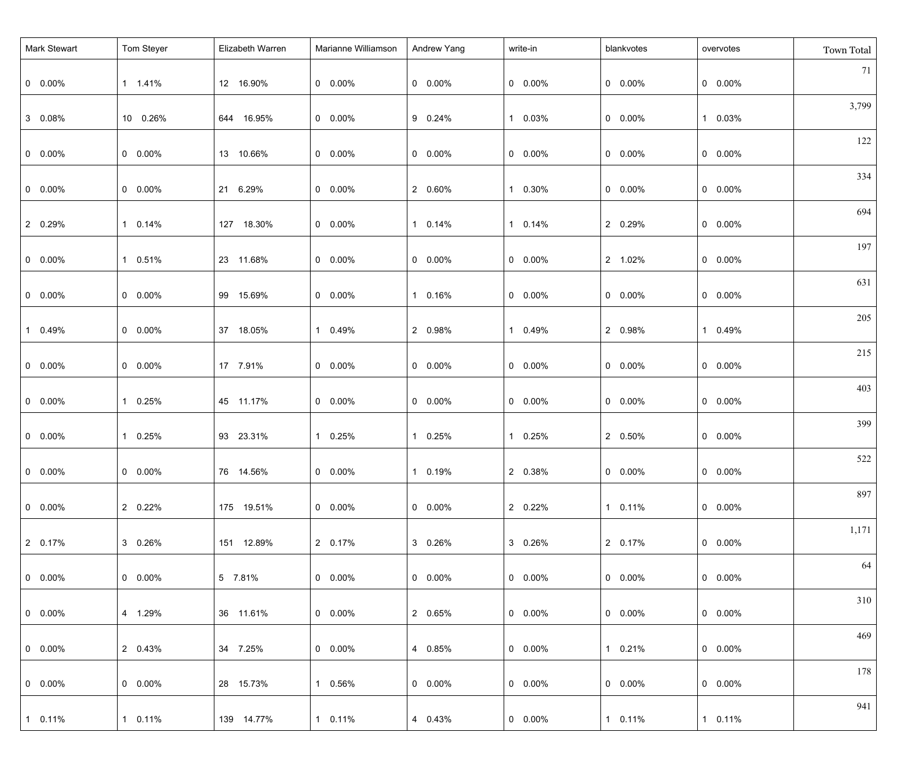| Mark Stewart    | Tom Steyer      | Elizabeth Warren | Marianne Williamson | Andrew Yang     | write-in        | blankvotes      | overvotes       | Town Total |
|-----------------|-----------------|------------------|---------------------|-----------------|-----------------|-----------------|-----------------|------------|
| $0$ 0.00%       | 1 1.41%         | 12 16.90%        | $0\quad 0.00\%$     | $0\quad 0.00\%$ | $0\quad 0.00\%$ | $0\quad 0.00\%$ | $0\quad 0.00\%$ | 71         |
| 3 0.08%         | 10 0.26%        | 644 16.95%       | $0\quad 0.00\%$     | 9 0.24%         | 1 0.03%         | $0\quad 0.00\%$ | 1 0.03%         | 3,799      |
| $0$ 0.00%       | $0\quad 0.00\%$ | 13 10.66%        | $0\quad 0.00\%$     | $0\quad 0.00\%$ | $0\quad 0.00\%$ | $0\quad 0.00\%$ | $0\quad 0.00\%$ | 122        |
| $0$ 0.00%       | $0\quad 0.00\%$ | 21 6.29%         | $0\quad 0.00\%$     | 2 0.60%         | 1 0.30%         | $0\quad 0.00\%$ | $0\quad 0.00\%$ | 334        |
| 2 0.29%         | 1 0.14%         | 127 18.30%       | $0\quad 0.00\%$     | 1 0.14%         | 1 0.14%         | 2 0.29%         | $0\quad 0.00\%$ | 694        |
| $0$ 0.00%       | 1 0.51%         | 23 11.68%        | $0\quad 0.00\%$     | $0\quad 0.00\%$ | $0\quad 0.00\%$ | 2 1.02%         | $0\quad 0.00\%$ | 197        |
| $0\quad 0.00\%$ | $0\quad 0.00\%$ | 99 15.69%        | $0\quad 0.00\%$     | 1 0.16%         | $0\quad 0.00\%$ | $0\quad 0.00\%$ | $0\quad 0.00\%$ | 631        |
| 1 0.49%         | $0\quad 0.00\%$ | 37 18.05%        | 1 0.49%             | 2 0.98%         | 1 0.49%         | 2 0.98%         | 1 0.49%         | 205        |
| $0$ 0.00%       | $0\quad 0.00\%$ | 17 7.91%         | $0\quad 0.00\%$     | $0\quad 0.00\%$ | $0\quad 0.00\%$ | $0\quad 0.00\%$ | $0\quad 0.00\%$ | 215        |
| $0\quad 0.00\%$ | 1 0.25%         | 45 11.17%        | $0\quad 0.00\%$     | $0\quad 0.00\%$ | $0\quad 0.00\%$ | $0\quad 0.00\%$ | $0\quad 0.00\%$ | 403        |
| $0\quad 0.00\%$ | 1 0.25%         | 93 23.31%        | 1 0.25%             | 1 0.25%         | 1 0.25%         | 2 0.50%         | $0\quad 0.00\%$ | 399        |
| $0 0.00\%$      | $0$ 0.00%       | 76 14.56%        | $0\quad 0.00\%$     | 1 0.19%         | 2 0.38%         | $0$ 0.00%       | $0\quad 0.00\%$ | 522        |
| $0$ 0.00%       | 2 0.22%         | 175 19.51%       | $0\quad 0.00\%$     | $0\quad 0.00\%$ | 2 0.22%         | 1 0.11%         | $0\quad 0.00\%$ | 897        |
| 2 0.17%         | 3 0.26%         | 151 12.89%       | 2 0.17%             | 3 0.26%         | 3 0.26%         | 2 0.17%         | $0\quad 0.00\%$ | 1,171      |
| $0$ 0.00%       | $0\quad 0.00\%$ | 5 7.81%          | $0\quad 0.00\%$     | $0\quad 0.00\%$ | $0\quad 0.00\%$ | $0\quad 0.00\%$ | $0\quad 0.00\%$ | 64         |
| $0$ 0.00%       | 4 1.29%         | 36 11.61%        | $0\quad 0.00\%$     | 2 0.65%         | $0\quad 0.00\%$ | $0\quad 0.00\%$ | $0\quad 0.00\%$ | 310        |
| $0$ 0.00%       | 2 0.43%         | 34 7.25%         | $0\quad 0.00\%$     | 4 0.85%         | $0\quad 0.00\%$ | 1 0.21%         | $0\quad 0.00\%$ | 469        |
| $0\quad 0.00\%$ | $0\quad 0.00\%$ | 28 15.73%        | 1 0.56%             | $0\quad 0.00\%$ | $0\quad 0.00\%$ | $0\quad 0.00\%$ | $0\quad 0.00\%$ | 178        |
| 1 0.11%         | 1 0.11%         | 139 14.77%       | 1 0.11%             | 4 0.43%         | $0\quad 0.00\%$ | 1 0.11%         | 1 0.11%         | 941        |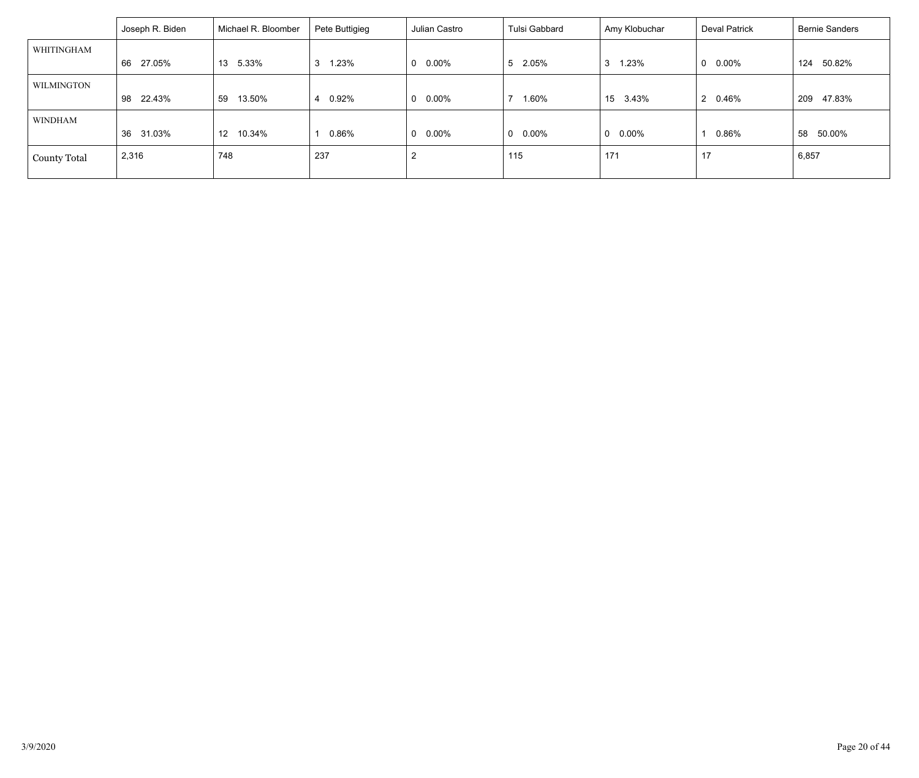|                     | Joseph R. Biden | Michael R. Bloomber       | Pete Buttigieg | Julian Castro         | ⊦ Tulsi Gabbard | Amy Klobuchar   | <b>Deval Patrick</b>  | <b>Bernie Sanders</b> |
|---------------------|-----------------|---------------------------|----------------|-----------------------|-----------------|-----------------|-----------------------|-----------------------|
| WHITINGHAM          |                 |                           |                |                       |                 |                 |                       |                       |
|                     | 27.05%<br>66    | 13 5.33%                  | .23%<br>3      | $0.00\%$<br>$\Omega$  | 5 2.05%         | 1.23%<br>3      | 0.00%<br>0            | 50.82%<br>124         |
| WILMINGTON          |                 |                           |                |                       |                 |                 |                       |                       |
|                     | 22.43%<br>98    | 13.50%<br>59              | 0.92%<br>4     | $0.00\%$<br>0         | 1.60%<br>- 7    | 15<br>3.43%     | 0.46%<br>$\mathbf{2}$ | 47.83%<br>209         |
| WINDHAM             |                 |                           |                |                       |                 |                 |                       |                       |
|                     | 31.03%<br>36    | 10.34%<br>12 <sup>1</sup> | $0.86\%$       | 0.00%<br>$\mathbf{0}$ | $0\quad 0.00\%$ | $0\quad 0.00\%$ | 0.86%                 | 50.00%<br>58          |
| <b>County Total</b> | 2,316           | 748                       | 237            | $\sim$<br>-2          | 115             | 171             | 17                    | 6,857                 |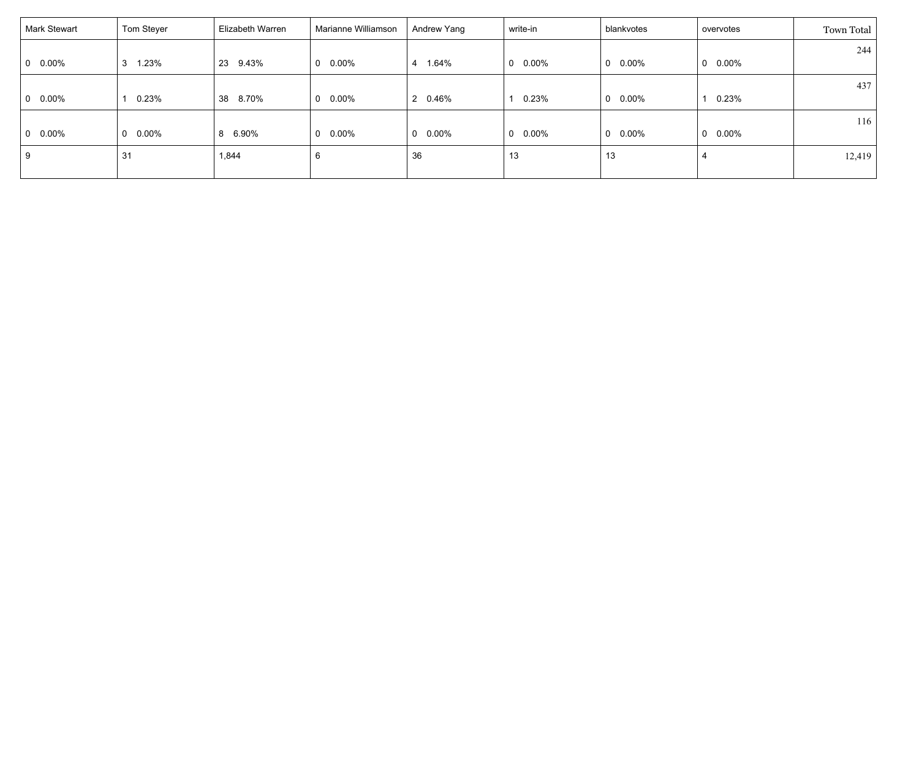| Mark Stewart    | Tom Steyer      | Elizabeth Warren | Marianne Williamson | Andrew Yang          | write-in        | blankvotes               | overvotes       | Town Total |
|-----------------|-----------------|------------------|---------------------|----------------------|-----------------|--------------------------|-----------------|------------|
|                 | 3               | 23               |                     | $\overline{4}$       |                 | $\mathbf{0}$             |                 | 244        |
| $0\quad 0.00\%$ | 1.23%           | 9.43%            | $0\quad 0.00\%$     | 1.64%                | $0\quad 0.00\%$ | $0.00\%$                 | $0\quad 0.00\%$ | 437        |
| $0\quad 0.00\%$ | 0.23%           | 8.70%<br>38      | $0\quad 0.00\%$     | 2 0.46%              | 0.23%           | $0.00\%$<br>$\mathbf{0}$ | 0.23%           |            |
|                 |                 |                  |                     |                      |                 |                          |                 | 116        |
| $0\quad 0.00\%$ | $0\quad 0.00\%$ | 6.90%<br>8       | $0\quad 0.00\%$     | 0.00%<br>$\mathbf 0$ | $0\quad 0.00\%$ | $0.00\%$<br>$\mathbf{0}$ | $0\quad 0.00\%$ |            |
| 9               | 31              | 1,844            | 6                   | 36                   | 13              | 13                       | $\overline{4}$  | 12,419     |
|                 |                 |                  |                     |                      |                 |                          |                 |            |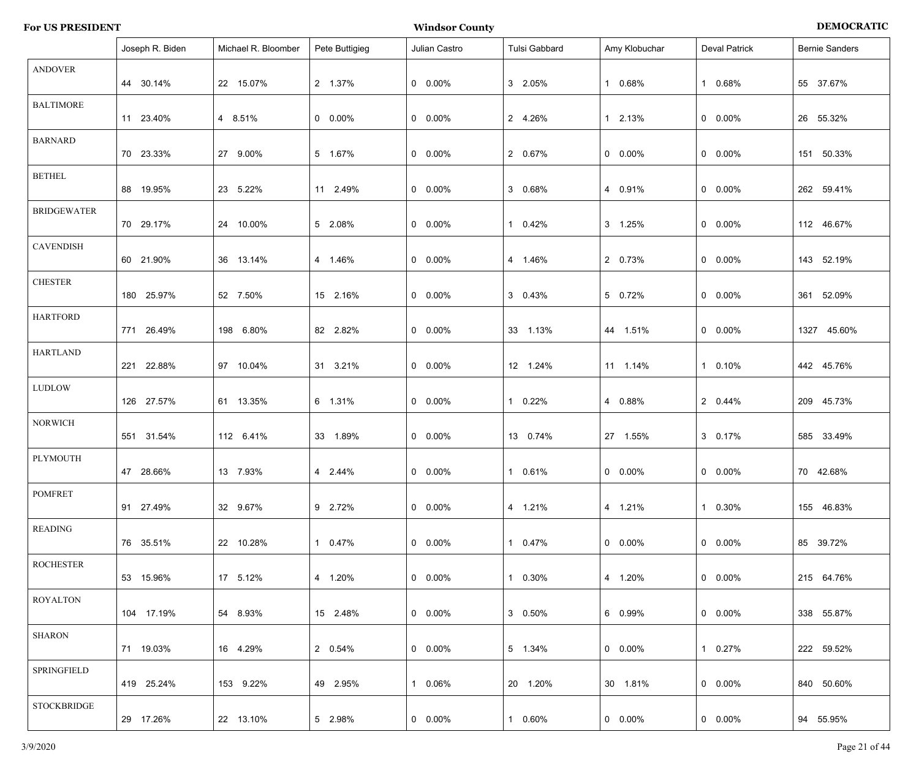| <b>For US PRESIDENT</b> | Windsor <b>w</b><br>* County | <b>DEMOCRATIC</b> |
|-------------------------|------------------------------|-------------------|
|-------------------------|------------------------------|-------------------|

|                    | Joseph R. Biden | Michael R. Bloomber | Pete Buttigieg  | Julian Castro   | Tulsi Gabbard         | Amy Klobuchar   | <b>Deval Patrick</b> | <b>Bernie Sanders</b> |
|--------------------|-----------------|---------------------|-----------------|-----------------|-----------------------|-----------------|----------------------|-----------------------|
| <b>ANDOVER</b>     | 44 30.14%       | 22 15.07%           | 2 1.37%         | $0\quad 0.00\%$ | $3\quad 2.05\%$       | 1 0.68%         | 0.68%<br>-1          | 55 37.67%             |
| <b>BALTIMORE</b>   | 11 23.40%       | 4 8.51%             | $0\quad 0.00\%$ | $0\quad 0.00\%$ | 2 4.26%               | 1 2.13%         | $0\quad 0.00\%$      | 26 55.32%             |
| <b>BARNARD</b>     | 70 23.33%       | 27 9.00%            | 5 1.67%         | $0\quad 0.00\%$ | 2 0.67%               | $0 0.00\%$      | $0$ 0.00%            | 151 50.33%            |
| <b>BETHEL</b>      | 88 19.95%       | 23 5.22%            | 11 2.49%        | $0\quad 0.00\%$ | 3 0.68%               | 4 0.91%         | $0$ 0.00%            | 262 59.41%            |
| <b>BRIDGEWATER</b> | 70 29.17%       | 24 10.00%           | 5 2.08%         | $0\quad 0.00\%$ | 0.42%<br>1.           | 3 1.25%         | $0$ 0.00%            | 112 46.67%            |
| <b>CAVENDISH</b>   | 60 21.90%       | 36 13.14%           | 4 1.46%         | $0\quad 0.00\%$ | 4 1.46%               | 2 0.73%         | $0$ 0.00%            | 143 52.19%            |
| <b>CHESTER</b>     | 180 25.97%      | 52 7.50%            | 15 2.16%        | $0\quad 0.00\%$ | $3\quad 0.43\%$       | 5 0.72%         | $0$ 0.00%            | 361 52.09%            |
| <b>HARTFORD</b>    | 771 26.49%      | 198 6.80%           | 82 2.82%        | $0\quad 0.00\%$ | 33 1.13%              | 44 1.51%        | $0$ 0.00%            | 1327 45.60%           |
| <b>HARTLAND</b>    | 221 22.88%      | 97 10.04%           | 31 3.21%        | $0$ 0.00%       | 12 1.24%              | 11 1.14%        | 1 0.10%              | 442 45.76%            |
| <b>LUDLOW</b>      | 126 27.57%      | 61 13.35%           | 6 1.31%         | $0$ 0.00%       | 0.22%                 | 4 0.88%         | 2 0.44%              | 209 45.73%            |
| <b>NORWICH</b>     | 551 31.54%      | 112 6.41%           | 33 1.89%        | $0$ 0.00%       | 13 0.74%              | 27 1.55%        | 3 0.17%              | 585 33.49%            |
| PLYMOUTH           | 47 28.66%       | 13 7.93%            | 4 2.44%         | $0\quad 0.00\%$ | 0.61%<br>$\mathbf{1}$ | $0\quad 0.00\%$ | $0\quad 0.00\%$      | 70 42.68%             |
| <b>POMFRET</b>     | 91 27.49%       | 32 9.67%            | 9 2.72%         | $0\quad 0.00\%$ | 4 1.21%               | 4 1.21%         | 1 0.30%              | 155 46.83%            |
| READING            | 76 35.51%       | 22 10.28%           | 1 0.47%         | $0\quad 0.00\%$ | 1 0.47%               | $0\quad 0.00\%$ | $0\quad 0.00\%$      | 85 39.72%             |
| <b>ROCHESTER</b>   | 53 15.96%       | 17 5.12%            | 4 1.20%         | $0\quad 0.00\%$ | 1 0.30%               | 4 1.20%         | $0\quad 0.00\%$      | 215 64.76%            |
| <b>ROYALTON</b>    | 104 17.19%      | 54 8.93%            | 15 2.48%        | $0\quad 0.00\%$ | 3 0.50%               | 6 0.99%         | $0\quad 0.00\%$      | 338 55.87%            |
| <b>SHARON</b>      | 71 19.03%       | 16 4.29%            | 2 0.54%         | $0\quad 0.00\%$ | 5 1.34%               | $0\quad 0.00\%$ | 1 0.27%              | 222 59.52%            |
| SPRINGFIELD        | 419 25.24%      | 153 9.22%           | 49 2.95%        | 1 0.06%         | 20 1.20%              | 30 1.81%        | $0\quad 0.00\%$      | 840 50.60%            |
| STOCKBRIDGE        | 29 17.26%       | 22 13.10%           | 5 2.98%         | $0\quad 0.00\%$ | 1 0.60%               | $0\quad 0.00\%$ | $0\quad 0.00\%$      | 94 55.95%             |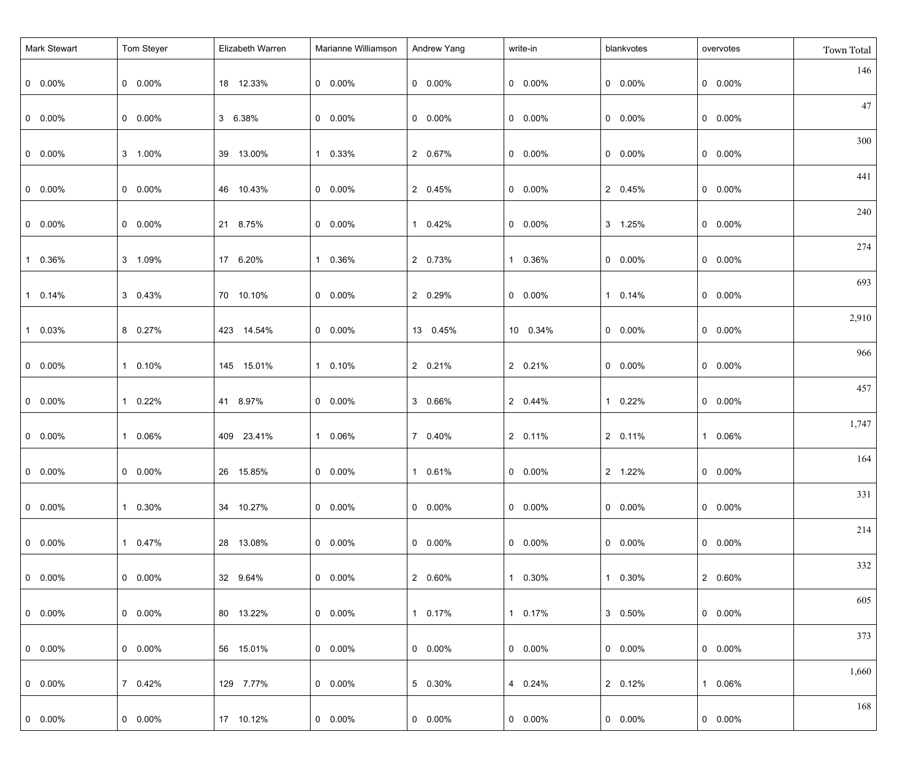| <b>Mark Stewart</b> | Tom Steyer      | Elizabeth Warren | Marianne Williamson | Andrew Yang     | write-in        | blankvotes      | overvotes       | Town Total |
|---------------------|-----------------|------------------|---------------------|-----------------|-----------------|-----------------|-----------------|------------|
| $0\quad 0.00\%$     | $0 0.00\%$      | 18 12.33%        | $0\quad 0.00\%$     | $0 0.00\%$      | $0\quad 0.00\%$ | $0\quad 0.00\%$ | $0\quad 0.00\%$ | 146        |
| $0\quad 0.00\%$     | $0\quad 0.00\%$ | 3 6.38%          | $0\quad 0.00\%$     | $0 0.00\%$      | $0\quad 0.00\%$ | $0\quad 0.00\%$ | $0\quad 0.00\%$ | 47         |
| $0\quad 0.00\%$     | 3 1.00%         | 39 13.00%        | 1 0.33%             | 2 0.67%         | $0\quad 0.00\%$ | $0\quad 0.00\%$ | $0\quad 0.00\%$ | 300        |
| $0\quad 0.00\%$     | $0\quad 0.00\%$ | 46 10.43%        | $0\quad 0.00\%$     | 2 0.45%         | $0\quad 0.00\%$ | 2 0.45%         | $0\quad 0.00\%$ | 441        |
| $0\quad 0.00\%$     | $0\quad 0.00\%$ | 21 8.75%         | $0\quad 0.00\%$     | 1 0.42%         | $0\quad 0.00\%$ | 3 1.25%         | $0\quad 0.00\%$ | 240        |
| 1 0.36%             | 3 1.09%         | 17 6.20%         | 1 0.36%             | 2 0.73%         | 1 0.36%         | $0\quad 0.00\%$ | $0\quad 0.00\%$ | 274        |
| 1 0.14%             | 3 0.43%         | 70 10.10%        | $0\quad 0.00\%$     | 2 0.29%         | $0\quad 0.00\%$ | 1 0.14%         | $0\quad 0.00\%$ | 693        |
| 1 0.03%             | 8 0.27%         | 423 14.54%       | $0\quad 0.00\%$     | 13 0.45%        | 10 0.34%        | $0\quad 0.00\%$ | $0\quad 0.00\%$ | 2,910      |
| $0\quad 0.00\%$     | 1 0.10%         | 145 15.01%       | 1 0.10%             | 2 0.21%         | 2 0.21%         | $0\quad 0.00\%$ | $0\quad 0.00\%$ | 966        |
| $0\quad 0.00\%$     | 1 0.22%         | 41 8.97%         | $0\quad 0.00\%$     | 3 0.66%         | 2 0.44%         | 1 0.22%         | $0\quad 0.00\%$ | 457        |
| $0\quad 0.00\%$     | 1 0.06%         | 409 23.41%       | 1 0.06%             | 7 0.40%         | 2 0.11%         | 2 0.11%         | 1 0.06%         | 1,747      |
| $0\quad 0.00\%$     | $0 0.00\%$      | 26 15.85%        | $0\quad 0.00\%$     | 1 0.61%         | $0$ 0.00%       | 2 1.22%         | $0$ 0.00%       | 164        |
| $  0 0.00\%$        | 1 0.30%         | 34 10.27%        | $0\quad 0.00\%$     | $0\quad 0.00\%$ | $0$ 0.00%       | $0\quad 0.00\%$ | $0 0.00\%$      | 331        |
| $  0 0.00\%$        | 1 0.47%         | 28 13.08%        | $0\quad 0.00\%$     | $0\quad 0.00\%$ | $0\quad 0.00\%$ | $0\quad 0.00\%$ | $0\quad 0.00\%$ | 214        |
| $  0 0.00\%$        | $0\quad 0.00\%$ | 32 9.64%         | $0\quad 0.00\%$     | 2 0.60%         | 1 0.30%         | 1 0.30%         | 2 0.60%         | 332        |
|                     |                 |                  |                     |                 |                 |                 |                 | 605        |
| $  0 0.00\%$        | $0\quad 0.00\%$ | 80 13.22%        | $0\quad 0.00\%$     | 1 0.17%         | 1 0.17%         | 3 0.50%         | $0\quad 0.00\%$ | 373        |
| $  0 0.00\%$        | $0\quad 0.00\%$ | 56 15.01%        | $0\quad 0.00\%$     | $0\quad 0.00\%$ | $0\quad 0.00\%$ | $0\quad 0.00\%$ | $0\quad 0.00\%$ |            |
| $  0 0.00\%$        | 7 0.42%         | 129 7.77%        | $0\quad 0.00\%$     | 5 0.30%         | 4 0.24%         | 2 0.12%         | 1 0.06%         | 1,660      |
| $0\quad 0.00\%$     | $0 0.00\%$      | 17 10.12%        | $0\quad 0.00\%$     | $0\quad 0.00\%$ | $0\quad 0.00\%$ | $0$ 0.00%       | $0\quad 0.00\%$ | 168        |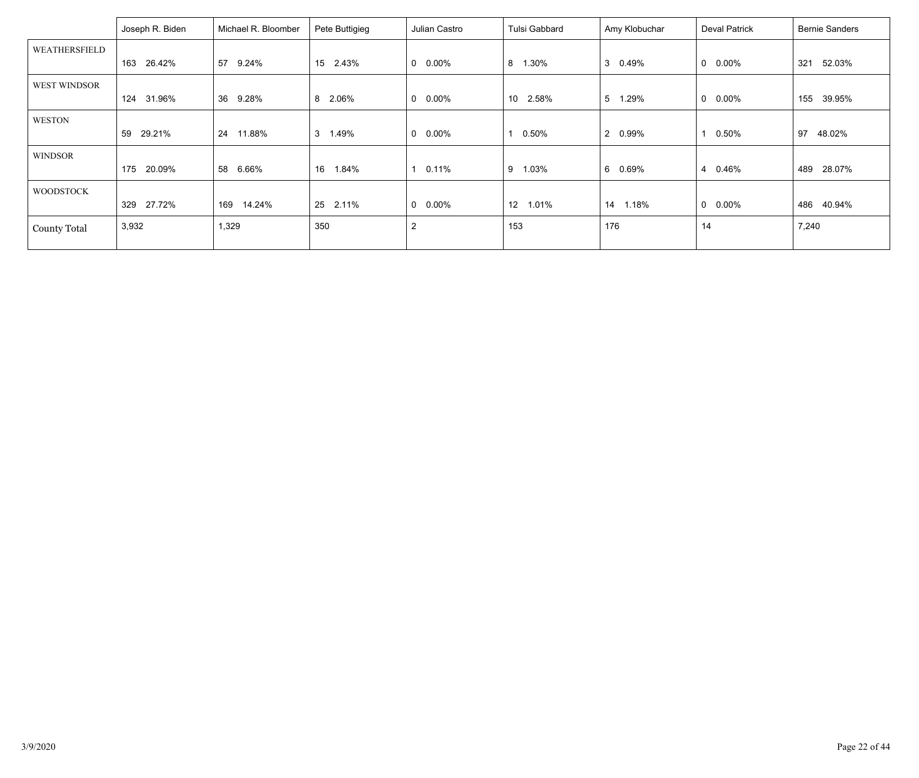|                     | Joseph R. Biden | Michael R. Bloomber | Pete Buttigieg | Julian Castro            | Tulsi Gabbard | Amy Klobuchar           | Deval Patrick           | <b>Bernie Sanders</b> |
|---------------------|-----------------|---------------------|----------------|--------------------------|---------------|-------------------------|-------------------------|-----------------------|
| WEATHERSFIELD       |                 |                     |                |                          |               |                         |                         |                       |
|                     | 26.42%<br>163   | 9.24%<br>57         | 15 2.43%       | $0.00\%$<br>$\mathbf{0}$ | 1.30%<br>8    | 3<br>0.49%              | 0.00%<br>0              | 321<br>52.03%         |
| WEST WINDSOR        |                 |                     |                |                          |               |                         |                         |                       |
|                     | 31.96%<br>124   | 36 9.28%            | 8 2.06%        | $\mathbf{0}$<br>$0.00\%$ | 10 2.58%      | 5<br>1.29%              | 0.00%<br>0              | 155<br>39.95%         |
| <b>WESTON</b>       |                 |                     |                |                          |               |                         |                         |                       |
|                     | 29.21%<br>59    | 11.88%<br>24        | 3 1.49%        | $0.00\%$<br>$\mathbf{0}$ | 0.50%         | $\overline{2}$<br>0.99% | 0.50%                   | 48.02%<br>97          |
| <b>WINDSOR</b>      |                 |                     |                |                          |               |                         |                         |                       |
|                     | 20.09%<br>175   | 58 6.66%            | 1.84%<br>16    | 0.11%<br>1               | 1.03%<br>9    | 6<br>0.69%              | 0.46%<br>$\overline{4}$ | 28.07%<br>489         |
| <b>WOODSTOCK</b>    |                 |                     |                |                          |               |                         |                         |                       |
|                     | 27.72%<br>329   | 14.24%<br>169       | 25<br>2.11%    | $\mathbf 0$<br>$0.00\%$  | 12<br>1.01%   | 1.18%<br>14             | $0.00\%$<br>0           | 40.94%<br>486         |
| <b>County Total</b> | 3,932           | 1,329               | 350            | $\overline{2}$           | 153           | 176                     | 14                      | 7,240                 |
|                     |                 |                     |                |                          |               |                         |                         |                       |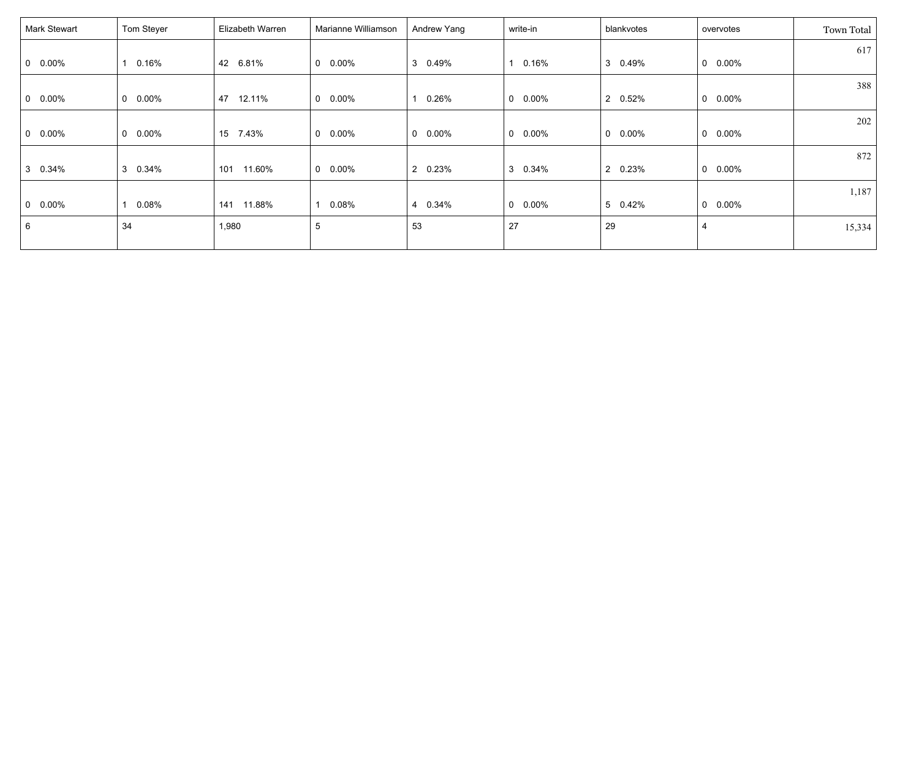| Mark Stewart    | Tom Steyer      | Elizabeth Warren | Marianne Williamson | Andrew Yang             | write-in        | blankvotes               | overvotes       | <b>Town Total</b> |
|-----------------|-----------------|------------------|---------------------|-------------------------|-----------------|--------------------------|-----------------|-------------------|
|                 |                 |                  |                     |                         |                 |                          |                 | 617               |
| $0\quad 0.00\%$ | 0.16%           | 42 6.81%         | $0\quad 0.00\%$     | 3 0.49%                 | 1 0.16%         | 3<br>0.49%               | $0\quad 0.00\%$ |                   |
|                 |                 |                  |                     |                         |                 |                          |                 | 388               |
| $0\quad 0.00\%$ | $0\quad 0.00\%$ | 47<br>12.11%     | $0\quad 0.00\%$     | 0.26%<br>1              | $0\quad 0.00\%$ | $\overline{2}$<br>0.52%  | $0\quad 0.00\%$ |                   |
|                 |                 |                  |                     |                         |                 |                          |                 | 202               |
| $0\quad 0.00\%$ | $0\quad 0.00\%$ | 15 7.43%         | $0\quad 0.00\%$     | $0\quad 0.00\%$         | $0\quad 0.00\%$ | $\mathbf{0}$<br>$0.00\%$ | $0\quad 0.00\%$ |                   |
|                 |                 |                  |                     |                         |                 |                          |                 | 872               |
| 3 0.34%         | 3 0.34%         | 11.60%<br>101    | $0\quad 0.00\%$     | 2 0.23%                 | 3 0.34%         | 0.23%<br>$\overline{2}$  | $0\quad 0.00\%$ |                   |
|                 |                 |                  |                     |                         |                 |                          |                 | 1,187             |
| $0\quad 0.00\%$ | 0.08%           | 11.88%<br>141    | 0.08%               | 0.34%<br>$\overline{4}$ | $0\quad 0.00\%$ | 5 0.42%                  | $0\quad 0.00\%$ |                   |
| 6               | 34              | 1,980            | $\,$ 5 $\,$         | 53                      | 27              | 29                       | $\overline{4}$  | 15,334            |
|                 |                 |                  |                     |                         |                 |                          |                 |                   |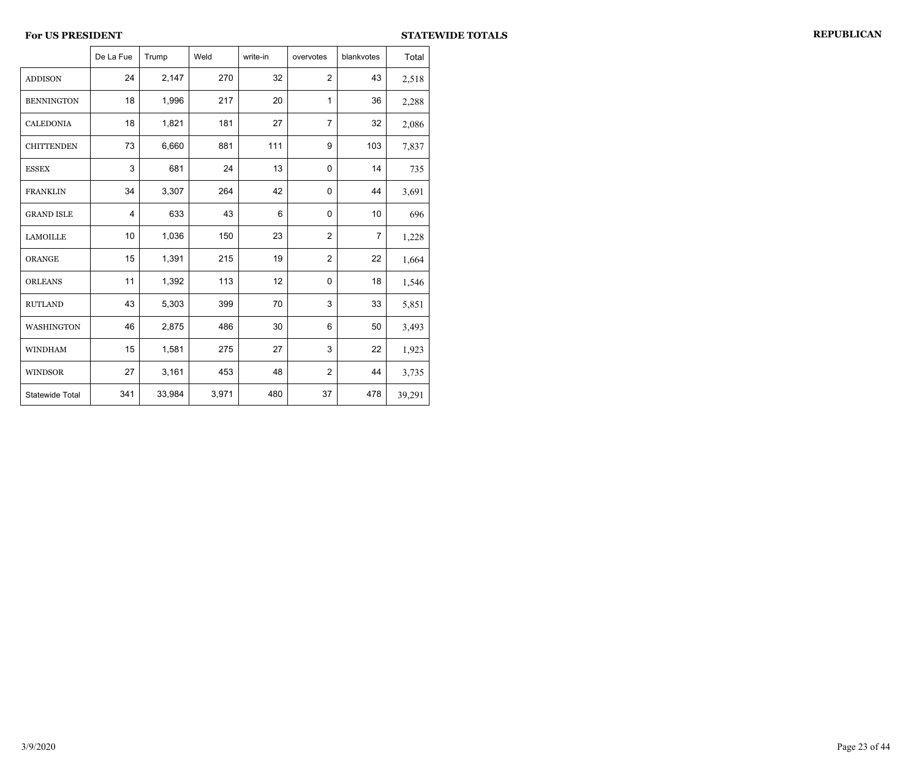|                   | De La Fue | Trump  | Weld  | write-in | overvotes      | blankvotes     | Total  |
|-------------------|-----------|--------|-------|----------|----------------|----------------|--------|
| <b>ADDISON</b>    | 24        | 2,147  | 270   | 32       | $\overline{2}$ | 43             | 2,518  |
| <b>BENNINGTON</b> | 18        | 1,996  | 217   | 20       | $\mathbf{1}$   | 36             | 2,288  |
| <b>CALEDONIA</b>  | 18        | 1,821  | 181   | 27       | $\overline{7}$ | 32             | 2,086  |
| <b>CHITTENDEN</b> | 73        | 6,660  | 881   | 111      | 9              | 103            | 7,837  |
| <b>ESSEX</b>      | 3         | 681    | 24    | 13       | $\mathbf 0$    | 14             | 735    |
| <b>FRANKLIN</b>   | 34        | 3,307  | 264   | 42       | $\mathbf{0}$   | 44             | 3,691  |
| <b>GRAND ISLE</b> | 4         | 633    | 43    | 6        | 0              | 10             | 696    |
| <b>LAMOILLE</b>   | 10        | 1,036  | 150   | 23       | $\overline{2}$ | $\overline{7}$ | 1,228  |
| <b>ORANGE</b>     | 15        | 1,391  | 215   | 19       | $\overline{2}$ | 22             | 1,664  |
| <b>ORLEANS</b>    | 11        | 1,392  | 113   | 12       | 0              | 18             | 1,546  |
| <b>RUTLAND</b>    | 43        | 5,303  | 399   | 70       | 3              | 33             | 5,851  |
| WASHINGTON        | 46        | 2,875  | 486   | 30       | 6              | 50             | 3,493  |
| <b>WINDHAM</b>    | 15        | 1,581  | 275   | 27       | 3              | 22             | 1,923  |
| <b>WINDSOR</b>    | 27        | 3,161  | 453   | 48       | $\overline{2}$ | 44             | 3,735  |
| Statewide Total   | 341       | 33,984 | 3,971 | 480      | 37             | 478            | 39,291 |

 $\overline{\phantom{a}}$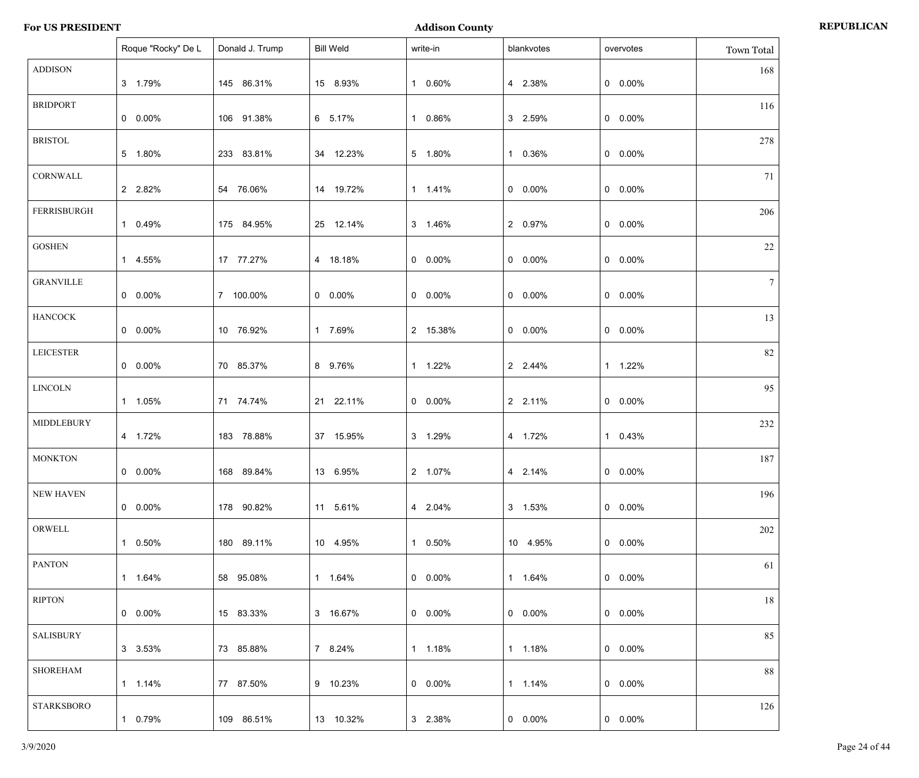|                   | Roque "Rocky" De L | Donald J. Trump | <b>Bill Weld</b> | write-in   | blankvotes | overvotes       | Town Total |
|-------------------|--------------------|-----------------|------------------|------------|------------|-----------------|------------|
| <b>ADDISON</b>    | 3 1.79%            | 145 86.31%      | 15 8.93%         | 1 0.60%    | 4 2.38%    | $0$ 0.00%       | 168        |
| <b>BRIDPORT</b>   | $0.00\%$           | 106 91.38%      | 6 5.17%          | 1 0.86%    | 3 2.59%    | $0$ 0.00%       | 116        |
| <b>BRISTOL</b>    | 5 1.80%            | 233 83.81%      | 34 12.23%        | 5 1.80%    | 1 0.36%    | $0$ 0.00%       | 278        |
| CORNWALL          | 2 2.82%            | 54 76.06%       | 14 19.72%        | 1 1.41%    | $0 0.00\%$ | $0$ 0.00%       | 71         |
| FERRISBURGH       | 1 0.49%            | 175 84.95%      | 25 12.14%        | 3 1.46%    | 2 0.97%    | $0$ 0.00%       | 206        |
| <b>GOSHEN</b>     | 1 4.55%            | 17 77.27%       | 4 18.18%         | $0 0.00\%$ | $0 0.00\%$ | $0$ 0.00%       | 22         |
| <b>GRANVILLE</b>  | $0\quad 0.00\%$    | 7 100.00%       | $0.00\%$         | $0 0.00\%$ | $0 0.00\%$ | $0$ 0.00%       | 7          |
| <b>HANCOCK</b>    | $0\quad 0.00\%$    | 10 76.92%       | 1 7.69%          | 2 15.38%   | $0 0.00\%$ | $0$ 0.00%       | 13         |
| <b>LEICESTER</b>  | $0\quad 0.00\%$    | 70 85.37%       | 8 9.76%          | 1 1.22%    | 2 2.44%    | 1 1.22%         | 82         |
| <b>LINCOLN</b>    | 1 1.05%            | 71 74.74%       | 21 22.11%        | $0 0.00\%$ | 2 2.11%    | $0$ 0.00%       | 95         |
| MIDDLEBURY        | 4 1.72%            | 183 78.88%      | 37 15.95%        | 3 1.29%    | 4 1.72%    | 1 0.43%         | 232        |
| <b>MONKTON</b>    | $0 0.00\%$         | 168 89.84%      | 13 6.95%         | 2 1.07%    | 4 2.14%    | $0 0.00\%$      | 187        |
| NEW HAVEN         | $0\quad 0.00\%$    | 178 90.82%      | 11 5.61%         | 4 2.04%    | 3 1.53%    | $0.00\%$        | 196        |
| ORWELL            | 1 0.50%            | 180 89.11%      | 10 4.95%         | 1 0.50%    | 10 4.95%   | $0\quad 0.00\%$ | 202        |
| <b>PANTON</b>     | 1  1.64%           | 58 95.08%       | 1 1.64%          | $0 0.00\%$ | 1 1.64%    | $0\quad 0.00\%$ | 61         |
| <b>RIPTON</b>     | $0\quad 0.00\%$    | 15 83.33%       | 3 16.67%         | $0.00\%$   | $0.00\%$   | $0\quad 0.00\%$ | 18         |
| <b>SALISBURY</b>  | 3 3.53%            | 73 85.88%       | 7 8.24%          | 1 1.18%    | 1 1.18%    | $0\quad 0.00\%$ | 85         |
| <b>SHOREHAM</b>   | $1 1.14\%$         | 77 87.50%       | 9 10.23%         | $0 0.00\%$ | 1 1.14%    | $0$ 0.00%       | 88         |
| <b>STARKSBORO</b> | 1 0.79%            | 109 86.51%      | 13 10.32%        | 3 2.38%    | $0.00\%$   | $0 0.00\%$      | 126        |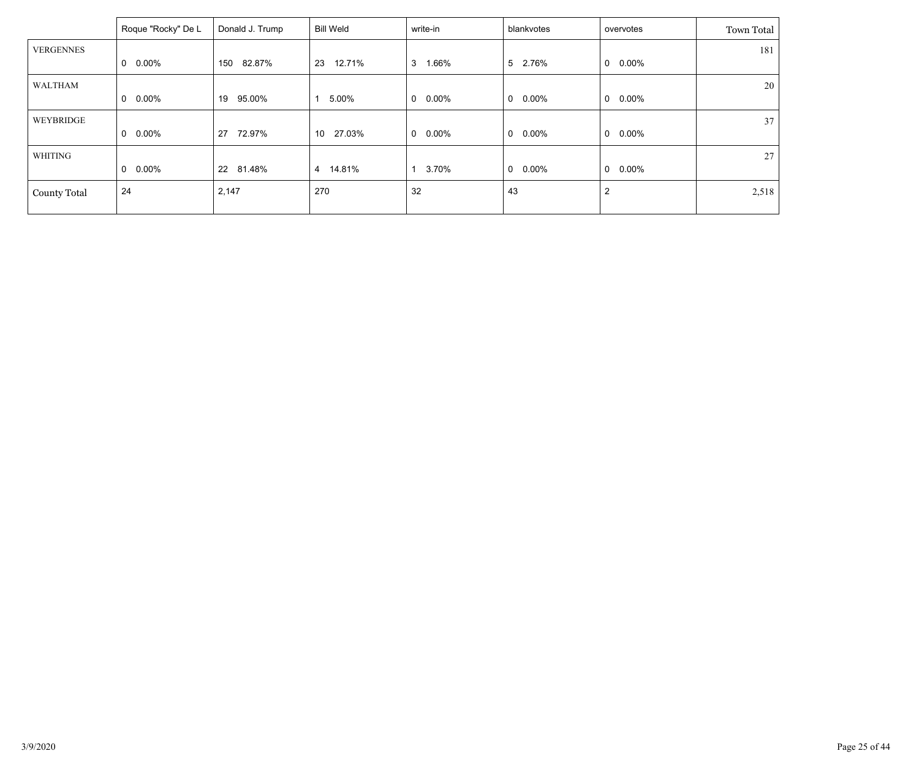|                     | Roque "Rocky" De L | Donald J. Trump | Bill Weld    | write-in      | blankvotes              | overvotes      | Town Total |
|---------------------|--------------------|-----------------|--------------|---------------|-------------------------|----------------|------------|
| <b>VERGENNES</b>    |                    |                 |              |               |                         |                | 181        |
|                     | $0.00\%$<br>0      | 82.87%<br>150   | 12.71%<br>23 | 1.66%<br>3    | 5 2.76%                 | $0.00\%$<br>0  |            |
| WALTHAM             |                    |                 |              |               |                         |                | 20         |
|                     | $0.00\%$<br>0      | 95.00%<br>19    | 5.00%        | $0.00\%$<br>0 | $\mathbf 0$<br>$0.00\%$ | $0.00\%$<br>0  |            |
| WEYBRIDGE           |                    |                 |              |               |                         |                | 37         |
|                     | $0.00\%$<br>0      | 72.97%<br>27    | 27.03%<br>10 | 0.00%<br>0    | $\mathbf 0$<br>$0.00\%$ | $0.00\%$<br>0  |            |
| WHITING             |                    |                 |              |               |                         |                | 27         |
|                     | $0.00\%$<br>0      | 81.48%<br>22    | 4 14.81%     | 3.70%         | $\mathbf 0$<br>$0.00\%$ | $0.00\%$<br>0  |            |
| <b>County Total</b> | 24                 | 2,147           | 270          | 32            | 43                      | $\overline{2}$ | 2,518      |
|                     |                    |                 |              |               |                         |                |            |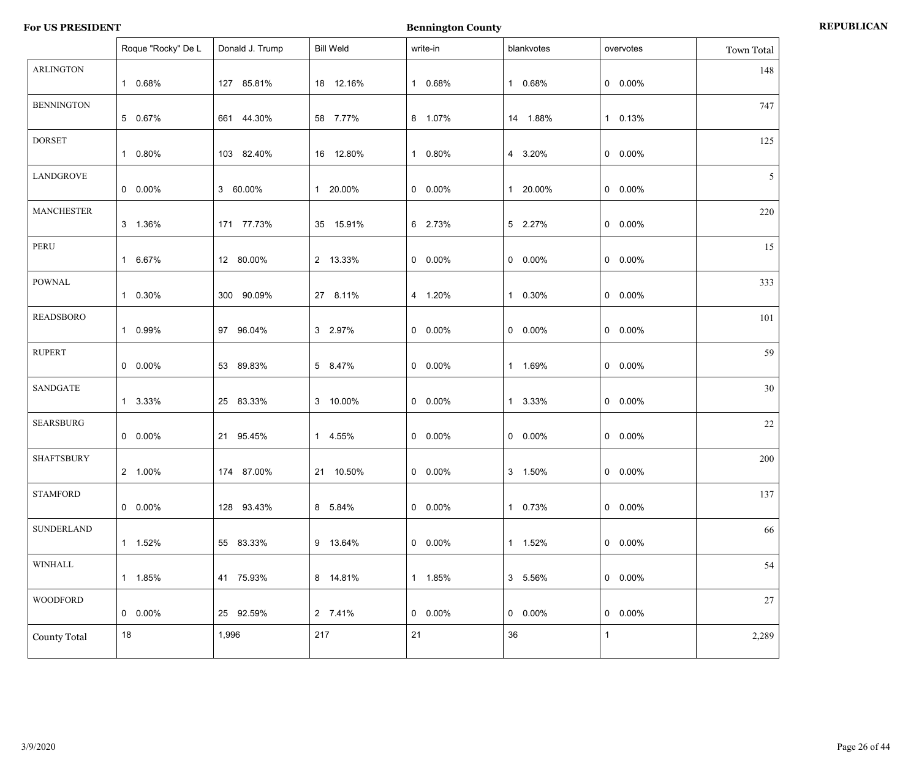|                     | Roque "Rocky" De L | Donald J. Trump | <b>Bill Weld</b> | write-in | blankvotes      | overvotes       | Town Total     |
|---------------------|--------------------|-----------------|------------------|----------|-----------------|-----------------|----------------|
| <b>ARLINGTON</b>    | 1 0.68%            | 127 85.81%      | 18 12.16%        | 1 0.68%  | 1 0.68%         | $0\quad 0.00\%$ | 148            |
| <b>BENNINGTON</b>   | 5 0.67%            | 661 44.30%      | 58 7.77%         | 8 1.07%  | 14 1.88%        | 1 0.13%         | 747            |
| <b>DORSET</b>       | 1 0.80%            | 103 82.40%      | 16 12.80%        | 1 0.80%  | 4 3.20%         | $0\quad 0.00\%$ | 125            |
| <b>LANDGROVE</b>    | $0.00\%$           | 3 60.00%        | 1 20.00%         | $0.00\%$ | 1 20.00%        | $0\quad 0.00\%$ | 5 <sup>1</sup> |
| <b>MANCHESTER</b>   | 3 1.36%            | 171 77.73%      | 35 15.91%        | 6 2.73%  | 5 2.27%         | $0\quad 0.00\%$ | 220            |
| PERU                | 1 6.67%            | 12 80.00%       | 2 13.33%         | $0.00\%$ | $0$ 0.00%       | $0\quad 0.00\%$ | 15             |
| POWNAL              | 1 0.30%            | 300 90.09%      | 27 8.11%         | 4 1.20%  | 1 0.30%         | $0\quad 0.00\%$ | 333            |
| <b>READSBORO</b>    | 1 0.99%            | 97 96.04%       | 3 2.97%          | $0.00\%$ | $0\quad 0.00\%$ | $0\quad 0.00\%$ | 101            |
| <b>RUPERT</b>       | $0\quad 0.00\%$    | 53 89.83%       | 5 8.47%          | $0.00\%$ | 1 1.69%         | $0\quad 0.00\%$ | 59             |
| SANDGATE            | 1 3.33%            | 25 83.33%       | 3 10.00%         | $0.00\%$ | 1 3.33%         | $0\quad 0.00\%$ | 30             |
| <b>SEARSBURG</b>    | $0\quad 0.00\%$    | 21 95.45%       | 1 4.55%          | $0.00\%$ | $0\quad 0.00\%$ | $0\quad 0.00\%$ | 22             |
| <b>SHAFTSBURY</b>   | 2 1.00%            | 174 87.00%      | 21 10.50%        | $0.00\%$ | 3 1.50%         | $0$ 0.00%       | 200            |
| <b>STAMFORD</b>     | $0.00\%$           | 128 93.43%      | 8 5.84%          | $0.00\%$ | 1 0.73%         | $0\quad 0.00\%$ | 137            |
| <b>SUNDERLAND</b>   | 1 1.52%            | 55 83.33%       | 9 13.64%         | $0.00\%$ | 1 1.52%         | $0.00\%$        | 66             |
| WINHALL             | 1 1.85%            | 41 75.93%       | 8 14.81%         | 1 1.85%  | 3 5.56%         | $0.00\%$        | 54             |
| <b>WOODFORD</b>     | $0 0.00\%$         | 25 92.59%       | 2 7.41%          | $0.00\%$ | $0$ 0.00%       | $0\quad 0.00\%$ | 27             |
| <b>County Total</b> | 18                 | 1,996           | 217              | 21       | 36              | $\mathbf{1}$    | 2,289          |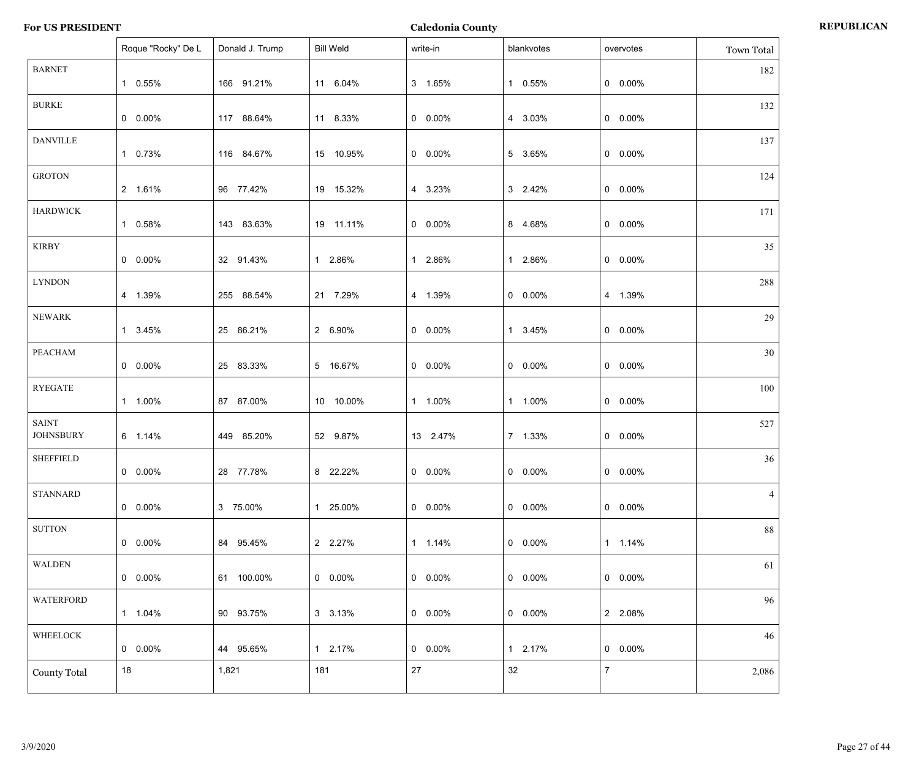|                                  | Roque "Rocky" De L | Donald J. Trump | <b>Bill Weld</b> | write-in   | blankvotes | overvotes        | Town Total |
|----------------------------------|--------------------|-----------------|------------------|------------|------------|------------------|------------|
| <b>BARNET</b>                    | 1 0.55%            | 166 91.21%      | 11 6.04%         | 3 1.65%    | 1 0.55%    | $0\quad 0.00\%$  | 182        |
| <b>BURKE</b>                     | $0 0.00\%$         | 117 88.64%      | 11 8.33%         | $0 0.00\%$ | 4 3.03%    | $0\quad 0.00\%$  | 132        |
| <b>DANVILLE</b>                  | 1 0.73%            | 116 84.67%      | 15 10.95%        | $0 0.00\%$ | 5 3.65%    | $0\quad 0.00\%$  | 137        |
| <b>GROTON</b>                    | 2 1.61%            | 96 77.42%       | 19 15.32%        | 4 3.23%    | 3 2.42%    | $0\quad 0.00\%$  | 124        |
| <b>HARDWICK</b>                  | 1 0.58%            | 143 83.63%      | 19 11.11%        | $0 0.00\%$ | 8 4.68%    | $0\quad 0.00\%$  | 171        |
| <b>KIRBY</b>                     | $0 0.00\%$         | 32 91.43%       | 1 2.86%          | 1 2.86%    | 1 2.86%    | $0\quad 0.00\%$  | 35         |
| <b>LYNDON</b>                    | 4 1.39%            | 255 88.54%      | 21 7.29%         | 4 1.39%    | $0 0.00\%$ | 4 1.39%          | 288        |
| <b>NEWARK</b>                    | 1 3.45%            | 25 86.21%       | 2 6.90%          | $0 0.00\%$ | 1 3.45%    | $0\quad 0.00\%$  | 29         |
| PEACHAM                          | $0 0.00\%$         | 25 83.33%       | 5 16.67%         | $0 0.00\%$ | $0 0.00\%$ | $0\quad 0.00\%$  | 30         |
| <b>RYEGATE</b>                   | 1 1.00%            | 87 87.00%       | 10 10.00%        | 1 1.00%    | 1 1.00%    | $0\quad 0.00\%$  | 100        |
| <b>SAINT</b><br><b>JOHNSBURY</b> | 6 1.14%            | 449 85.20%      | 52 9.87%         | 13 2.47%   | 7 1.33%    | $0\quad 0.00\%$  | 527        |
| <b>SHEFFIELD</b>                 | $0 0.00\%$         | 28 77.78%       | 8 22.22%         | $0 0.00\%$ | $0 0.00\%$ | $0\quad 0.00\%$  | 36         |
| <b>STANNARD</b>                  | $0 0.00\%$         | 3 75.00%        | 1 25.00%         | $0.00\%$   | $0 0.00\%$ | $0\quad 0.00\%$  | 4          |
| <b>SUTTON</b>                    | $0 0.00\%$         | 84 95.45%       | 2 2.27%          | 1 1.14%    | $0 0.00\%$ | $1 1.14\%$       | 88         |
| <b>WALDEN</b>                    | $0 0.00\%$         | 61 100.00%      | $0\quad 0.00\%$  | $0 0.00\%$ | $0 0.00\%$ | $0\quad 0.00\%$  | 61         |
| <b>WATERFORD</b>                 | 1 1.04%            | 90 93.75%       | 3 3.13%          | $0 0.00\%$ | $0 0.00\%$ | 2 2.08%          | 96         |
| WHEELOCK                         | $0 0.00\%$         | 44 95.65%       | 1 2.17%          | $0 0.00\%$ | 1 2.17%    | $0\quad 0.00\%$  | 46         |
| <b>County Total</b>              | 18                 | 1,821           | 181              | 27         | 32         | $\boldsymbol{7}$ | 2,086      |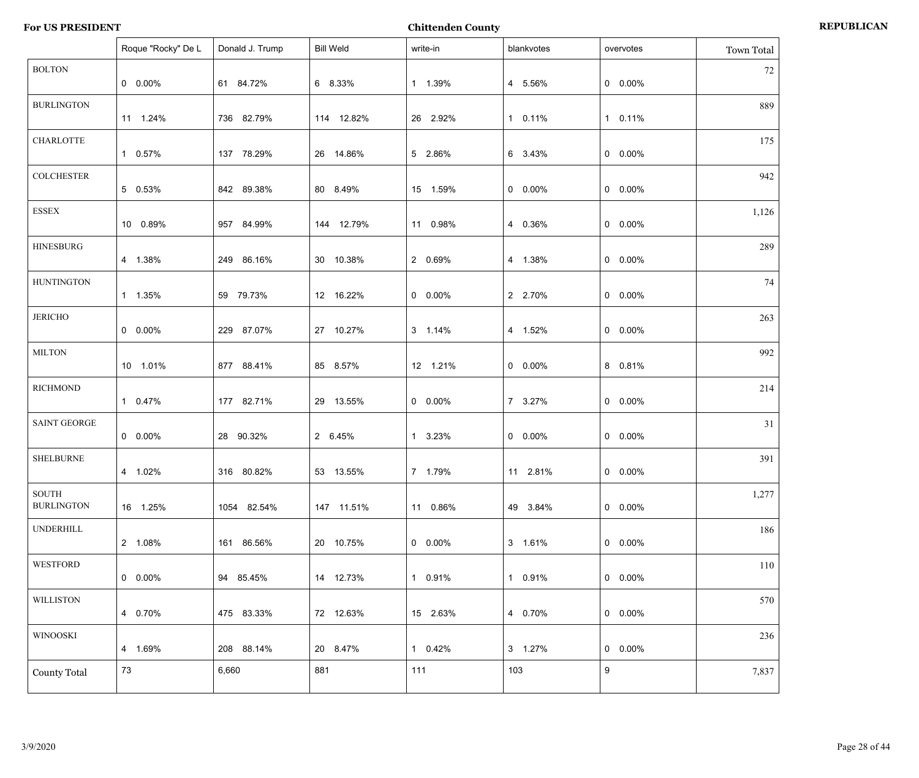|                            | Roque "Rocky" De L | Donald J. Trump | <b>Bill Weld</b> | write-in        | blankvotes | overvotes | Town Total |
|----------------------------|--------------------|-----------------|------------------|-----------------|------------|-----------|------------|
| <b>BOLTON</b>              | $0\quad 0.00\%$    | 61 84.72%       | 6 8.33%          | 1 1.39%         | 4 5.56%    | $0$ 0.00% | 72         |
| <b>BURLINGTON</b>          | 11 1.24%           | 736 82.79%      | 114 12.82%       | 26 2.92%        | 1 0.11%    | 1 0.11%   | 889        |
| <b>CHARLOTTE</b>           | 1 0.57%            | 137 78.29%      | 26 14.86%        | 5 2.86%         | 6 3.43%    | $0$ 0.00% | 175        |
| <b>COLCHESTER</b>          | 5 0.53%            | 842 89.38%      | 80 8.49%         | 15 1.59%        | $0 0.00\%$ | $0$ 0.00% | 942        |
| ESSEX                      | 10 0.89%           | 957 84.99%      | 144 12.79%       | 11 0.98%        | 4 0.36%    | $0$ 0.00% | 1,126      |
| <b>HINESBURG</b>           | 4 1.38%            | 249 86.16%      | 30 10.38%        | 2 0.69%         | 4 1.38%    | $0$ 0.00% | 289        |
| <b>HUNTINGTON</b>          | 1 1.35%            | 59 79.73%       | 12 16.22%        | $0\quad 0.00\%$ | 2 2.70%    | $0$ 0.00% | 74         |
| <b>JERICHO</b>             | $0\quad 0.00\%$    | 229 87.07%      | 27 10.27%        | 3 1.14%         | 4 1.52%    | $0$ 0.00% | 263        |
| <b>MILTON</b>              | 10 1.01%           | 877 88.41%      | 85 8.57%         | 12 1.21%        | $0 0.00\%$ | 8 0.81%   | 992        |
| <b>RICHMOND</b>            | 1 0.47%            | 177 82.71%      | 29 13.55%        | $0\quad 0.00\%$ | 7 3.27%    | $0$ 0.00% | 214        |
| <b>SAINT GEORGE</b>        | $0\quad 0.00\%$    | 28 90.32%       | 2 6.45%          | 1 3.23%         | $0.00\%$   | $0$ 0.00% | 31         |
| <b>SHELBURNE</b>           | 4 1.02%            | 316 80.82%      | 53 13.55%        | 7 1.79%         | 11 2.81%   | $0$ 0.00% | 391        |
| SOUTH<br><b>BURLINGTON</b> | 16 1.25%           | 1054 82.54%     | 147 11.51%       | 11 0.86%        | 49 3.84%   | $0$ 0.00% | 1,277      |
| <b>UNDERHILL</b>           | 2 1.08%            | 161 86.56%      | 20 10.75%        | $0\quad 0.00\%$ | 3 1.61%    | $0$ 0.00% | 186        |
| WESTFORD                   | $0.00\%$           | 94 85.45%       | 14 12.73%        | 1 0.91%         | 1 0.91%    | $0$ 0.00% | 110        |
| WILLISTON                  | 4 0.70%            | 475 83.33%      | 72 12.63%        | 15 2.63%        | 4 0.70%    | $0$ 0.00% | 570        |
| <b>WINOOSKI</b>            | 4 1.69%            | 208 88.14%      | 20 8.47%         | 1 0.42%         | 3 1.27%    | $0$ 0.00% | 236        |
| <b>County Total</b>        | 73                 | 6,660           | 881              | 111             | 103        | 9         | 7,837      |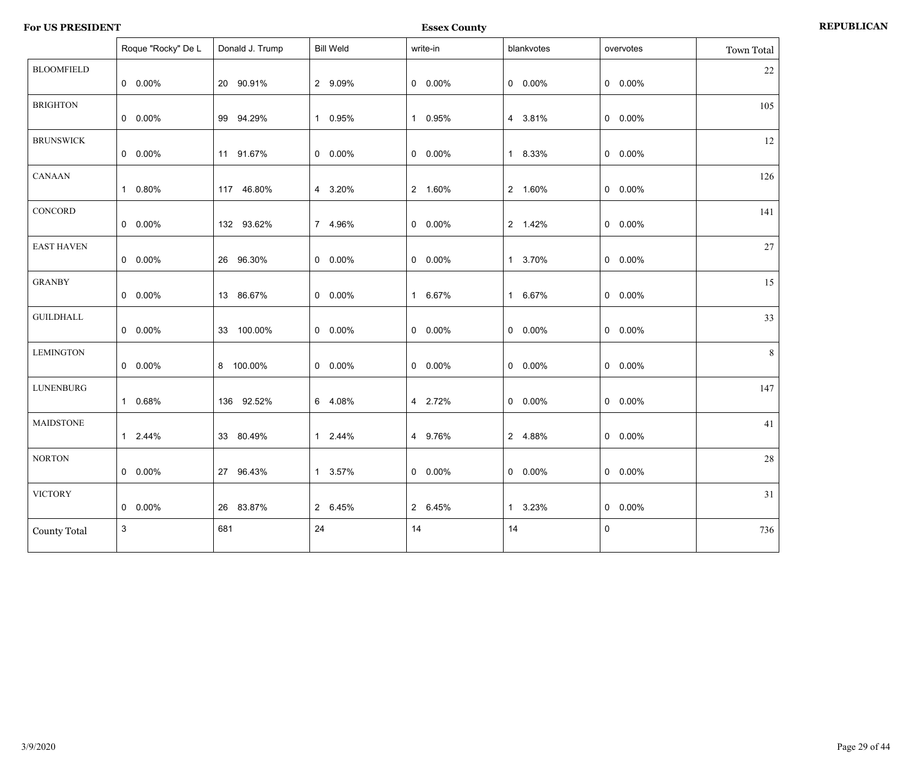**For US PRESIDENT Essex County REPUBLICAN**

|                     | Roque "Rocky" De L | Donald J. Trump | <b>Bill Weld</b> | write-in   | blankvotes      | overvotes | Town Total |
|---------------------|--------------------|-----------------|------------------|------------|-----------------|-----------|------------|
| <b>BLOOMFIELD</b>   | $0.00\%$           | 20 90.91%       | 2 9.09%          | $0$ 0.00%  | $0$ 0.00%       | $0$ 0.00% | $22\,$     |
| <b>BRIGHTON</b>     | $0.00\%$           | 99 94.29%       | 1 0.95%          | 1 0.95%    | 4 3.81%         | $0$ 0.00% | 105        |
| <b>BRUNSWICK</b>    | $0 0.00\%$         | 11 91.67%       | $0$ 0.00%        | $0 0.00\%$ | 1 8.33%         | $0$ 0.00% | 12         |
| <b>CANAAN</b>       | 1 0.80%            | 117 46.80%      | 4 3.20%          | 2 1.60%    | 2 1.60%         | $0$ 0.00% | 126        |
| CONCORD             | $0.00\%$           | 132 93.62%      | 7 4.96%          | $0$ 0.00%  | 2 1.42%         | $0$ 0.00% | 141        |
| <b>EAST HAVEN</b>   | $0 0.00\%$         | 26 96.30%       | $0 0.00\%$       | $0$ 0.00%  | 1 3.70%         | $0$ 0.00% | 27         |
| <b>GRANBY</b>       | $0.00\%$           | 13 86.67%       | $0 0.00\%$       | 1 6.67%    | 1 6.67%         | $0$ 0.00% | 15         |
| <b>GUILDHALL</b>    | $0.00\%$           | 33 100.00%      | $0$ 0.00%        | $0$ 0.00%  | $0$ 0.00%       | $0$ 0.00% | 33         |
| <b>LEMINGTON</b>    | $0 0.00\%$         | 8 100.00%       | $0$ 0.00%        | $0$ 0.00%  | $0$ 0.00%       | $0$ 0.00% | 8          |
| <b>LUNENBURG</b>    | 1 0.68%            | 136 92.52%      | 6 4.08%          | 4 2.72%    | $0\quad 0.00\%$ | $0$ 0.00% | 147        |
| <b>MAIDSTONE</b>    | 1 2.44%            | 33 80.49%       | 1 2.44%          | 4 9.76%    | 2 4.88%         | $0$ 0.00% | 41         |
| <b>NORTON</b>       | $0.00\%$           | 27 96.43%       | 1 3.57%          | $0$ 0.00%  | $0$ 0.00%       | $0$ 0.00% | $28\,$     |
| <b>VICTORY</b>      | $0 0.00\%$         | 26 83.87%       | 2 6.45%          | 2 6.45%    | 1 3.23%         | $0$ 0.00% | 31         |
| <b>County Total</b> | 3                  | 681             | 24               | 14         | 14              | $\pmb{0}$ | 736        |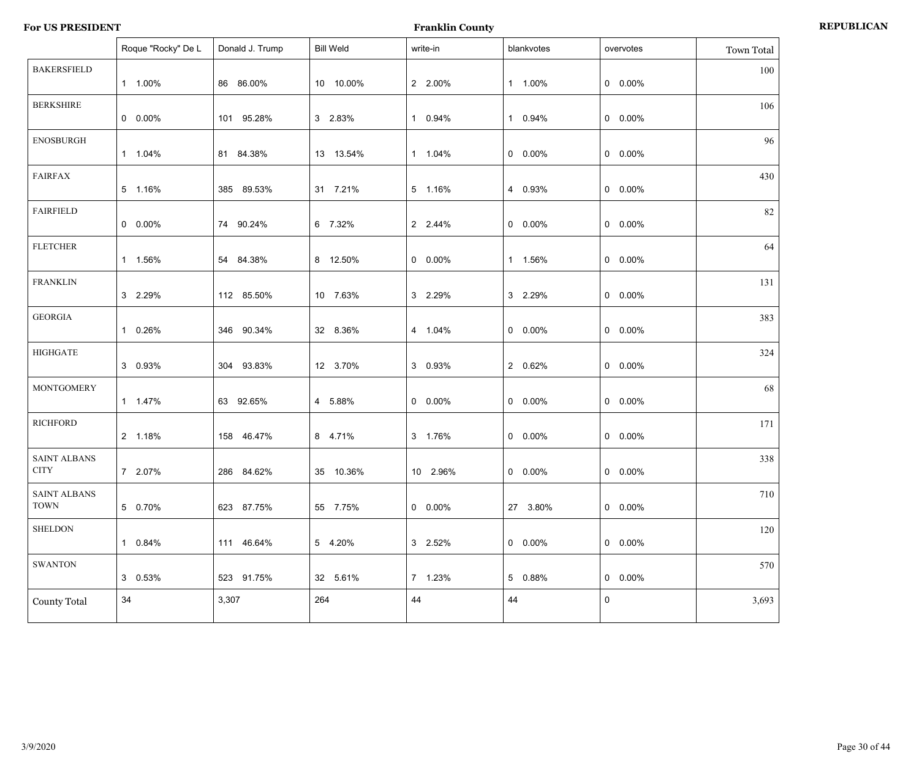|                                    | Roque "Rocky" De L | Donald J. Trump | <b>Bill Weld</b> | write-in   | blankvotes      | overvotes       | Town Total |
|------------------------------------|--------------------|-----------------|------------------|------------|-----------------|-----------------|------------|
| <b>BAKERSFIELD</b>                 | 1 1.00%            | 86 86.00%       | 10 10.00%        | 2 2.00%    | 1 1.00%         | $0\quad 0.00\%$ | 100        |
| <b>BERKSHIRE</b>                   | $0 0.00\%$         | 101 95.28%      | 3 2.83%          | 1 0.94%    | 1 0.94%         | $0\quad 0.00\%$ | 106        |
| <b>ENOSBURGH</b>                   | 1 1.04%            | 81 84.38%       | 13 13.54%        | 1 1.04%    | $0\quad 0.00\%$ | $0\quad 0.00\%$ | 96         |
| <b>FAIRFAX</b>                     | 5 1.16%            | 385 89.53%      | 31 7.21%         | 5 1.16%    | 4 0.93%         | $0\quad 0.00\%$ | 430        |
| <b>FAIRFIELD</b>                   | $0 0.00\%$         | 74 90.24%       | 6 7.32%          | 2 2.44%    | $0\quad 0.00\%$ | $0\quad 0.00\%$ | 82         |
| <b>FLETCHER</b>                    | 1 1.56%            | 54 84.38%       | 8 12.50%         | $0$ 0.00%  | 1 1.56%         | $0\quad 0.00\%$ | 64         |
| <b>FRANKLIN</b>                    | 3 2.29%            | 112 85.50%      | 10 7.63%         | 3 2.29%    | 3 2.29%         | $0\quad 0.00\%$ | 131        |
| <b>GEORGIA</b>                     | 1 0.26%            | 346 90.34%      | 32 8.36%         | 4 1.04%    | $0$ 0.00%       | $0\quad 0.00\%$ | 383        |
| <b>HIGHGATE</b>                    | 3 0.93%            | 304 93.83%      | 12 3.70%         | 3 0.93%    | 2 0.62%         | $0\quad 0.00\%$ | 324        |
| <b>MONTGOMERY</b>                  | 1 1.47%            | 63 92.65%       | 4 5.88%          | $0 0.00\%$ | $0\quad 0.00\%$ | $0\quad 0.00\%$ | 68         |
| <b>RICHFORD</b>                    | 2 1.18%            | 158 46.47%      | 8 4.71%          | 3 1.76%    | $0\quad 0.00\%$ | $0\quad 0.00\%$ | 171        |
| <b>SAINT ALBANS</b><br><b>CITY</b> | 7 2.07%            | 286 84.62%      | 35 10.36%        | 10 2.96%   | $0$ 0.00%       | $0\quad 0.00\%$ | 338        |
| <b>SAINT ALBANS</b><br><b>TOWN</b> | 5 0.70%            | 623 87.75%      | 55 7.75%         | $0.00\%$   | 27 3.80%        | $0\quad 0.00\%$ | 710        |
| <b>SHELDON</b>                     | 0.84%<br>1.        | 111 46.64%      | 5 4.20%          | 3 2.52%    | $0\quad 0.00\%$ | $0\quad 0.00\%$ | 120        |
| <b>SWANTON</b>                     | 3 0.53%            | 523 91.75%      | 32 5.61%         | 7 1.23%    | 5 0.88%         | $0\quad 0.00\%$ | 570        |
| <b>County Total</b>                | 34                 | 3,307           | 264              | 44         | 44              | $\mathbf 0$     | 3,693      |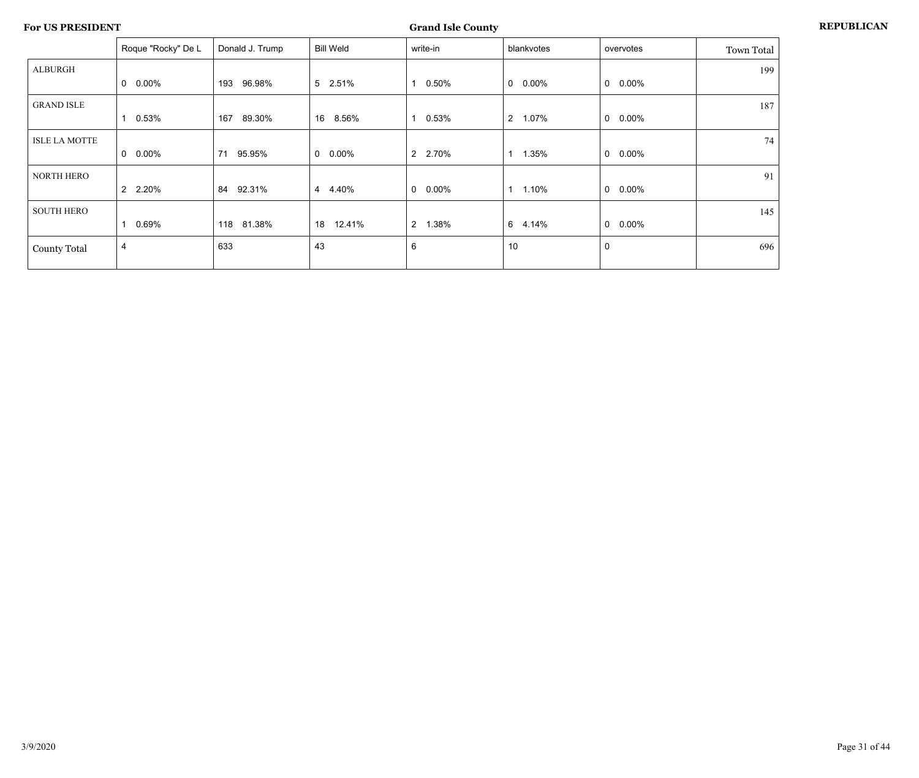|                      | Roque "Rocky" De L       | Donald J. Trump | <b>Bill Weld</b> | write-in                | blankvotes              | overvotes       | Town Total |
|----------------------|--------------------------|-----------------|------------------|-------------------------|-------------------------|-----------------|------------|
| <b>ALBURGH</b>       |                          |                 |                  |                         |                         |                 | 199        |
|                      | $\mathbf 0$<br>0.00%     | 96.98%<br>193   | 5 2.51%          | 0.50%                   | $\mathbf 0$<br>$0.00\%$ | $0\quad 0.00\%$ |            |
| <b>GRAND ISLE</b>    |                          |                 |                  |                         |                         |                 | 187        |
|                      | $0.53\%$                 | 167<br>89.30%   | 16<br>8.56%      | 0.53%<br>1              | 2 1.07%                 | $0\quad 0.00\%$ |            |
| <b>ISLE LA MOTTE</b> |                          |                 |                  |                         |                         |                 | 74         |
|                      | $0.00\%$<br>$\mathbf{0}$ | 95.95%<br>71    | $0\quad 0.00\%$  | 2 2.70%                 | 1.35%                   | $0\quad 0.00\%$ |            |
| <b>NORTH HERO</b>    |                          |                 |                  |                         |                         |                 | 91         |
|                      | 2 2.20%                  | 92.31%<br>84    | 4 4.40%          | $0.00\%$<br>0           | 1.10%                   | $0\quad 0.00\%$ |            |
| <b>SOUTH HERO</b>    |                          |                 |                  |                         |                         |                 | 145        |
|                      | 0.69%                    | 81.38%<br>118   | 12.41%<br>18     | $\overline{2}$<br>1.38% | 6<br>4.14%              | $0\quad 0.00\%$ |            |
| <b>County Total</b>  | 4                        | 633             | 43               | $\,6\,$                 | 10                      | 0               | 696        |
|                      |                          |                 |                  |                         |                         |                 |            |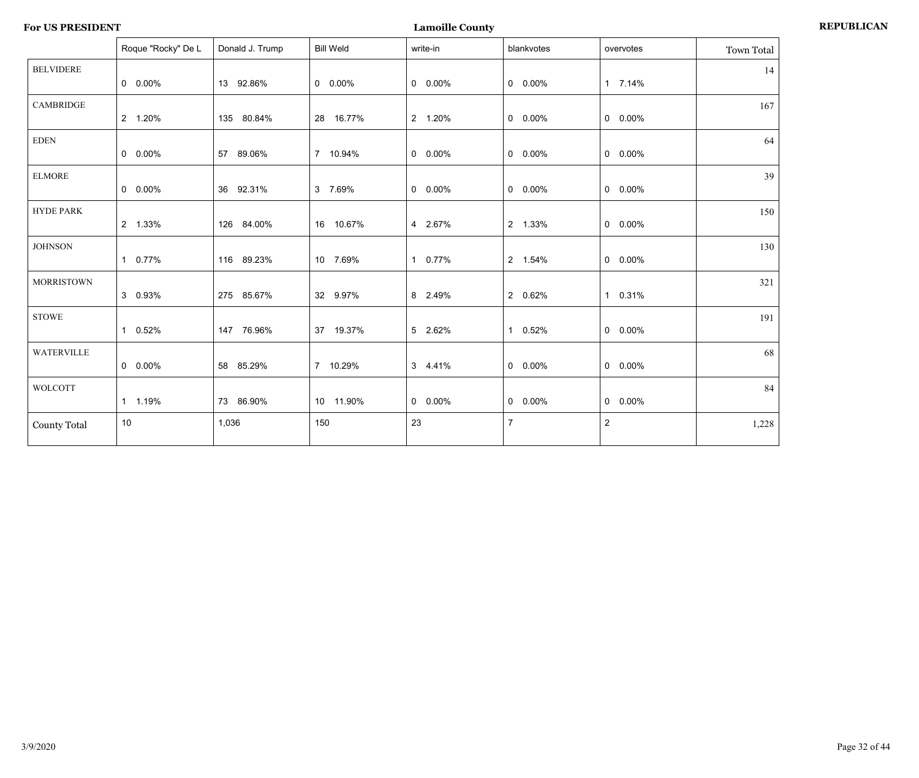| <b>For US PRESIDENT</b> | <b>Lamoille County</b> | <b>REPUBLICAN</b> |
|-------------------------|------------------------|-------------------|
|-------------------------|------------------------|-------------------|

|                     | Roque "Rocky" De L | Donald J. Trump | <b>Bill Weld</b> | write-in  | blankvotes      | overvotes      | Town Total |
|---------------------|--------------------|-----------------|------------------|-----------|-----------------|----------------|------------|
| <b>BELVIDERE</b>    | $0\quad 0.00\%$    | 13 92.86%       | $0\quad 0.00\%$  | $0$ 0.00% | $0\quad 0.00\%$ | 1 7.14%        | 14         |
| <b>CAMBRIDGE</b>    | 2 1.20%            | 135 80.84%      | 28 16.77%        | 2 1.20%   | $0\quad 0.00\%$ | $0$ 0.00%      | 167        |
| EDEN                | $0\quad 0.00\%$    | 57 89.06%       | 7 10.94%         | $0.00\%$  | $0\quad 0.00\%$ | $0$ 0.00%      | 64         |
| <b>ELMORE</b>       | $0\quad 0.00\%$    | 36 92.31%       | 3 7.69%          | $0$ 0.00% | $0\quad 0.00\%$ | $0$ 0.00%      | 39         |
| <b>HYDE PARK</b>    | 2 1.33%            | 126 84.00%      | 16 10.67%        | 4 2.67%   | 2 1.33%         | $0$ 0.00%      | 150        |
| <b>JOHNSON</b>      | 1 0.77%            | 116 89.23%      | 10 7.69%         | 1 0.77%   | 2 1.54%         | $0$ 0.00%      | 130        |
| <b>MORRISTOWN</b>   | 3 0.93%            | 275 85.67%      | 32 9.97%         | 8 2.49%   | 2 0.62%         | 1 0.31%        | 321        |
| <b>STOWE</b>        | 1 0.52%            | 147 76.96%      | 37 19.37%        | 5 2.62%   | 1 0.52%         | $0$ 0.00%      | 191        |
| <b>WATERVILLE</b>   | $0\quad 0.00\%$    | 58 85.29%       | 7 10.29%         | 3 4.41%   | $0\quad 0.00\%$ | $0$ 0.00%      | 68         |
| <b>WOLCOTT</b>      | 1 1.19%            | 73 86.90%       | 10 11.90%        | $0.00\%$  | $0\quad 0.00\%$ | $0 0.00\%$     | 84         |
| <b>County Total</b> | 10 <sup>°</sup>    | 1,036           | 150              | 23        | $\overline{7}$  | $\overline{2}$ | 1,228      |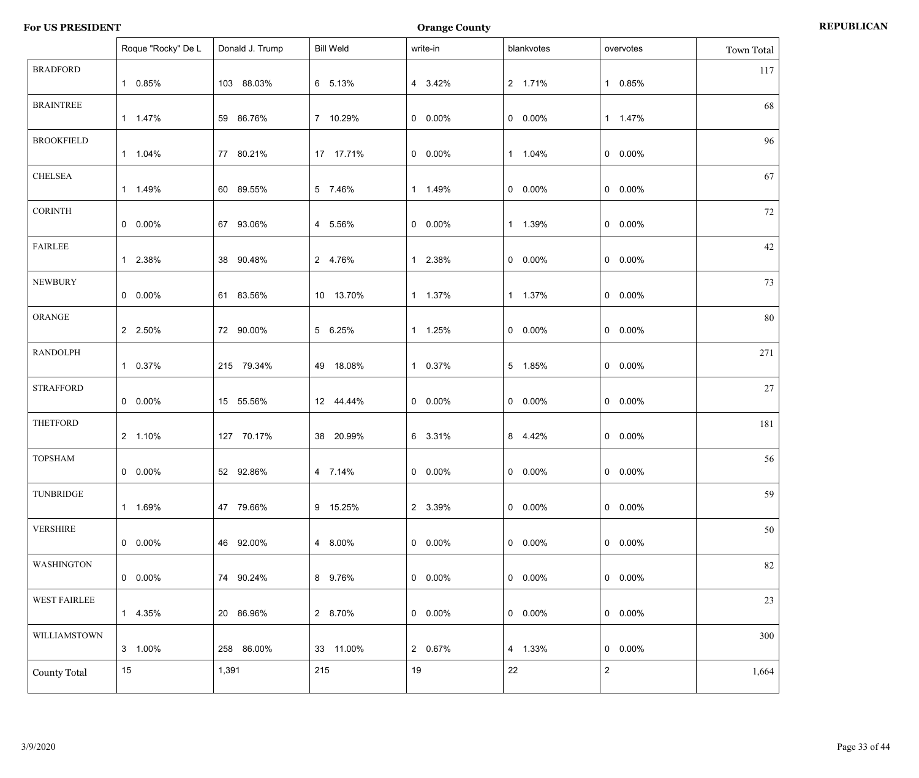|                     | Roque "Rocky" De L | Donald J. Trump | <b>Bill Weld</b> | write-in        | blankvotes      | overvotes      | Town Total |
|---------------------|--------------------|-----------------|------------------|-----------------|-----------------|----------------|------------|
| <b>BRADFORD</b>     | 1 0.85%            | 103 88.03%      | 6 5.13%          | 4 3.42%         | 2 1.71%         | 1 0.85%        | 117        |
| <b>BRAINTREE</b>    | 1 1.47%            | 59 86.76%       | 7 10.29%         | $0.00\%$        | $0 0.00\%$      | 1 1.47%        | 68         |
| <b>BROOKFIELD</b>   | 1 1.04%            | 77 80.21%       | 17 17.71%        | $0.00\%$        | 1 1.04%         | $0$ 0.00%      | 96         |
| <b>CHELSEA</b>      | 1 1.49%            | 60 89.55%       | 5 7.46%          | 1 1.49%         | $0\quad 0.00\%$ | $0$ 0.00%      | 67         |
| <b>CORINTH</b>      | $0 0.00\%$         | 67 93.06%       | 4 5.56%          | $0\quad 0.00\%$ | 1 1.39%         | $0$ 0.00%      | 72         |
| <b>FAIRLEE</b>      | 1 2.38%            | 38 90.48%       | 2 4.76%          | 1 2.38%         | $0 0.00\%$      | $0$ 0.00%      | 42         |
| <b>NEWBURY</b>      | $0 0.00\%$         | 61 83.56%       | 10 13.70%        | 1 1.37%         | 1 1.37%         | $0$ 0.00%      | 73         |
| ORANGE              | 2 2.50%            | 72 90.00%       | 5 6.25%          | 1 1.25%         | $0 0.00\%$      | $0$ 0.00%      | 80         |
| <b>RANDOLPH</b>     | 1 0.37%            | 215 79.34%      | 49 18.08%        | 1 0.37%         | 5 1.85%         | $0$ 0.00%      | 271        |
| <b>STRAFFORD</b>    | $0 0.00\%$         | 15 55.56%       | 12 44.44%        | $0.00\%$        | $0 0.00\%$      | $0$ 0.00%      | 27         |
| <b>THETFORD</b>     | 2 1.10%            | 127 70.17%      | 38 20.99%        | 6 3.31%         | 8 4.42%         | $0$ 0.00%      | 181        |
| <b>TOPSHAM</b>      | $0 0.00\%$         | 52 92.86%       | 4 7.14%          | $0 0.00\%$      | $0 0.00\%$      | $0 0.00\%$     | 56         |
| TUNBRIDGE           | 1 1.69%            | 47 79.66%       | 9 15.25%         | 2 3.39%         | $0$ 0.00%       | $0$ 0.00%      | 59         |
| <b>VERSHIRE</b>     | $0.00\%$           | 46 92.00%       | 4 8.00%          | $0.00\%$        | $0.00\%$        | $0$ 0.00%      | 50         |
| <b>WASHINGTON</b>   | $0.00\%$           | 74 90.24%       | 8 9.76%          | $0.00\%$        | $0.00\%$        | $0$ 0.00%      | 82         |
| <b>WEST FAIRLEE</b> | 1 4.35%            | 20 86.96%       | 2 8.70%          | $0.00\%$        | $0.00\%$        | $0$ 0.00%      | 23         |
| WILLIAMSTOWN        | 3 1.00%            | 258 86.00%      | 33 11.00%        | 2 0.67%         | 4 1.33%         | $0$ 0.00%      | 300        |
| <b>County Total</b> | 15                 | 1,391           | 215              | 19              | 22              | $\overline{2}$ | 1,664      |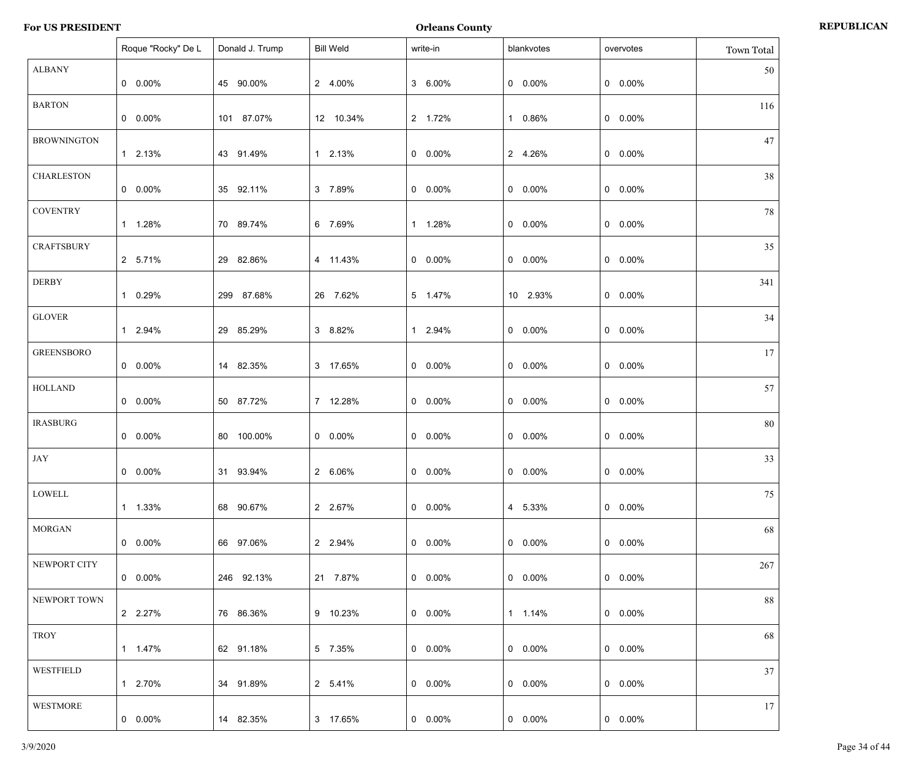|                    | Roque "Rocky" De L | Donald J. Trump | <b>Bill Weld</b> | write-in   | blankvotes | overvotes       | Town Total |
|--------------------|--------------------|-----------------|------------------|------------|------------|-----------------|------------|
| <b>ALBANY</b>      | $0\quad 0.00\%$    | 45 90.00%       | 2 4.00%          | 3 6.00%    | $0 0.00\%$ | $0$ 0.00%       | 50         |
| <b>BARTON</b>      | $0\quad 0.00\%$    | 101 87.07%      | 12 10.34%        | 2 1.72%    | 1 0.86%    | $0$ 0.00%       | 116        |
| <b>BROWNINGTON</b> | 1 2.13%            | 43 91.49%       | 1 2.13%          | $0 0.00\%$ | 2 4.26%    | $0$ 0.00%       | 47         |
| <b>CHARLESTON</b>  | $0\quad 0.00\%$    | 35 92.11%       | 3 7.89%          | $0 0.00\%$ | $0 0.00\%$ | $0$ 0.00%       | 38         |
| <b>COVENTRY</b>    | 1 1.28%            | 70 89.74%       | 6 7.69%          | 1 1.28%    | $0 0.00\%$ | $0$ 0.00%       | 78         |
| <b>CRAFTSBURY</b>  | 2 5.71%            | 29 82.86%       | 4 11.43%         | $0 0.00\%$ | $0 0.00\%$ | $0\quad 0.00\%$ | 35         |
| DERBY              | 1 0.29%            | 299 87.68%      | 26 7.62%         | 5 1.47%    | 10 2.93%   | $0$ 0.00%       | 341        |
| <b>GLOVER</b>      | 1 2.94%            | 29 85.29%       | 3 8.82%          | 1 2.94%    | $0 0.00\%$ | $0$ 0.00%       | 34         |
| <b>GREENSBORO</b>  | $0\quad 0.00\%$    | 14 82.35%       | 3 17.65%         | $0 0.00\%$ | $0 0.00\%$ | $0$ 0.00%       | 17         |
| <b>HOLLAND</b>     | $0\quad 0.00\%$    | 50 87.72%       | 7 12.28%         | $0 0.00\%$ | $0 0.00\%$ | $0\quad 0.00\%$ | 57         |
| <b>IRASBURG</b>    | $0\quad 0.00\%$    | 80 100.00%      | $0\quad 0.00\%$  | $0 0.00\%$ | $0 0.00\%$ | $0\quad 0.00\%$ | 80         |
| JAY                | $0 0.00\%$         | 31 93.94%       | 2 6.06%          | $0 0.00\%$ | $0 0.00\%$ | $0$ 0.00%       | 33         |
| LOWELL             | 1 1.33%            | 68 90.67%       | 2 2.67%          | $0.00\%$   | 4 5.33%    | $0\quad 0.00\%$ | 75         |
| <b>MORGAN</b>      | $0\quad 0.00\%$    | 66 97.06%       | 2 2.94%          | $0.00\%$   | $0.00\%$   | $0\quad 0.00\%$ | 68         |
| NEWPORT CITY       | $0\quad 0.00\%$    | 246 92.13%      | 21 7.87%         | $0.00\%$   | $0.00\%$   | $0\quad 0.00\%$ | 267        |
| NEWPORT TOWN       | 2 2.27%            | 76 86.36%       | 9 10.23%         | $0.00\%$   | 1 1.14%    | $0\quad 0.00\%$ | 88         |
| TROY               | 1  1.47%           | 62 91.18%       | 5 7.35%          | $0.00\%$   | $0.00\%$   | $0\quad 0.00\%$ | 68         |
| <b>WESTFIELD</b>   | 1 2.70%            | 34 91.89%       | 2 5.41%          | $0.00\%$   | $0.00\%$   | $0$ 0.00%       | 37         |
| WESTMORE           | $0\quad 0.00\%$    | 14 82.35%       | 3 17.65%         | $0.00\%$   | $0 0.00\%$ | $0$ 0.00%       | 17         |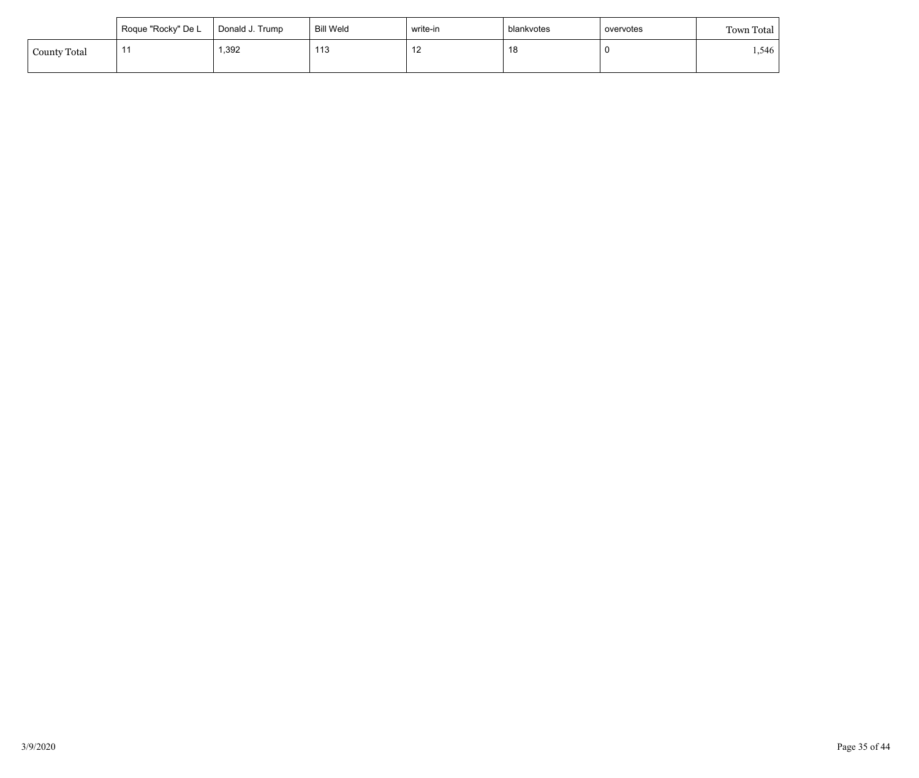|                     | Roque "Rocky" De L | Donald J. Trump | Bill Weld | write-in                     | blankvotes | overvotes | Town Total |
|---------------------|--------------------|-----------------|-----------|------------------------------|------------|-----------|------------|
| <b>County Total</b> | . .                | ,392            | 113       | $\overline{a}$<br>. <u>.</u> | 18         |           | .546       |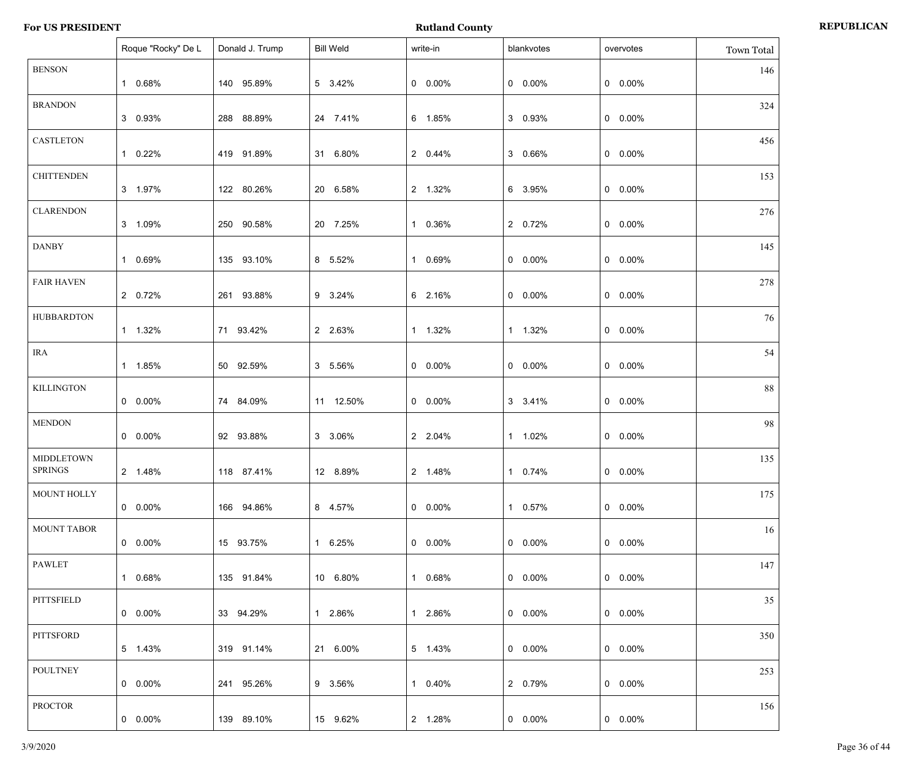|                                     | Roque "Rocky" De L | Donald J. Trump | <b>Bill Weld</b> | write-in        | blankvotes      | overvotes       | Town Total |
|-------------------------------------|--------------------|-----------------|------------------|-----------------|-----------------|-----------------|------------|
| <b>BENSON</b>                       | 1 0.68%            | 140 95.89%      | 5 3.42%          | $0 0.00\%$      | $0 0.00\%$      | $0 0.00\%$      | 146        |
| <b>BRANDON</b>                      | 3 0.93%            | 288 88.89%      | 24 7.41%         | 6 1.85%         | 3 0.93%         | $0 0.00\%$      | 324        |
| <b>CASTLETON</b>                    | 1 0.22%            | 419 91.89%      | 31 6.80%         | 2 0.44%         | 3 0.66%         | $0 0.00\%$      | 456        |
| <b>CHITTENDEN</b>                   | 3 1.97%            | 122 80.26%      | 20 6.58%         | 2 1.32%         | 6 3.95%         | $0 0.00\%$      | 153        |
| <b>CLARENDON</b>                    | 3 1.09%            | 250 90.58%      | 20 7.25%         | 1 0.36%         | 2 0.72%         | $0 0.00\%$      | 276        |
| <b>DANBY</b>                        | 1 0.69%            | 135 93.10%      | 8 5.52%          | 1 0.69%         | $0 0.00\%$      | $0 0.00\%$      | 145        |
| <b>FAIR HAVEN</b>                   | 2 0.72%            | 261 93.88%      | 9 3.24%          | 6 2.16%         | $0 0.00\%$      | $0 0.00\%$      | 278        |
| <b>HUBBARDTON</b>                   | 1 1.32%            | 71 93.42%       | 2 2.63%          | 1 1.32%         | 1 1.32%         | $0 0.00\%$      | 76         |
| IRA                                 | 1 1.85%            | 50 92.59%       | 3 5.56%          | $0 0.00\%$      | $0 0.00\%$      | $0 0.00\%$      | 54         |
| <b>KILLINGTON</b>                   | $0\quad 0.00\%$    | 74 84.09%       | 11 12.50%        | $0 0.00\%$      | 3 3.41%         | $0 0.00\%$      | 88         |
| <b>MENDON</b>                       | $0\quad 0.00\%$    | 92 93.88%       | 3 3.06%          | 2 2.04%         | 1 1.02%         | $0 0.00\%$      | 98         |
| <b>MIDDLETOWN</b><br><b>SPRINGS</b> | 2 1.48%            | 118 87.41%      | 12 8.89%         | 2 1.48%         | 1 0.74%         | $0$ 0.00%       | 135        |
| MOUNT HOLLY                         | $0\quad 0.00\%$    | 166 94.86%      | 8 4.57%          | $0.00\%$        | 1 0.57%         | $0\quad 0.00\%$ | 175        |
| <b>MOUNT TABOR</b>                  | $0\quad 0.00\%$    | 15 93.75%       | 1 6.25%          | $0\quad 0.00\%$ | $0\quad 0.00\%$ | $0.00\%$        | 16         |
| PAWLET                              | 1 0.68%            | 135 91.84%      | 10 6.80%         | 1 0.68%         | $0\quad 0.00\%$ | $0\quad 0.00\%$ | 147        |
| PITTSFIELD                          | $0\quad 0.00\%$    | 33 94.29%       | 1 2.86%          | 1 2.86%         | $0.00\%$        | $0\quad 0.00\%$ | 35         |
| PITTSFORD                           | 5 1.43%            | 319 91.14%      | 21 6.00%         | 5 1.43%         | $0.00\%$        | $0$ 0.00%       | 350        |
| <b>POULTNEY</b>                     | $0\quad 0.00\%$    | 241 95.26%      | 9 3.56%          | 1 0.40%         | 2 0.79%         | $0 0.00\%$      | 253        |
| <b>PROCTOR</b>                      | $0.00\%$           | 139 89.10%      | 15 9.62%         | 2 1.28%         | $0.00\%$        | $0$ 0.00%       | 156        |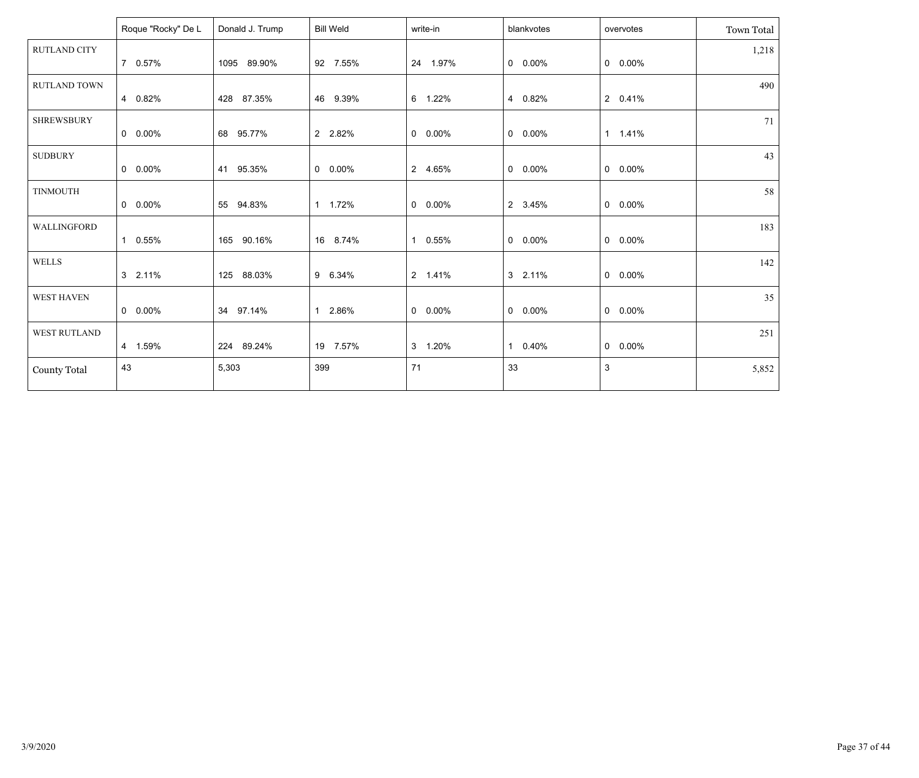|                     | Roque "Rocky" De L | Donald J. Trump | <b>Bill Weld</b> | write-in        | blankvotes | overvotes       | Town Total |
|---------------------|--------------------|-----------------|------------------|-----------------|------------|-----------------|------------|
| <b>RUTLAND CITY</b> | 7 0.57%            | 1095 89.90%     | 92 7.55%         | 24 1.97%        | $0.00\%$   | $0.00\%$        | 1,218      |
| <b>RUTLAND TOWN</b> | 4 0.82%            | 428 87.35%      | 46 9.39%         | 6 1.22%         | 4 0.82%    | 2 0.41%         | 490        |
| <b>SHREWSBURY</b>   | $0 0.00\%$         | 68 95.77%       | 2 2.82%          | $0.00\%$        | $0 0.00\%$ | 1 1.41%         | 71         |
| <b>SUDBURY</b>      | $0 0.00\%$         | 41 95.35%       | $0$ 0.00%        | 2 4.65%         | $0 0.00\%$ | $0 0.00\%$      | 43         |
| <b>TINMOUTH</b>     | $0 0.00\%$         | 55 94.83%       | 1 1.72%          | $0 0.00\%$      | 2 3.45%    | $0\quad 0.00\%$ | 58         |
| WALLINGFORD         | 1 0.55%            | 165 90.16%      | 16 8.74%         | 1 0.55%         | $0.00\%$   | $0$ 0.00%       | 183        |
| <b>WELLS</b>        | 3 2.11%            | 125 88.03%      | 9 6.34%          | 2 1.41%         | 3 2.11%    | $0$ 0.00%       | 142        |
| WEST HAVEN          | $0\quad 0.00\%$    | 34 97.14%       | 1 2.86%          | $0\quad 0.00\%$ | $0.00\%$   | $0\quad 0.00\%$ | 35         |
| <b>WEST RUTLAND</b> | 4 1.59%            | 224 89.24%      | 19 7.57%         | 3 1.20%         | 1 0.40%    | $0 0.00\%$      | 251        |
| <b>County Total</b> | 43                 | 5,303           | 399              | 71              | 33         | 3               | 5,852      |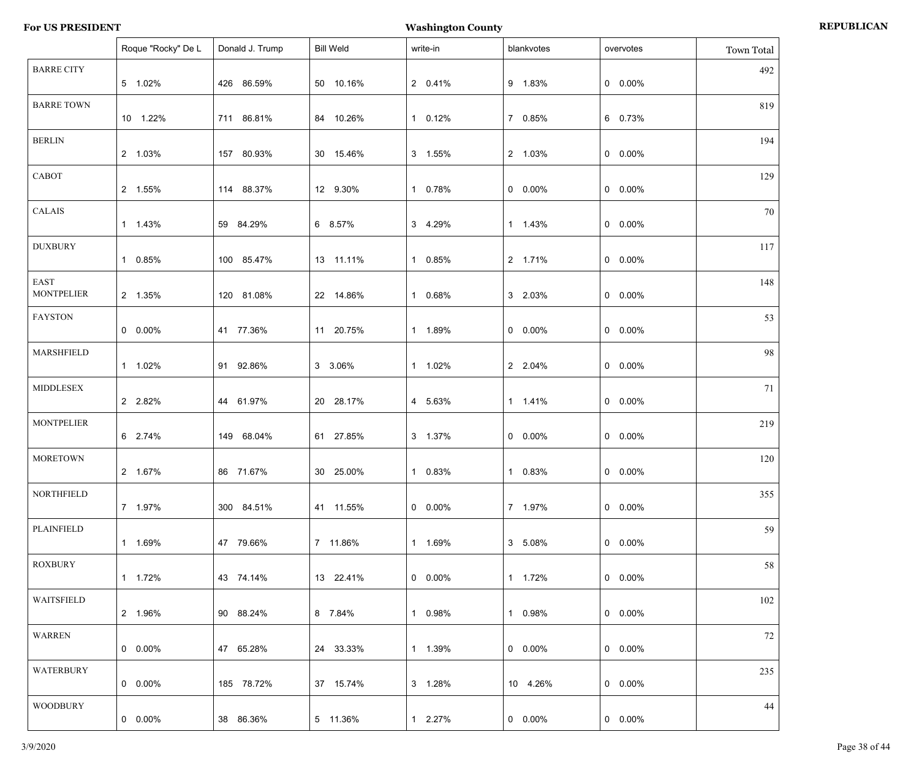|                           | Roque "Rocky" De L | Donald J. Trump | <b>Bill Weld</b> | write-in   | blankvotes | overvotes  | Town Total |
|---------------------------|--------------------|-----------------|------------------|------------|------------|------------|------------|
| <b>BARRE CITY</b>         | 5 1.02%            | 426 86.59%      | 50 10.16%        | 2 0.41%    | 9 1.83%    | $0$ 0.00%  | 492        |
| <b>BARRE TOWN</b>         | 10 1.22%           | 711 86.81%      | 84 10.26%        | 1 0.12%    | 7 0.85%    | 6 0.73%    | 819        |
| <b>BERLIN</b>             | 2 1.03%            | 157 80.93%      | 30 15.46%        | 3 1.55%    | 2 1.03%    | $0$ 0.00%  | 194        |
| CABOT                     | 2 1.55%            | 114 88.37%      | 12 9.30%         | 1 0.78%    | $0 0.00\%$ | $0$ 0.00%  | 129        |
| CALAIS                    | 1 1.43%            | 59 84.29%       | 6 8.57%          | 3 4.29%    | 1 1.43%    | $0$ 0.00%  | 70         |
| <b>DUXBURY</b>            | 1 0.85%            | 100 85.47%      | 13 11.11%        | 1 0.85%    | 2 1.71%    | $0$ 0.00%  | 117        |
| EAST<br><b>MONTPELIER</b> | 2 1.35%            | 120 81.08%      | 22 14.86%        | 1 0.68%    | 3 2.03%    | $0$ 0.00%  | 148        |
| <b>FAYSTON</b>            | $0\quad 0.00\%$    | 41 77.36%       | 11 20.75%        | 1 1.89%    | $0 0.00\%$ | $0$ 0.00%  | 53         |
| MARSHFIELD                | 1 1.02%            | 91 92.86%       | 3 3.06%          | 1 1.02%    | 2 2.04%    | $0$ 0.00%  | 98         |
| <b>MIDDLESEX</b>          | 2 2.82%            | 44 61.97%       | 20 28.17%        | 4 5.63%    | 1 1.41%    | $0$ 0.00%  | 71         |
| <b>MONTPELIER</b>         | 6 2.74%            | 149 68.04%      | 61 27.85%        | 3 1.37%    | $0 0.00\%$ | $0$ 0.00%  | 219        |
| <b>MORETOWN</b>           | 2 1.67%            | 86 71.67%       | 30 25.00%        | 1 0.83%    | 1 0.83%    | $0$ 0.00%  | 120        |
| <b>NORTHFIELD</b>         | 7 1.97%            | 300 84.51%      | 41 11.55%        | $0.00\%$   | 7 1.97%    | $0$ 0.00%  | 355        |
| PLAINFIELD                | 1 1.69%            | 47 79.66%       | 7 11.86%         | 1 1.69%    | 3 5.08%    | $0$ 0.00%  | 59         |
| <b>ROXBURY</b>            | 1 1.72%            | 43 74.14%       | 13 22.41%        | $0 0.00\%$ | 1 1.72%    | $0$ 0.00%  | 58         |
| WAITSFIELD                | 2 1.96%            | 90 88.24%       | 8 7.84%          | 1 0.98%    | 1 0.98%    | $0$ 0.00%  | 102        |
| WARREN                    | $0\quad 0.00\%$    | 47 65.28%       | 24 33.33%        | 1 1.39%    | $0.00\%$   | $0$ 0.00%  | 72         |
| WATERBURY                 | $0\quad 0.00\%$    | 185 78.72%      | 37 15.74%        | 3 1.28%    | 10 4.26%   | $0$ 0.00%  | 235        |
| <b>WOODBURY</b>           | $0.00\%$           | 38 86.36%       | 5 11.36%         | 1 2.27%    | $0 0.00\%$ | $0 0.00\%$ | 44         |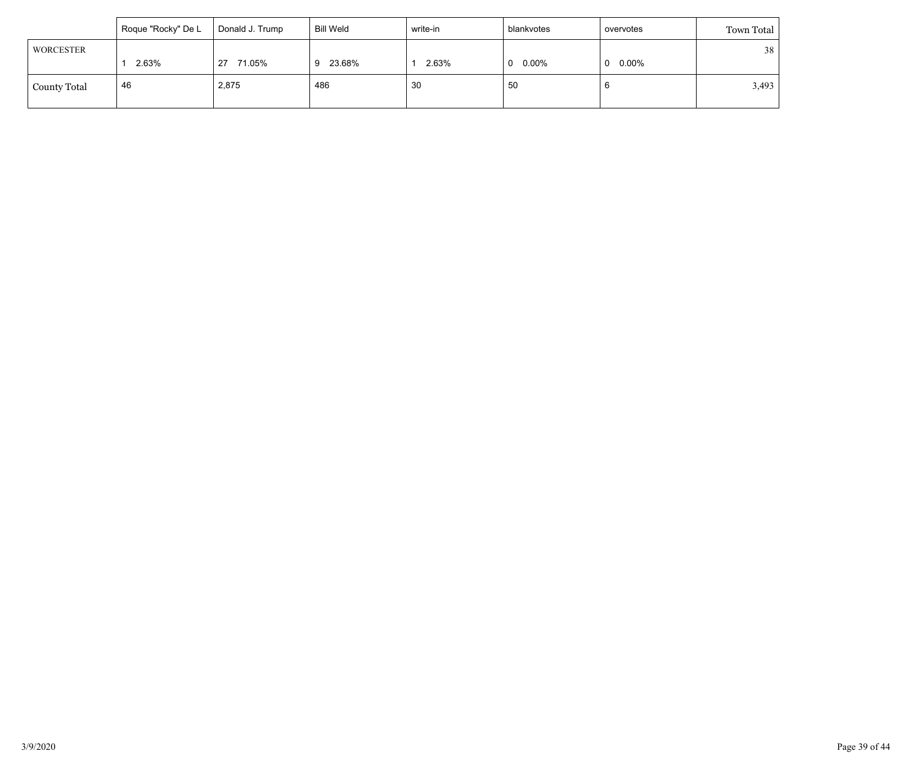|                     | Roque "Rocky" De L | Donald J. Trump | <b>Bill Weld</b> | write-in | blankvotes    | overvotes | Town Total |
|---------------------|--------------------|-----------------|------------------|----------|---------------|-----------|------------|
| WORCESTER           |                    |                 |                  |          |               |           | 38         |
|                     | 2.63%              | 71.05%<br>27    | 23.68%<br>9      | 2.63%    | $0.00\%$<br>0 | 0.00%     |            |
| <b>County Total</b> | 46                 | 2,875           | 486              | 30       | 50            |           | 3,493      |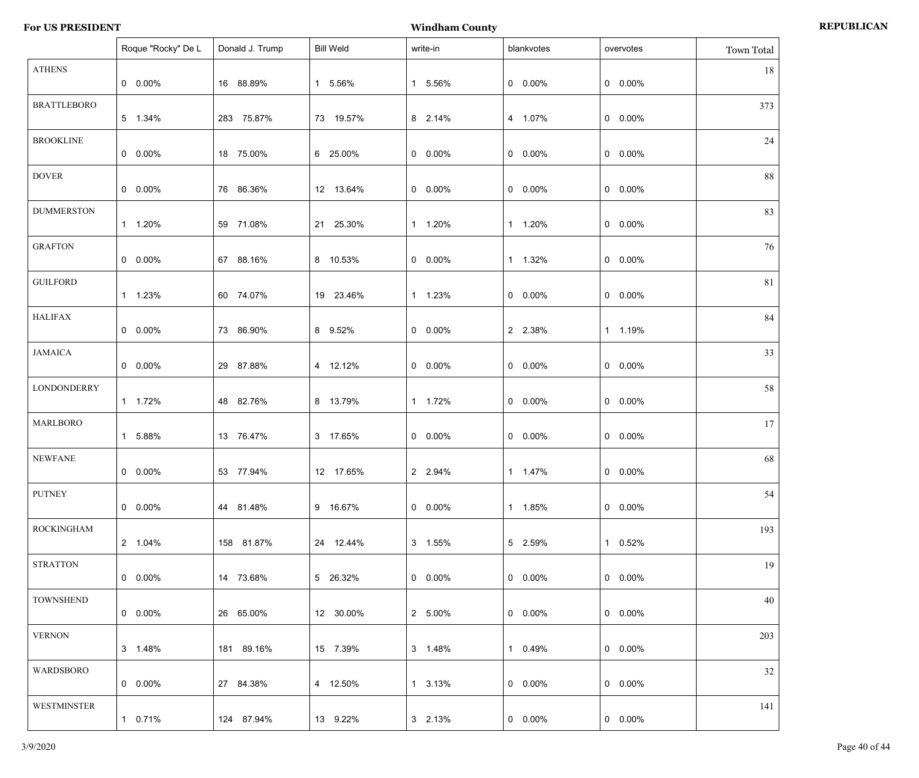|                    | Roque "Rocky" De L | Donald J. Trump | <b>Bill Weld</b> | write-in        | blankvotes | overvotes       | Town Total |
|--------------------|--------------------|-----------------|------------------|-----------------|------------|-----------------|------------|
| <b>ATHENS</b>      | $0\quad 0.00\%$    | 16 88.89%       | 1 5.56%          | 1 5.56%         | $0 0.00\%$ | $0$ 0.00%       | 18         |
| <b>BRATTLEBORO</b> | 5 1.34%            | 283 75.87%      | 73 19.57%        | 8 2.14%         | 4 1.07%    | $0$ 0.00%       | 373        |
| <b>BROOKLINE</b>   | $0\quad 0.00\%$    | 18 75.00%       | 6 25.00%         | $0.00\%$        | $0 0.00\%$ | $0$ 0.00%       | 24         |
| <b>DOVER</b>       | $0\quad 0.00\%$    | 76 86.36%       | 12 13.64%        | $0.00\%$        | $0 0.00\%$ | $0$ 0.00%       | 88         |
| <b>DUMMERSTON</b>  | 1 1.20%            | 59 71.08%       | 21 25.30%        | 1 1.20%         | 1 1.20%    | $0$ 0.00%       | 83         |
| <b>GRAFTON</b>     | $0\quad 0.00\%$    | 67 88.16%       | 8 10.53%         | $0.00\%$        | 1 1.32%    | $0$ 0.00%       | 76         |
| <b>GUILFORD</b>    | 1 1.23%            | 60 74.07%       | 19 23.46%        | 1 1.23%         | $0 0.00\%$ | $0$ 0.00%       | 81         |
| <b>HALIFAX</b>     | $0\quad 0.00\%$    | 73 86.90%       | 8 9.52%          | $0.00\%$        | 2 2.38%    | 1 1.19%         | 84         |
| <b>JAMAICA</b>     | $0\quad 0.00\%$    | 29 87.88%       | 4 12.12%         | $0.00\%$        | $0 0.00\%$ | $0$ 0.00%       | 33         |
| <b>LONDONDERRY</b> | 1 1.72%            | 48 82.76%       | 8 13.79%         | 1 1.72%         | $0 0.00\%$ | $0$ 0.00%       | 58         |
| <b>MARLBORO</b>    | 1 5.88%            | 13 76.47%       | 3 17.65%         | $0.00\%$        | $0 0.00\%$ | $0$ 0.00%       | 17         |
| <b>NEWFANE</b>     | $0 0.00\%$         | 53 77.94%       | 12 17.65%        | 2 2.94%         | 1 1.47%    | $0 0.00\%$      | 68         |
| <b>PUTNEY</b>      | $0\quad 0.00\%$    | 44 81.48%       | 9 16.67%         | $0.00\%$        | 1 1.85%    | $0\quad 0.00\%$ | 54         |
| <b>ROCKINGHAM</b>  | 2 1.04%            | 158 81.87%      | 24 12.44%        | 3 1.55%         | 5 2.59%    | 1 0.52%         | 193        |
| <b>STRATTON</b>    | $0\quad 0.00\%$    | 14 73.68%       | 5 26.32%         | $0.00\%$        | $0.00\%$   | $0\quad 0.00\%$ | 19         |
| <b>TOWNSHEND</b>   | $0\quad 0.00\%$    | 26 65.00%       | 12 30.00%        | 2 5.00%         | $0.00\%$   | $0\quad 0.00\%$ | 40         |
| <b>VERNON</b>      | 3 1.48%            | 181 89.16%      | 15 7.39%         | 3 1.48%         | 1 0.49%    | $0\quad 0.00\%$ | 203        |
| WARDSBORO          | $0\quad 0.00\%$    | 27 84.38%       | 4 12.50%         | $1\quad 3.13\%$ | $0.00\%$   | $0\quad 0.00\%$ | 32         |
| <b>WESTMINSTER</b> | 1 0.71%            | 124 87.94%      | 13 9.22%         | 3 2.13%         | $0.00\%$   | $0$ 0.00%       | 141        |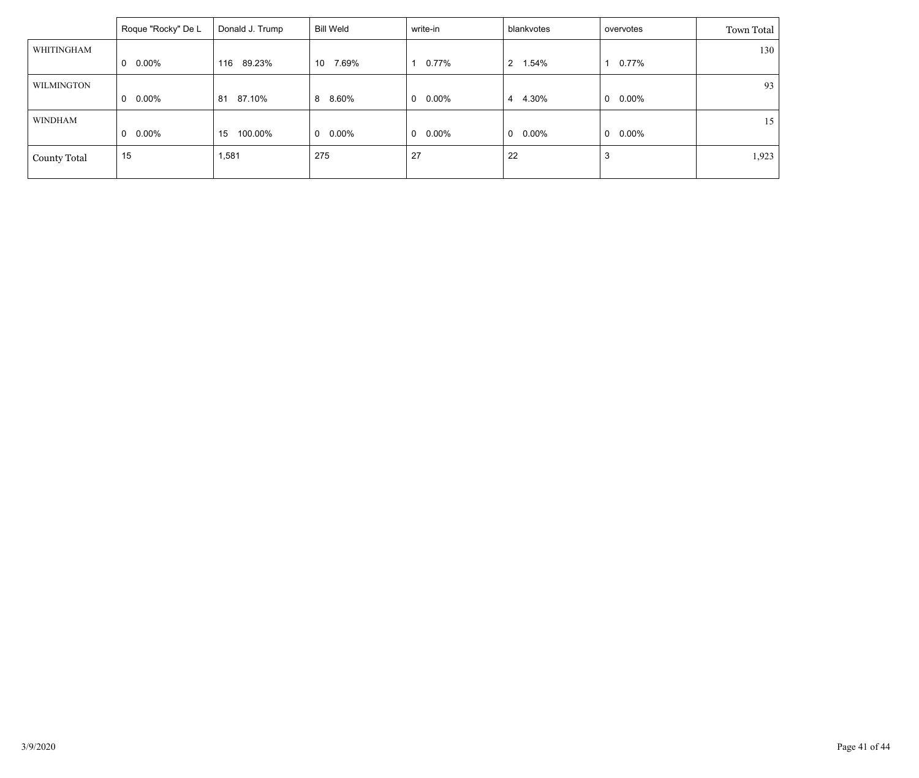|                     | Roque "Rocky" De L | Donald J. Trump | Bill Weld       | write-in                 | blankvotes                    | overvotes     | Town Total |
|---------------------|--------------------|-----------------|-----------------|--------------------------|-------------------------------|---------------|------------|
| WHITINGHAM          |                    |                 |                 |                          |                               |               | 130        |
|                     | $0.00\%$<br>0      | 89.23%<br>116   | 7.69%<br>10     | 0.77%                    | 1.54%<br>$\mathbf{2}^{\circ}$ | $0.77\%$      |            |
| <b>WILMINGTON</b>   |                    |                 |                 |                          |                               |               | 93         |
|                     | $0.00\%$<br>0      | 87.10%<br>81    | 8 8.60%         | $0.00\%$<br>$\mathbf{0}$ | 4.30%<br>4                    | 0.00%<br>0    |            |
| <b>WINDHAM</b>      |                    |                 |                 |                          |                               |               | 15         |
|                     | $0.00\%$<br>0      | 100.00%<br>15   | $0\quad 0.00\%$ | 0.00%<br>$\mathbf{0}$    | $\mathbf{0}$<br>0.00%         | $0.00\%$<br>0 |            |
| <b>County Total</b> | 15                 | 1,581           | 275             | 27                       | 22                            | 3             | 1,923      |
|                     |                    |                 |                 |                          |                               |               |            |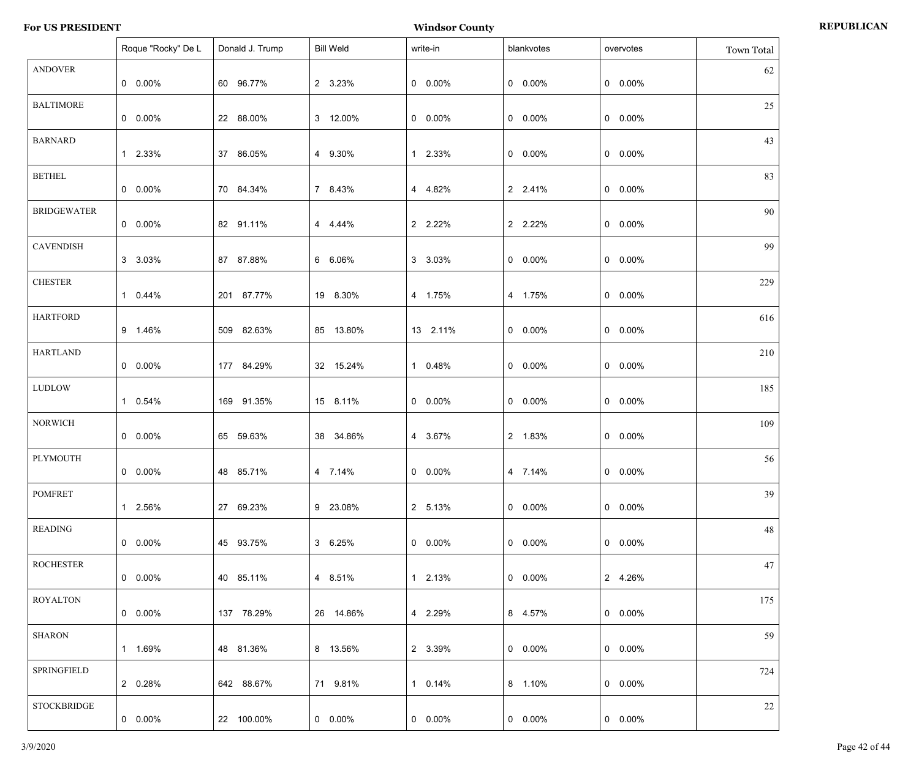|                    | Roque "Rocky" De L | Donald J. Trump | <b>Bill Weld</b> | write-in   | blankvotes      | overvotes       | <b>Town Total</b> |
|--------------------|--------------------|-----------------|------------------|------------|-----------------|-----------------|-------------------|
| <b>ANDOVER</b>     | $0\quad 0.00\%$    | 60 96.77%       | 2 3.23%          | $0 0.00\%$ | $0 0.00\%$      | $0$ 0.00%       | 62                |
| <b>BALTIMORE</b>   | $0\quad 0.00\%$    | 22 88.00%       | 3 12.00%         | $0.00\%$   | $0 0.00\%$      | $0$ 0.00%       | 25                |
| <b>BARNARD</b>     | 1 2.33%            | 37 86.05%       | 4 9.30%          | 1 2.33%    | $0 0.00\%$      | $0$ 0.00%       | 43                |
| <b>BETHEL</b>      | $0\quad 0.00\%$    | 70 84.34%       | 7 8.43%          | 4 4.82%    | 2 2.41%         | $0$ 0.00%       | 83                |
| <b>BRIDGEWATER</b> | $0\quad 0.00\%$    | 82 91.11%       | 4 4.44%          | 2 2.22%    | 2 2.22%         | $0$ 0.00%       | 90                |
| <b>CAVENDISH</b>   | 3 3.03%            | 87 87.88%       | 6 6.06%          | 3 3.03%    | $0 0.00\%$      | $0$ 0.00%       | 99                |
| <b>CHESTER</b>     | 1 0.44%            | 201 87.77%      | 19 8.30%         | 4 1.75%    | 4 1.75%         | $0$ 0.00%       | 229               |
| <b>HARTFORD</b>    | 9 1.46%            | 509 82.63%      | 85 13.80%        | 13 2.11%   | $0 0.00\%$      | $0$ 0.00%       | 616               |
| <b>HARTLAND</b>    | $0\quad 0.00\%$    | 177 84.29%      | 32 15.24%        | 1 0.48%    | $0 0.00\%$      | $0$ 0.00%       | 210               |
| <b>LUDLOW</b>      | 1 0.54%            | 169 91.35%      | 15 8.11%         | $0.00\%$   | $0 0.00\%$      | $0$ 0.00%       | 185               |
| <b>NORWICH</b>     | $0\quad 0.00\%$    | 65 59.63%       | 38 34.86%        | 4 3.67%    | 2 1.83%         | $0$ 0.00%       | 109               |
| PLYMOUTH           | $0$ 0.00%          | 48 85.71%       | 4 7.14%          | $0 0.00\%$ | 4 7.14%         | $0$ 0.00%       | 56                |
| <b>POMFRET</b>     | 1 2.56%            | 27 69.23%       | 9 23.08%         | 2 5.13%    | $0\quad 0.00\%$ | $0$ 0.00%       | 39                |
| <b>READING</b>     | $0\quad 0.00\%$    | 45 93.75%       | 3 6.25%          | $0.00\%$   | $0\quad 0.00\%$ | $0$ 0.00%       | 48                |
| <b>ROCHESTER</b>   | $0\quad 0.00\%$    | 40 85.11%       | 4 8.51%          | 1 2.13%    | $0.00\%$        | 2 4.26%         | 47                |
| <b>ROYALTON</b>    | $0\quad 0.00\%$    | 137 78.29%      | 26 14.86%        | 4 2.29%    | 8 4.57%         | $0$ 0.00%       | 175               |
| <b>SHARON</b>      | 1 1.69%            | 48 81.36%       | 8 13.56%         | 2 3.39%    | $0.00\%$        | $0\quad 0.00\%$ | 59                |
| SPRINGFIELD        | 2 0.28%            | 642 88.67%      | 71 9.81%         | 1 0.14%    | 8 1.10%         | $0$ 0.00%       | 724               |
| <b>STOCKBRIDGE</b> | $0\quad 0.00\%$    | 22 100.00%      | $0.00\%$         | $0.00\%$   | $0\quad 0.00\%$ | $0$ 0.00%       | 22                |